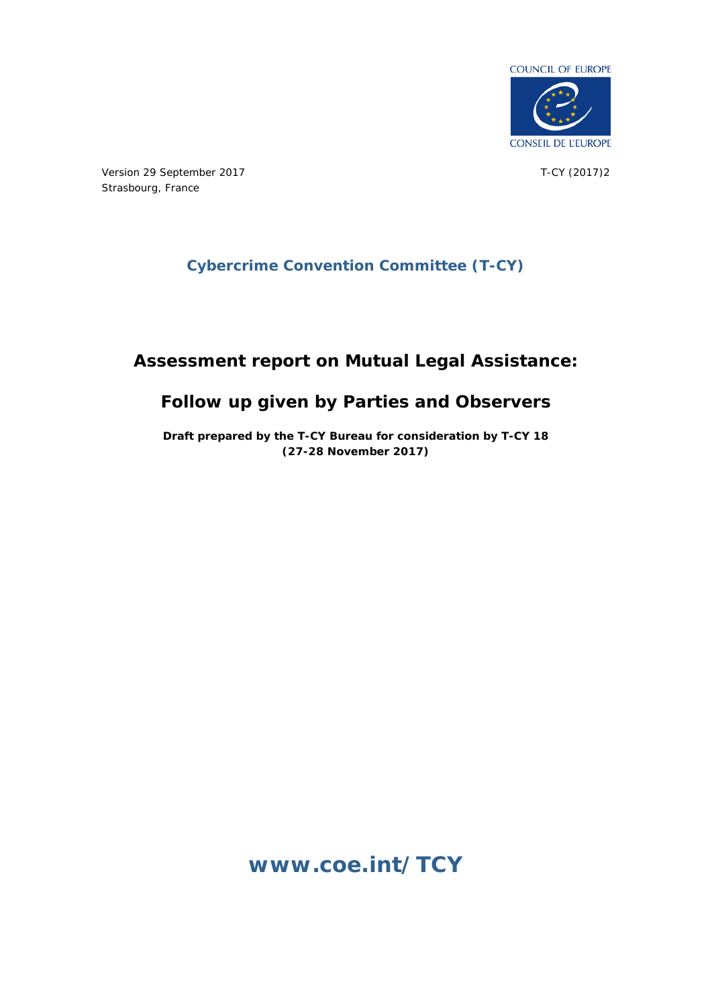

Version 29 September 2017 Strasbourg, France

T-CY (2017)2

# **Cybercrime Convention Committee (T-CY)**

# **Assessment report on Mutual Legal Assistance:**

# **Follow up given by Parties and Observers**

**Draft prepared by the T-CY Bureau for consideration by T-CY 18 (27-28 November 2017)**

**[www.coe.int/TCY](http://www.coe.int/TCY)**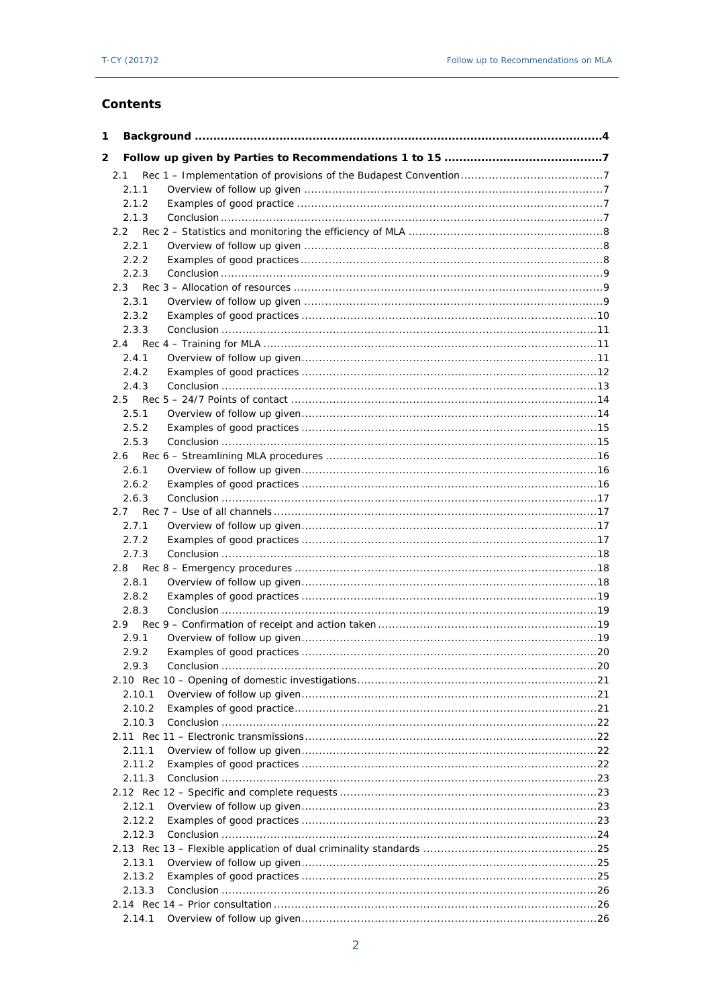## Contents

| 1 |               |                                                                      |  |
|---|---------------|----------------------------------------------------------------------|--|
| 2 |               |                                                                      |  |
|   | 2.1           |                                                                      |  |
|   | 2.1.1         |                                                                      |  |
|   | 2.1.2         |                                                                      |  |
|   | 2.1.3         |                                                                      |  |
|   | $2.2^{\circ}$ |                                                                      |  |
|   | 2.2.1         |                                                                      |  |
|   | 2.2.2         |                                                                      |  |
|   | 2.2.3         |                                                                      |  |
|   | 2.3           |                                                                      |  |
|   | 2.3.1         |                                                                      |  |
|   | 2.3.2         |                                                                      |  |
|   | 2.3.3         |                                                                      |  |
|   | 2.4           |                                                                      |  |
|   | 2.4.1         |                                                                      |  |
|   | 2.4.2         |                                                                      |  |
|   | 2.4.3         |                                                                      |  |
|   |               |                                                                      |  |
|   | 2.5.1         |                                                                      |  |
|   | 2.5.2         |                                                                      |  |
|   | 2.5.3         |                                                                      |  |
|   | 2.6           |                                                                      |  |
|   | 2.6.1         |                                                                      |  |
|   | 2.6.2         |                                                                      |  |
|   | 2.6.3         |                                                                      |  |
|   | 2.7           |                                                                      |  |
|   | 2.7.1         |                                                                      |  |
|   | 2.7.2         |                                                                      |  |
|   | 2.7.3         |                                                                      |  |
|   | 2.8           |                                                                      |  |
|   | 2.8.1         |                                                                      |  |
|   | 2.8.2         |                                                                      |  |
|   | 2.8.3         |                                                                      |  |
|   | 2.9           |                                                                      |  |
|   | 2.9.1         |                                                                      |  |
|   | 2.9.2         |                                                                      |  |
|   | 2.9.3         | Conclusion $\ldots \ldots \ldots \ldots \ldots \ldots \ldots \ldots$ |  |
|   |               |                                                                      |  |
|   | 2.10.1        |                                                                      |  |
|   | 2.10.2        |                                                                      |  |
|   | 2.10.3        |                                                                      |  |
|   |               |                                                                      |  |
|   | 2.11.1        |                                                                      |  |
|   | 2.11.2        |                                                                      |  |
|   | 2.11.3        |                                                                      |  |
|   |               |                                                                      |  |
|   | 2.12.1        |                                                                      |  |
|   | 2.12.2        |                                                                      |  |
|   | 2.12.3        |                                                                      |  |
|   |               |                                                                      |  |
|   | 2.13.1        |                                                                      |  |
|   | 2.13.2        |                                                                      |  |
|   | 2.13.3        |                                                                      |  |
|   |               |                                                                      |  |
|   | 2.14.1        |                                                                      |  |
|   |               |                                                                      |  |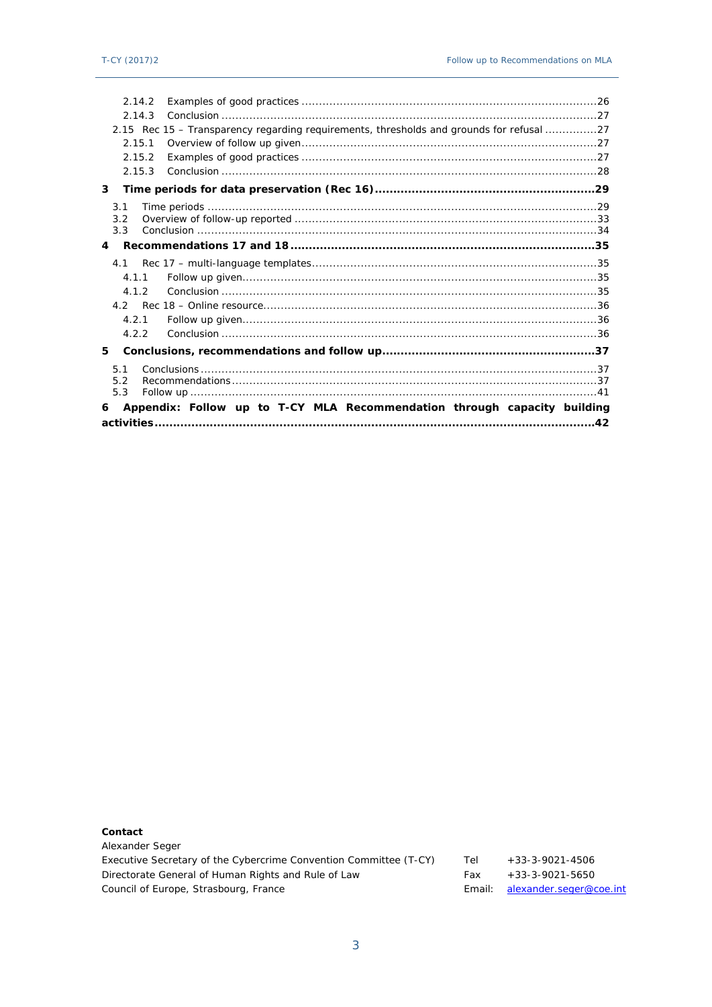| 2.14.2            |                                                                                          |  |
|-------------------|------------------------------------------------------------------------------------------|--|
| 2.14.3            |                                                                                          |  |
|                   | 2.15 Rec 15 – Transparency regarding requirements, thresholds and grounds for refusal 27 |  |
| 2.15.1            |                                                                                          |  |
| 2.15.2            |                                                                                          |  |
| 2.15.3            |                                                                                          |  |
| 3                 |                                                                                          |  |
| 3.1               |                                                                                          |  |
| 3.2               |                                                                                          |  |
| 3.3               |                                                                                          |  |
| $\overline{4}$    |                                                                                          |  |
| 4.1               |                                                                                          |  |
| 4.1.1             |                                                                                          |  |
| 4.1.2             |                                                                                          |  |
|                   |                                                                                          |  |
| 4.2.1             |                                                                                          |  |
| 4.2.2             |                                                                                          |  |
| 5                 |                                                                                          |  |
| 5.1<br>5.2<br>5.3 |                                                                                          |  |
| 6                 | Appendix: Follow up to T-CY MLA Recommendation through capacity building                 |  |
|                   |                                                                                          |  |

Contact Alexander Seger Executive Secretary of the Cybercrime Convention Committee (T-CY)  $+33-3-9021-4506$ Tel Directorate General of Human Rights and Rule of Law  $+33-3-9021-5650$ Fax Council of Europe, Strasbourg, France Email: alexander.seger@coe.int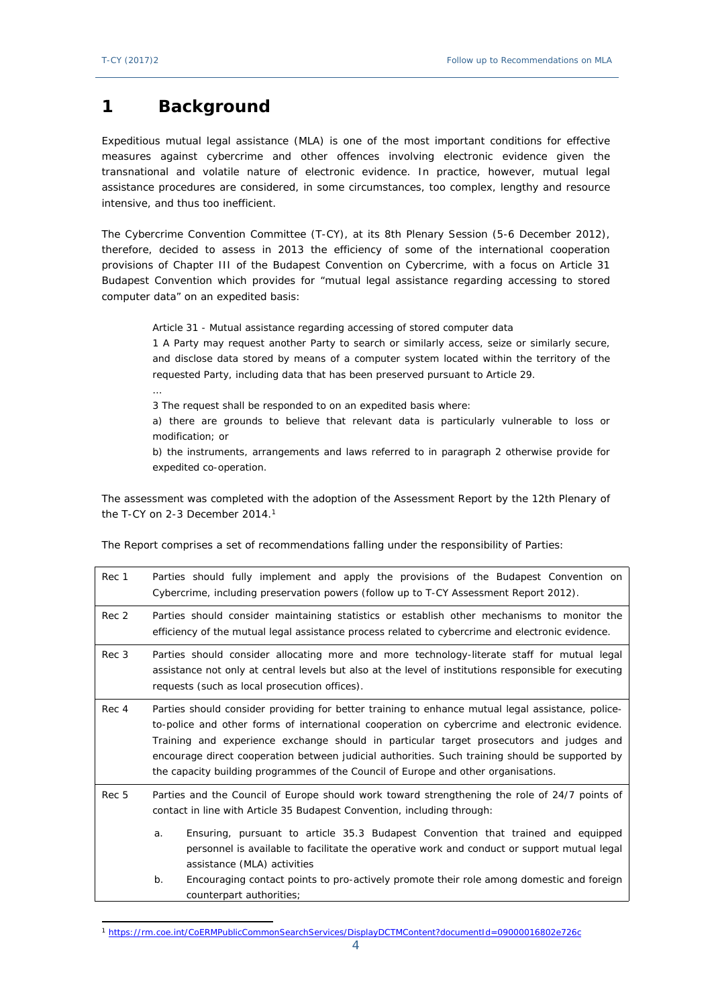# <span id="page-3-0"></span>**1 Background**

…

Expeditious mutual legal assistance (MLA) is one of the most important conditions for effective measures against cybercrime and other offences involving electronic evidence given the transnational and volatile nature of electronic evidence. In practice, however, mutual legal assistance procedures are considered, in some circumstances, too complex, lengthy and resource intensive, and thus too inefficient.

The Cybercrime Convention Committee (T-CY), at its 8th Plenary Session (5-6 December 2012), therefore, decided to assess in 2013 the efficiency of some of the international cooperation provisions of Chapter III of the Budapest Convention on Cybercrime, with a focus on Article 31 Budapest Convention which provides for "mutual legal assistance regarding accessing to stored computer data" on an expedited basis:

Article 31 - Mutual assistance regarding accessing of stored computer data

1 A Party may request another Party to search or similarly access, seize or similarly secure, and disclose data stored by means of a computer system located within the territory of the requested Party, including data that has been preserved pursuant to Article 29.

3 The request shall be responded to on an expedited basis where:

a) there are grounds to believe that relevant data is particularly vulnerable to loss or modification; or

b) the instruments, arrangements and laws referred to in paragraph 2 otherwise provide for expedited co-operation.

The assessment was completed with the adoption of the Assessment Report by the 12th Plenary of the T-CY on 2-3 December 2014.<sup>1</sup>

The Report comprises a set of recommendations falling under the responsibility of Parties:

| Rec 1 |                                                                                                                                                                                                                                                                                                                                                                                                                                                                                        | Parties should fully implement and apply the provisions of the Budapest Convention on<br>Cybercrime, including preservation powers (follow up to T-CY Assessment Report 2012).                                 |  |  |
|-------|----------------------------------------------------------------------------------------------------------------------------------------------------------------------------------------------------------------------------------------------------------------------------------------------------------------------------------------------------------------------------------------------------------------------------------------------------------------------------------------|----------------------------------------------------------------------------------------------------------------------------------------------------------------------------------------------------------------|--|--|
| Rec 2 | Parties should consider maintaining statistics or establish other mechanisms to monitor the<br>efficiency of the mutual legal assistance process related to cybercrime and electronic evidence.                                                                                                                                                                                                                                                                                        |                                                                                                                                                                                                                |  |  |
| Rec 3 | Parties should consider allocating more and more technology-literate staff for mutual legal<br>assistance not only at central levels but also at the level of institutions responsible for executing<br>requests (such as local prosecution offices).                                                                                                                                                                                                                                  |                                                                                                                                                                                                                |  |  |
| Rec 4 | Parties should consider providing for better training to enhance mutual legal assistance, police-<br>to-police and other forms of international cooperation on cybercrime and electronic evidence.<br>Training and experience exchange should in particular target prosecutors and judges and<br>encourage direct cooperation between judicial authorities. Such training should be supported by<br>the capacity building programmes of the Council of Europe and other organisations. |                                                                                                                                                                                                                |  |  |
| Rec 5 | Parties and the Council of Europe should work toward strengthening the role of 24/7 points of<br>contact in line with Article 35 Budapest Convention, including through:                                                                                                                                                                                                                                                                                                               |                                                                                                                                                                                                                |  |  |
|       | a.                                                                                                                                                                                                                                                                                                                                                                                                                                                                                     | Ensuring, pursuant to article 35.3 Budapest Convention that trained and equipped<br>personnel is available to facilitate the operative work and conduct or support mutual legal<br>assistance (MLA) activities |  |  |
|       | $b$ .                                                                                                                                                                                                                                                                                                                                                                                                                                                                                  | Encouraging contact points to pro-actively promote their role among domestic and foreign<br>counterpart authorities;                                                                                           |  |  |

<sup>1</sup> <https://rm.coe.int/CoERMPublicCommonSearchServices/DisplayDCTMContent?documentId=09000016802e726c>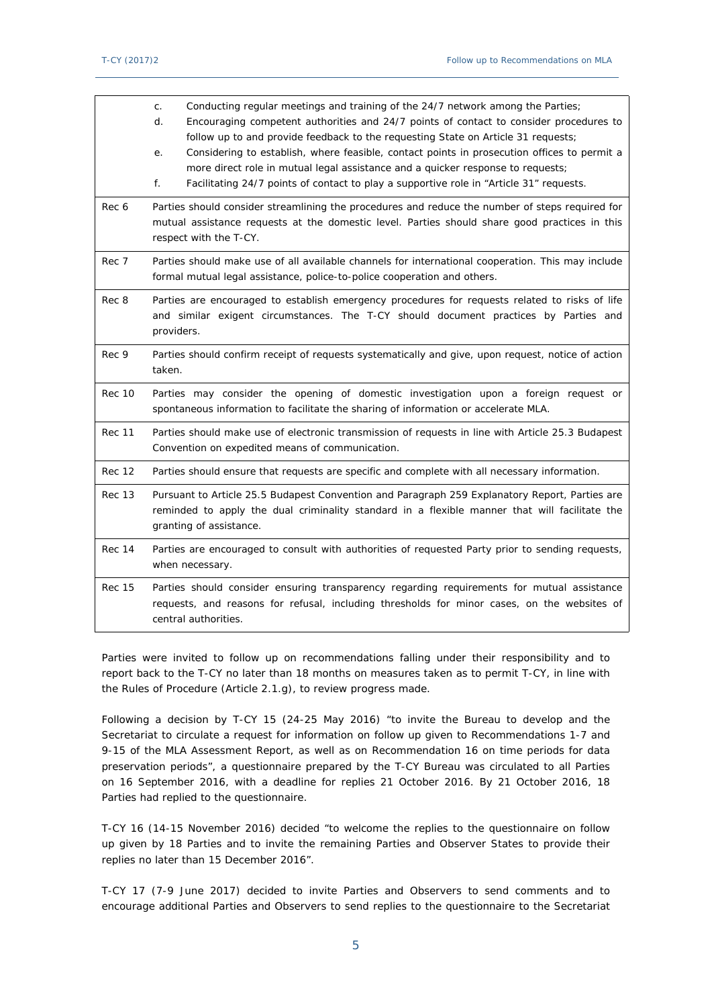|               | Conducting regular meetings and training of the 24/7 network among the Parties;<br>C <sub>1</sub><br>Encouraging competent authorities and 24/7 points of contact to consider procedures to<br>d.<br>follow up to and provide feedback to the requesting State on Article 31 requests;<br>Considering to establish, where feasible, contact points in prosecution offices to permit a<br>е.<br>more direct role in mutual legal assistance and a quicker response to requests;<br>Facilitating 24/7 points of contact to play a supportive role in "Article 31" requests.<br>f. |
|---------------|---------------------------------------------------------------------------------------------------------------------------------------------------------------------------------------------------------------------------------------------------------------------------------------------------------------------------------------------------------------------------------------------------------------------------------------------------------------------------------------------------------------------------------------------------------------------------------|
| Rec 6         | Parties should consider streamlining the procedures and reduce the number of steps required for<br>mutual assistance requests at the domestic level. Parties should share good practices in this<br>respect with the T-CY.                                                                                                                                                                                                                                                                                                                                                      |
| Rec 7         | Parties should make use of all available channels for international cooperation. This may include<br>formal mutual legal assistance, police-to-police cooperation and others.                                                                                                                                                                                                                                                                                                                                                                                                   |
| Rec 8         | Parties are encouraged to establish emergency procedures for requests related to risks of life<br>and similar exigent circumstances. The T-CY should document practices by Parties and<br>providers.                                                                                                                                                                                                                                                                                                                                                                            |
| Rec 9         | Parties should confirm receipt of requests systematically and give, upon request, notice of action<br>taken.                                                                                                                                                                                                                                                                                                                                                                                                                                                                    |
| <b>Rec 10</b> | Parties may consider the opening of domestic investigation upon a foreign request or<br>spontaneous information to facilitate the sharing of information or accelerate MLA.                                                                                                                                                                                                                                                                                                                                                                                                     |
| <b>Rec 11</b> | Parties should make use of electronic transmission of requests in line with Article 25.3 Budapest<br>Convention on expedited means of communication.                                                                                                                                                                                                                                                                                                                                                                                                                            |
| <b>Rec 12</b> | Parties should ensure that requests are specific and complete with all necessary information.                                                                                                                                                                                                                                                                                                                                                                                                                                                                                   |
| <b>Rec 13</b> | Pursuant to Article 25.5 Budapest Convention and Paragraph 259 Explanatory Report, Parties are<br>reminded to apply the dual criminality standard in a flexible manner that will facilitate the<br>granting of assistance.                                                                                                                                                                                                                                                                                                                                                      |
| Rec 14        | Parties are encouraged to consult with authorities of requested Party prior to sending requests,<br>when necessary.                                                                                                                                                                                                                                                                                                                                                                                                                                                             |
| <b>Rec 15</b> | Parties should consider ensuring transparency regarding requirements for mutual assistance<br>requests, and reasons for refusal, including thresholds for minor cases, on the websites of<br>central authorities.                                                                                                                                                                                                                                                                                                                                                               |

Parties were invited to follow up on recommendations falling under their responsibility and to report back to the T-CY no later than 18 months on measures taken as to permit T-CY, in line with the Rules of Procedure (Article 2.1.g), to review progress made.

Following a decision by [T-CY 15 \(24-25 May 2016\)](https://rm.coe.int/CoERMPublicCommonSearchServices/DisplayDCTMContent?documentId=0900001680654b2b) "to invite the Bureau to develop and the Secretariat to circulate a request for information on follow up given to Recommendations 1-7 and 9-15 of the MLA Assessment Report, as well as on Recommendation 16 on time periods for data preservation periods", a questionnaire prepared by the T-CY Bureau was circulated to all Parties on 16 September 2016, with a deadline for replies 21 October 2016. By 21 October 2016, 18 Parties had replied to the questionnaire.

T-CY 16 (14-15 November 2016) decided "to welcome the replies to the questionnaire on follow up given by 18 Parties and to invite the remaining Parties and Observer States to provide their replies no later than 15 December 2016".

T-CY 17 (7-9 June 2017) decided to invite Parties and Observers to send comments and to encourage additional Parties and Observers to send replies to the questionnaire to the Secretariat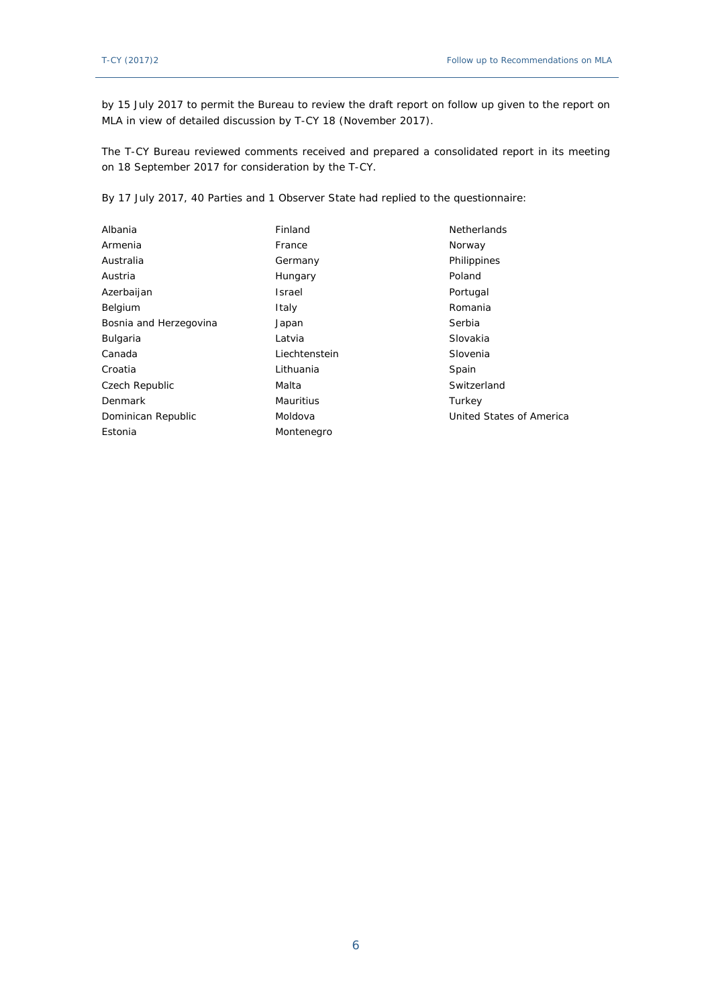by 15 July 2017 to permit the Bureau to review the draft report on follow up given to the report on MLA in view of detailed discussion by T-CY 18 (November 2017).

The T-CY Bureau reviewed comments received and prepared a consolidated report in its meeting on 18 September 2017 for consideration by the T-CY.

By 17 July 2017, 40 Parties and 1 Observer State had replied to the questionnaire:

| Albania                | Finland          | <b>Netherlands</b>       |
|------------------------|------------------|--------------------------|
| Armenia                | France           | Norway                   |
| Australia              | Germany          | Philippines              |
| Austria                | Hungary          | Poland                   |
| Azerbaijan             | Israel           | Portugal                 |
| Belgium                | Italy            | Romania                  |
| Bosnia and Herzegovina | Japan            | Serbia                   |
| Bulgaria               | Latvia           | Slovakia                 |
| Canada                 | Liechtenstein    | Slovenia                 |
| Croatia                | Lithuania        | Spain                    |
| Czech Republic         | Malta            | Switzerland              |
| Denmark                | <b>Mauritius</b> | Turkey                   |
| Dominican Republic     | Moldova          | United States of America |
| Estonia                | Montenegro       |                          |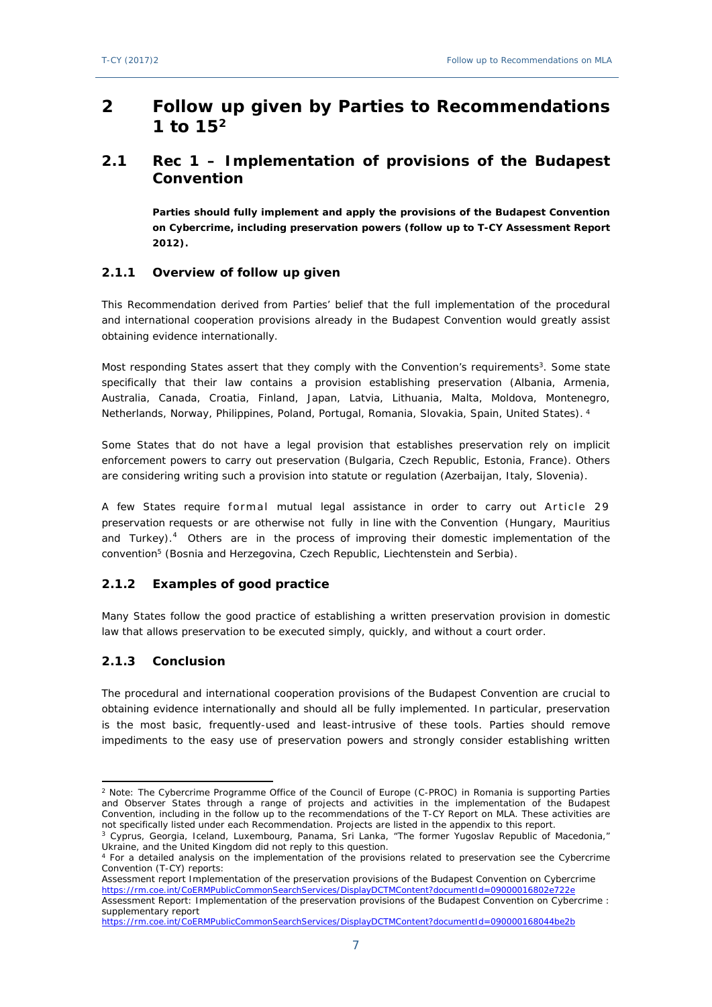# <span id="page-6-0"></span>**2 Follow up given by Parties to Recommendations 1 to 15<sup>2</sup>**

# <span id="page-6-1"></span>**2.1 Rec 1 – Implementation of provisions of the Budapest Convention**

**Parties should fully implement and apply the provisions of the Budapest Convention on Cybercrime, including preservation powers (follow up to T-CY Assessment Report 2012).**

#### <span id="page-6-2"></span>**2.1.1 Overview of follow up given**

This Recommendation derived from Parties' belief that the full implementation of the procedural and international cooperation provisions already in the Budapest Convention would greatly assist obtaining evidence internationally.

Most responding States assert that they comply with the Convention's requirements<sup>3</sup>. Some state specifically that their law contains a provision establishing preservation (Albania, Armenia, Australia, Canada, Croatia, Finland, Japan, Latvia, Lithuania, Malta, Moldova, Montenegro, Netherlands, Norway, Philippines, Poland, Portugal, Romania, Slovakia, Spain, United States).<sup>4</sup>

Some States that do not have a legal provision that establishes preservation rely on implicit enforcement powers to carry out preservation (Bulgaria, Czech Republic, Estonia, France). Others are considering writing such a provision into statute or regulation (Azerbaijan, Italy, Slovenia).

A few States require formal mutual legal assistance in order to carry out Article 29 preservation requests or are otherwise not fully in line with the Convention (Hungary, Mauritius and Turkey). $4$  Others are in the process of improving their domestic implementation of the convention<sup>5</sup> (Bosnia and Herzegovina, Czech Republic, Liechtenstein and Serbia).

### <span id="page-6-3"></span>**2.1.2 Examples of good practice**

Many States follow the good practice of establishing a written preservation provision in domestic law that allows preservation to be executed simply, quickly, and without a court order.

### <span id="page-6-4"></span>**2.1.3 Conclusion**

The procedural and international cooperation provisions of the Budapest Convention are crucial to obtaining evidence internationally and should all be fully implemented. In particular, preservation is the most basic, frequently-used and least-intrusive of these tools. Parties should remove impediments to the easy use of preservation powers and strongly consider establishing written

Assessment report Implementation of the preservation provisions of the Budapest Convention on Cybercrime <https://rm.coe.int/CoERMPublicCommonSearchServices/DisplayDCTMContent?documentId=09000016802e722e> [Assessment Report: Implementation of the preservation provisions of the Budapest Convention on Cybercrime :](http://rm.coe.int/CoERMPublicCommonSearchServices/DisplayDCTMContent?documentId=090000168044be2b) 

<sup>2</sup> Note: The Cybercrime Programme Office of the Council of Europe (C-PROC) in Romania is supporting Parties and Observer States through a range of projects and activities in the implementation of the Budapest Convention, including in the follow up to the recommendations of the T-CY Report on MLA. These activities are not specifically listed under each Recommendation. Projects are listed in the appendix to this report.

<sup>3</sup> Cyprus, Georgia, Iceland, Luxembourg, Panama, Sri Lanka, "The former Yugoslav Republic of Macedonia," Ukraine, and the United Kingdom did not reply to this question.

<sup>4</sup> For a detailed analysis on the implementation of the provisions related to preservation see the Cybercrime Convention (T-CY) reports:

[supplementary report](http://rm.coe.int/CoERMPublicCommonSearchServices/DisplayDCTMContent?documentId=090000168044be2b) <https://rm.coe.int/CoERMPublicCommonSearchServices/DisplayDCTMContent?documentId=090000168044be2b>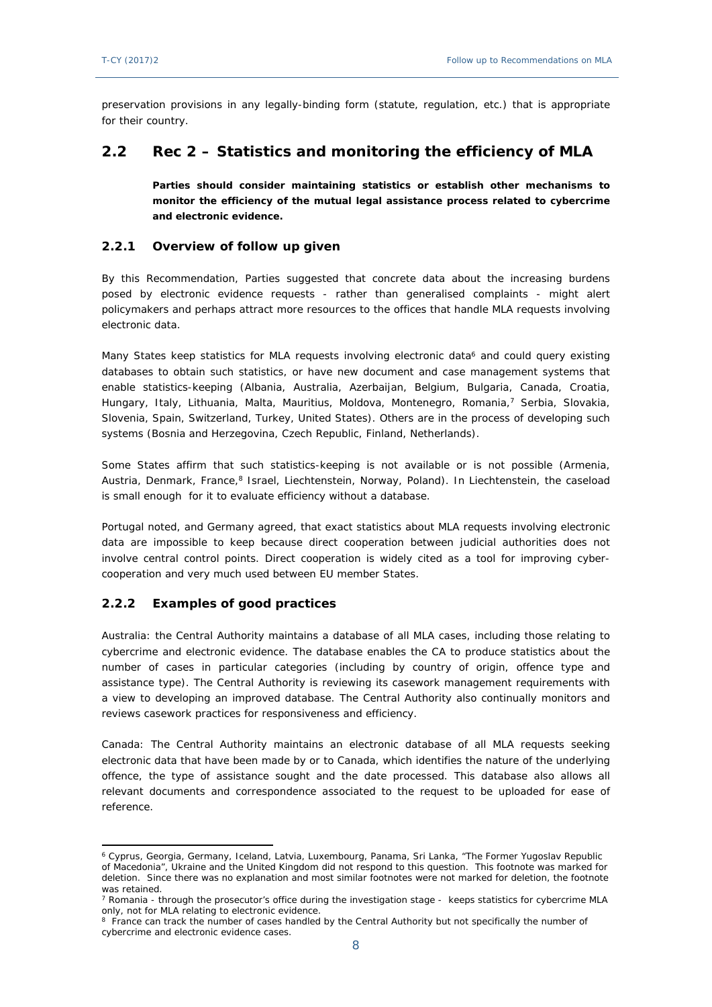preservation provisions in any legally-binding form (statute, regulation, etc.) that is appropriate for their country.

# <span id="page-7-0"></span>**2.2 Rec 2 – Statistics and monitoring the efficiency of MLA**

**Parties should consider maintaining statistics or establish other mechanisms to monitor the efficiency of the mutual legal assistance process related to cybercrime and electronic evidence.** 

### <span id="page-7-1"></span>**2.2.1 Overview of follow up given**

By this Recommendation, Parties suggested that concrete data about the increasing burdens posed by electronic evidence requests - rather than generalised complaints - might alert policymakers and perhaps attract more resources to the offices that handle MLA requests involving electronic data.

Many States keep statistics for MLA requests involving electronic data<sup>6</sup> and could query existing databases to obtain such statistics, or have new document and case management systems that enable statistics-keeping (Albania, Australia, Azerbaijan, Belgium, Bulgaria, Canada, Croatia, Hungary, Italy, Lithuania, Malta, Mauritius, Moldova, Montenegro, Romania,<sup>7</sup> Serbia, Slovakia, Slovenia, Spain, Switzerland, Turkey, United States). Others are in the process of developing such systems (Bosnia and Herzegovina, Czech Republic, Finland, Netherlands).

Some States affirm that such statistics-keeping is not available or is not possible (Armenia, Austria, Denmark, France,<sup>8</sup> Israel, Liechtenstein, Norway, Poland). In Liechtenstein, the caseload is small enough for it to evaluate efficiency without a database.

Portugal noted, and Germany agreed, that exact statistics about MLA requests involving electronic data are impossible to keep because direct cooperation between judicial authorities does not involve central control points. Direct cooperation is widely cited as a tool for improving cybercooperation and very much used between EU member States.

### <span id="page-7-2"></span>**2.2.2 Examples of good practices**

Australia: the Central Authority maintains a database of all MLA cases, including those relating to cybercrime and electronic evidence. The database enables the CA to produce statistics about the number of cases in particular categories (including by country of origin, offence type and assistance type). The Central Authority is reviewing its casework management requirements with a view to developing an improved database. The Central Authority also continually monitors and reviews casework practices for responsiveness and efficiency.

Canada: The Central Authority maintains an electronic database of all MLA requests seeking electronic data that have been made by or to Canada, which identifies the nature of the underlying offence, the type of assistance sought and the date processed. This database also allows all relevant documents and correspondence associated to the request to be uploaded for ease of reference.

<sup>6</sup> Cyprus, Georgia, Germany, Iceland, Latvia, Luxembourg, Panama, Sri Lanka, "The Former Yugoslav Republic of Macedonia", Ukraine and the United Kingdom did not respond to this question. This footnote was marked for deletion. Since there was no explanation and most similar footnotes were not marked for deletion, the footnote was retained.

<sup>7</sup> Romania - through the prosecutor's office during the investigation stage - keeps statistics for cybercrime MLA only, not for MLA relating to electronic evidence.

<sup>&</sup>lt;sup>8</sup> France can track the number of cases handled by the Central Authority but not specifically the number of cybercrime and electronic evidence cases.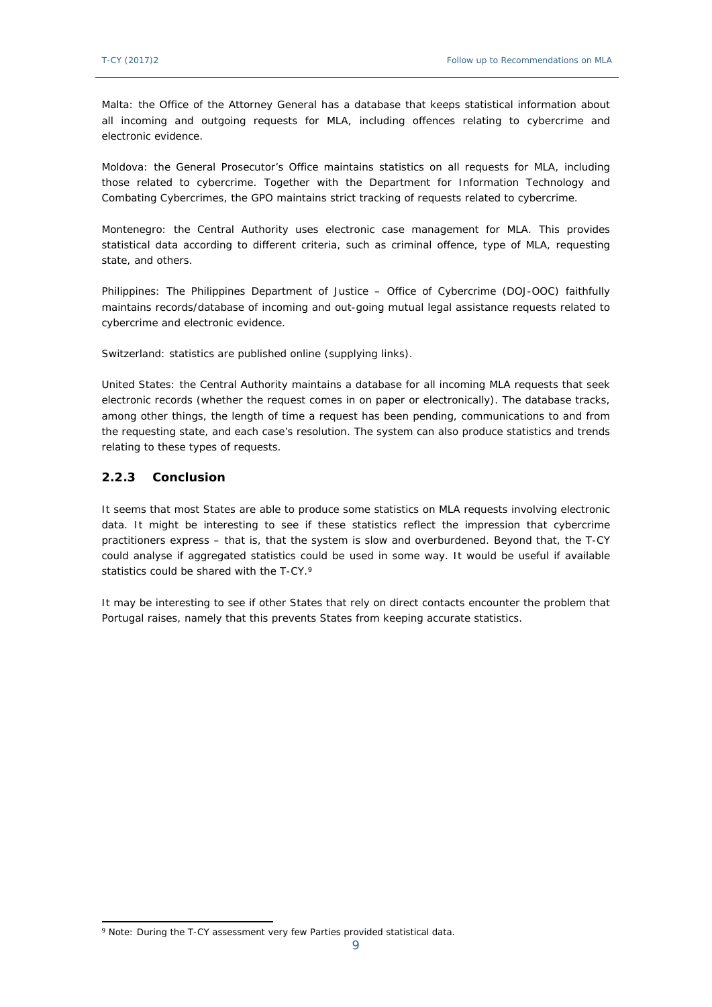Malta: the Office of the Attorney General has a database that keeps statistical information about all incoming and outgoing requests for MLA, including offences relating to cybercrime and electronic evidence.

Moldova: the General Prosecutor's Office maintains statistics on all requests for MLA, including those related to cybercrime. Together with the Department for Information Technology and Combating Cybercrimes, the GPO maintains strict tracking of requests related to cybercrime.

Montenegro: the Central Authority uses electronic case management for MLA. This provides statistical data according to different criteria, such as criminal offence, type of MLA, requesting state, and others.

Philippines: The Philippines Department of Justice – Office of Cybercrime (DOJ-OOC) faithfully maintains records/database of incoming and out-going mutual legal assistance requests related to cybercrime and electronic evidence.

Switzerland: statistics are published online (supplying links).

United States: the Central Authority maintains a database for all incoming MLA requests that seek electronic records (whether the request comes in on paper or electronically). The database tracks, among other things, the length of time a request has been pending, communications to and from the requesting state, and each case's resolution. The system can also produce statistics and trends relating to these types of requests.

#### <span id="page-8-0"></span>**2.2.3 Conclusion**

It seems that most States are able to produce some statistics on MLA requests involving electronic data. It might be interesting to see if these statistics reflect the impression that cybercrime practitioners express – that is, that the system is slow and overburdened. Beyond that, the T-CY could analyse if aggregated statistics could be used in some way. It would be useful if available statistics could be shared with the T-CY.<sup>9</sup>

<span id="page-8-1"></span>It may be interesting to see if other States that rely on direct contacts encounter the problem that Portugal raises, namely that this prevents States from keeping accurate statistics.

<sup>&</sup>lt;sup>9</sup> Note: During the T-CY assessment very few Parties provided statistical data.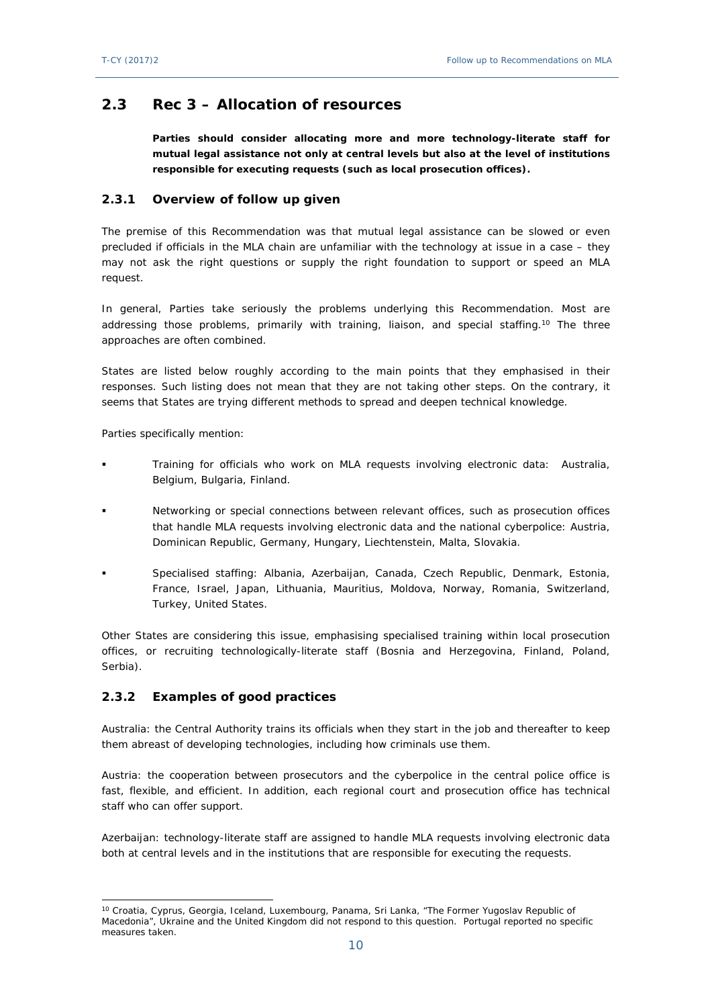## **2.3 Rec 3 – Allocation of resources**

**Parties should consider allocating more and more technology-literate staff for mutual legal assistance not only at central levels but also at the level of institutions responsible for executing requests (such as local prosecution offices).**

#### <span id="page-9-0"></span>**2.3.1 Overview of follow up given**

The premise of this Recommendation was that mutual legal assistance can be slowed or even precluded if officials in the MLA chain are unfamiliar with the technology at issue in a case – they may not ask the right questions or supply the right foundation to support or speed an MLA request.

In general, Parties take seriously the problems underlying this Recommendation. Most are addressing those problems, primarily with training, liaison, and special staffing.<sup>10</sup> The three approaches are often combined.

States are listed below roughly according to the main points that they emphasised in their responses. Such listing does not mean that they are not taking other steps. On the contrary, it seems that States are trying different methods to spread and deepen technical knowledge.

Parties specifically mention:

- Training for officials who work on MLA requests involving electronic data: Australia, Belgium, Bulgaria, Finland.
- Networking or special connections between relevant offices, such as prosecution offices that handle MLA requests involving electronic data and the national cyberpolice: Austria, Dominican Republic, Germany, Hungary, Liechtenstein, Malta, Slovakia.
- Specialised staffing: Albania, Azerbaijan, Canada, Czech Republic, Denmark, Estonia, France, Israel, Japan, Lithuania, Mauritius, Moldova, Norway, Romania, Switzerland, Turkey, United States.

Other States are considering this issue, emphasising specialised training within local prosecution offices, or recruiting technologically-literate staff (Bosnia and Herzegovina, Finland, Poland, Serbia).

### <span id="page-9-1"></span>**2.3.2 Examples of good practices**

Australia: the Central Authority trains its officials when they start in the job and thereafter to keep them abreast of developing technologies, including how criminals use them.

Austria: the cooperation between prosecutors and the cyberpolice in the central police office is fast, flexible, and efficient. In addition, each regional court and prosecution office has technical staff who can offer support.

Azerbaijan: technology-literate staff are assigned to handle MLA requests involving electronic data both at central levels and in the institutions that are responsible for executing the requests.

<sup>10</sup> Croatia, Cyprus, Georgia, Iceland, Luxembourg, Panama, Sri Lanka, "The Former Yugoslav Republic of Macedonia", Ukraine and the United Kingdom did not respond to this question. Portugal reported no specific measures taken.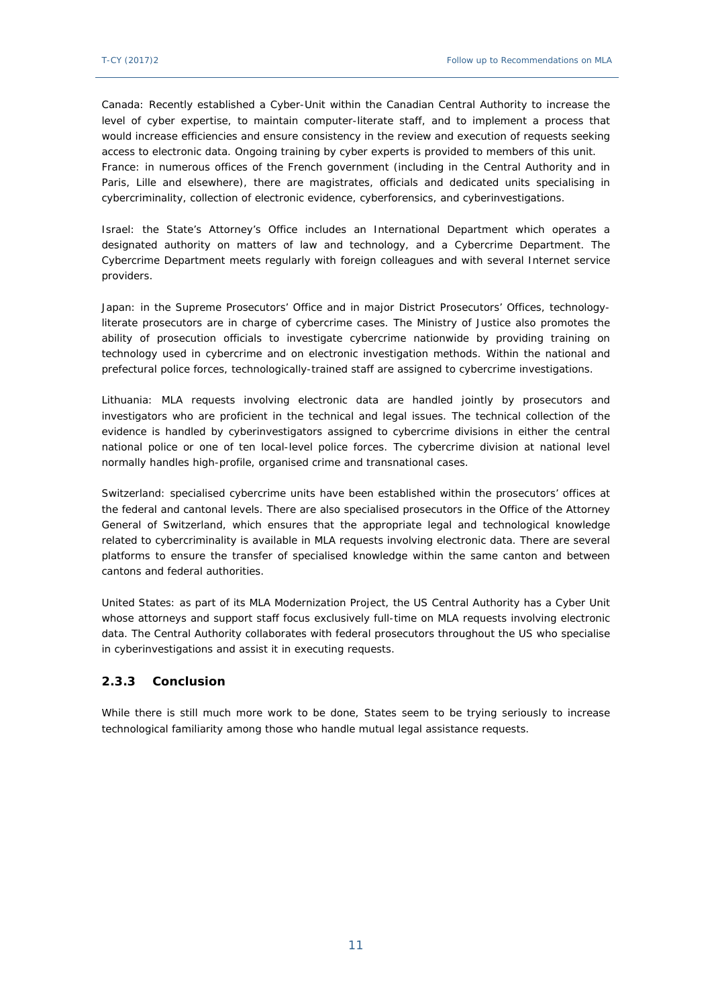Canada: Recently established a Cyber-Unit within the Canadian Central Authority to increase the level of cyber expertise, to maintain computer-literate staff, and to implement a process that would increase efficiencies and ensure consistency in the review and execution of requests seeking access to electronic data. Ongoing training by cyber experts is provided to members of this unit. France: in numerous offices of the French government (including in the Central Authority and in Paris, Lille and elsewhere), there are magistrates, officials and dedicated units specialising in cybercriminality, collection of electronic evidence, cyberforensics, and cyberinvestigations.

Israel: the State's Attorney's Office includes an International Department which operates a designated authority on matters of law and technology, and a Cybercrime Department. The Cybercrime Department meets regularly with foreign colleagues and with several Internet service providers.

Japan: in the Supreme Prosecutors' Office and in major District Prosecutors' Offices, technologyliterate prosecutors are in charge of cybercrime cases. The Ministry of Justice also promotes the ability of prosecution officials to investigate cybercrime nationwide by providing training on technology used in cybercrime and on electronic investigation methods. Within the national and prefectural police forces, technologically-trained staff are assigned to cybercrime investigations.

Lithuania: MLA requests involving electronic data are handled jointly by prosecutors and investigators who are proficient in the technical and legal issues. The technical collection of the evidence is handled by cyberinvestigators assigned to cybercrime divisions in either the central national police or one of ten local-level police forces. The cybercrime division at national level normally handles high-profile, organised crime and transnational cases.

Switzerland: specialised cybercrime units have been established within the prosecutors' offices at the federal and cantonal levels. There are also specialised prosecutors in the Office of the Attorney General of Switzerland, which ensures that the appropriate legal and technological knowledge related to cybercriminality is available in MLA requests involving electronic data. There are several platforms to ensure the transfer of specialised knowledge within the same canton and between cantons and federal authorities.

United States: as part of its MLA Modernization Project, the US Central Authority has a Cyber Unit whose attorneys and support staff focus exclusively full-time on MLA requests involving electronic data. The Central Authority collaborates with federal prosecutors throughout the US who specialise in cyberinvestigations and assist it in executing requests.

#### <span id="page-10-0"></span>**2.3.3 Conclusion**

<span id="page-10-1"></span>While there is still much more work to be done, States seem to be trying seriously to increase technological familiarity among those who handle mutual legal assistance requests.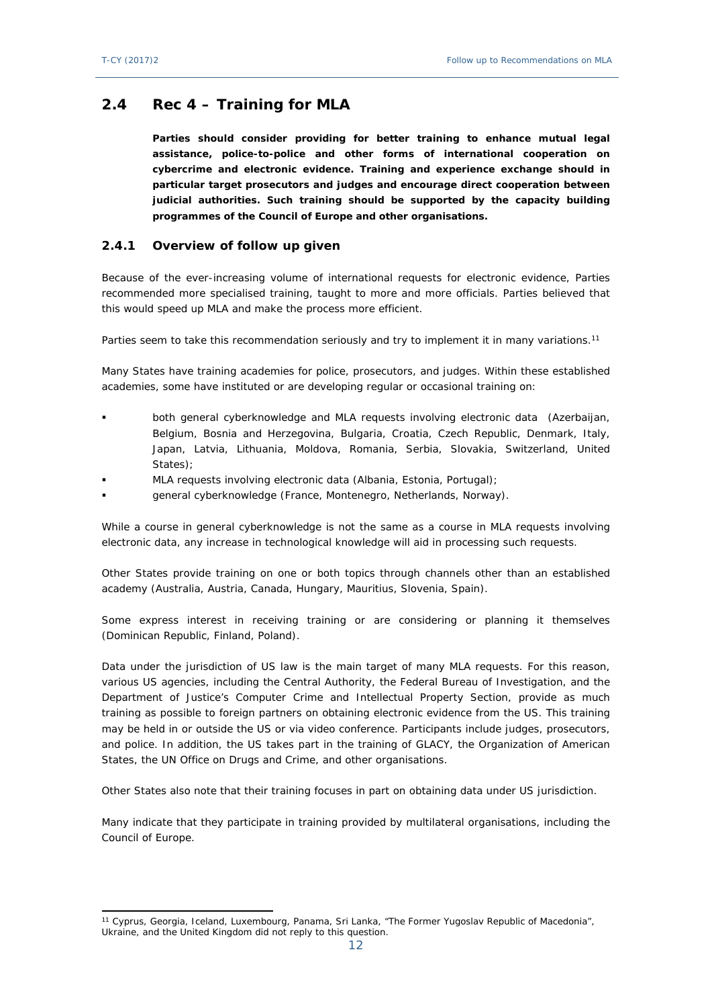# **2.4 Rec 4 – Training for MLA**

**Parties should consider providing for better training to enhance mutual legal assistance, police-to-police and other forms of international cooperation on cybercrime and electronic evidence. Training and experience exchange should in particular target prosecutors and judges and encourage direct cooperation between judicial authorities. Such training should be supported by the capacity building programmes of the Council of Europe and other organisations***.*

### <span id="page-11-0"></span>**2.4.1 Overview of follow up given**

Because of the ever-increasing volume of international requests for electronic evidence, Parties recommended more specialised training, taught to more and more officials. Parties believed that this would speed up MLA and make the process more efficient.

Parties seem to take this recommendation seriously and try to implement it in many variations.<sup>11</sup>

Many States have training academies for police, prosecutors, and judges. Within these established academies, some have instituted or are developing regular or occasional training on:

- both general cyberknowledge and MLA requests involving electronic data (Azerbaijan, Belgium, Bosnia and Herzegovina, Bulgaria, Croatia, Czech Republic, Denmark, Italy, Japan, Latvia, Lithuania, Moldova, Romania, Serbia, Slovakia, Switzerland, United States);
- MLA requests involving electronic data (Albania, Estonia, Portugal);
- general cyberknowledge (France, Montenegro, Netherlands, Norway).

While a course in general cyberknowledge is not the same as a course in MLA requests involving electronic data, any increase in technological knowledge will aid in processing such requests.

Other States provide training on one or both topics through channels other than an established academy (Australia, Austria, Canada, Hungary, Mauritius, Slovenia, Spain).

Some express interest in receiving training or are considering or planning it themselves (Dominican Republic, Finland, Poland).

Data under the jurisdiction of US law is the main target of many MLA requests. For this reason, various US agencies, including the Central Authority, the Federal Bureau of Investigation, and the Department of Justice's Computer Crime and Intellectual Property Section, provide as much training as possible to foreign partners on obtaining electronic evidence from the US. This training may be held in or outside the US or via video conference. Participants include judges, prosecutors, and police. In addition, the US takes part in the training of GLACY, the Organization of American States, the UN Office on Drugs and Crime, and other organisations.

Other States also note that their training focuses in part on obtaining data under US jurisdiction.

<span id="page-11-1"></span>Many indicate that they participate in training provided by multilateral organisations, including the Council of Europe.

<sup>11</sup> Cyprus, Georgia, Iceland, Luxembourg, Panama, Sri Lanka, "The Former Yugoslav Republic of Macedonia", Ukraine, and the United Kingdom did not reply to this question.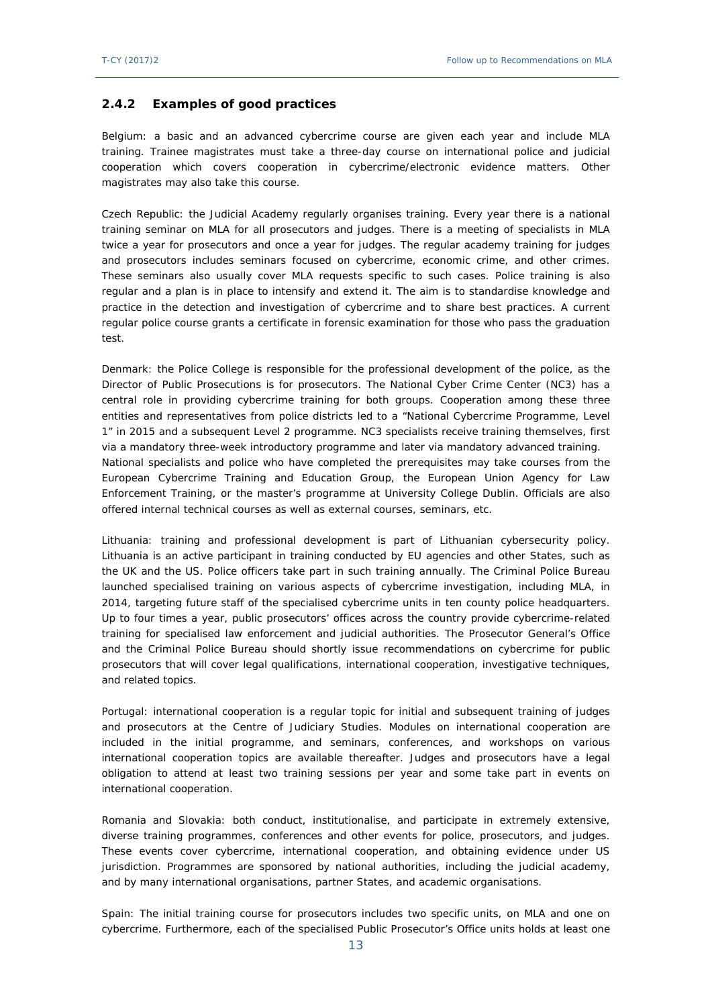#### **2.4.2 Examples of good practices**

Belgium: a basic and an advanced cybercrime course are given each year and include MLA training. Trainee magistrates must take a three-day course on international police and judicial cooperation which covers cooperation in cybercrime/electronic evidence matters. Other magistrates may also take this course.

Czech Republic: the Judicial Academy regularly organises training. Every year there is a national training seminar on MLA for all prosecutors and judges. There is a meeting of specialists in MLA twice a year for prosecutors and once a year for judges. The regular academy training for judges and prosecutors includes seminars focused on cybercrime, economic crime, and other crimes. These seminars also usually cover MLA requests specific to such cases. Police training is also regular and a plan is in place to intensify and extend it. The aim is to standardise knowledge and practice in the detection and investigation of cybercrime and to share best practices. A current regular police course grants a certificate in forensic examination for those who pass the graduation test.

Denmark: the Police College is responsible for the professional development of the police, as the Director of Public Prosecutions is for prosecutors. The National Cyber Crime Center (NC3) has a central role in providing cybercrime training for both groups. Cooperation among these three entities and representatives from police districts led to a "National Cybercrime Programme, Level 1" in 2015 and a subsequent Level 2 programme. NC3 specialists receive training themselves, first via a mandatory three-week introductory programme and later via mandatory advanced training. National specialists and police who have completed the prerequisites may take courses from the [European Cybercrime Training and Education Group](http://www.ecteg.eu/), the [European Union Agency for Law](https://www.google.com/url?sa=t&rct=j&q=&esrc=s&source=web&cd=1&ved=0ahUKEwjXmuaxxcLTAhVHMSYKHSL2C5QQFggiMAA&url=https%3A%2F%2Fwww.cepol.europa.eu%2F&usg=AFQjCNHYF_vtibMakBQxtS7ydV360JQSRQ)  [Enforcement Training,](https://www.google.com/url?sa=t&rct=j&q=&esrc=s&source=web&cd=1&ved=0ahUKEwjXmuaxxcLTAhVHMSYKHSL2C5QQFggiMAA&url=https%3A%2F%2Fwww.cepol.europa.eu%2F&usg=AFQjCNHYF_vtibMakBQxtS7ydV360JQSRQ) or the master's programme at University College Dublin. Officials are also offered internal technical courses as well as external courses, seminars, etc.

Lithuania: training and professional development is part of Lithuanian cybersecurity policy. Lithuania is an active participant in training conducted by EU agencies and other States, such as the UK and the US. Police officers take part in such training annually. The Criminal Police Bureau launched specialised training on various aspects of cybercrime investigation, including MLA, in 2014, targeting future staff of the specialised cybercrime units in ten county police headquarters. Up to four times a year, public prosecutors' offices across the country provide cybercrime-related training for specialised law enforcement and judicial authorities. The Prosecutor General's Office and the Criminal Police Bureau should shortly issue recommendations on cybercrime for public prosecutors that will cover legal qualifications, international cooperation, investigative techniques, and related topics.

Portugal: international cooperation is a regular topic for initial and subsequent training of judges and prosecutors at the Centre of Judiciary Studies. Modules on international cooperation are included in the initial programme, and seminars, conferences, and workshops on various international cooperation topics are available thereafter. Judges and prosecutors have a legal obligation to attend at least two training sessions per year and some take part in events on international cooperation.

Romania and Slovakia: both conduct, institutionalise, and participate in extremely extensive, diverse training programmes, conferences and other events for police, prosecutors, and judges. These events cover cybercrime, international cooperation, and obtaining evidence under US jurisdiction. Programmes are sponsored by national authorities, including the judicial academy, and by many international organisations, partner States, and academic organisations.

Spain: The initial training course for prosecutors includes two specific units, on MLA and one on cybercrime. Furthermore, each of the specialised Public Prosecutor's Office units holds at least one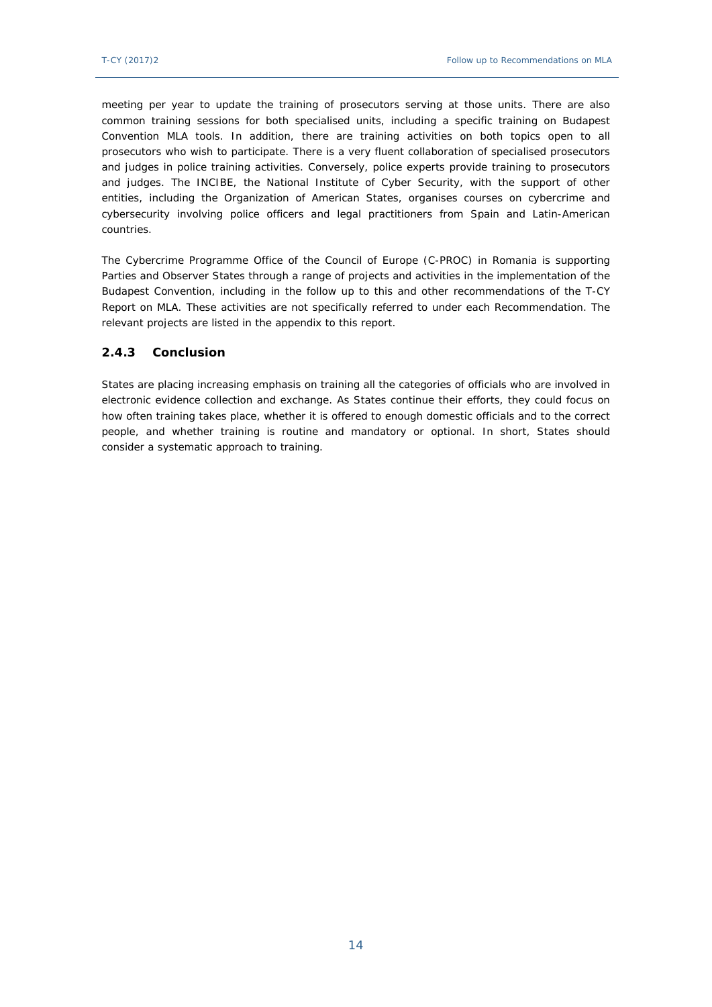meeting per year to update the training of prosecutors serving at those units. There are also common training sessions for both specialised units, including a specific training on Budapest Convention MLA tools. In addition, there are training activities on both topics open to all prosecutors who wish to participate. There is a very fluent collaboration of specialised prosecutors and judges in police training activities. Conversely, police experts provide training to prosecutors and judges. The INCIBE, the National Institute of Cyber Security, with the support of other entities, including the Organization of American States, organises courses on cybercrime and cybersecurity involving police officers and legal practitioners from Spain and Latin-American countries.

The Cybercrime Programme Office of the Council of Europe (C-PROC) in Romania is supporting Parties and Observer States through a range of projects and activities in the implementation of the Budapest Convention, including in the follow up to this and other recommendations of the T-CY Report on MLA. These activities are not specifically referred to under each Recommendation. The relevant projects are listed in the appendix to this report.

#### <span id="page-13-0"></span>**2.4.3 Conclusion**

States are placing increasing emphasis on training all the categories of officials who are involved in electronic evidence collection and exchange. As States continue their efforts, they could focus on how often training takes place, whether it is offered to enough domestic officials and to the correct people, and whether training is routine and mandatory or optional. In short, States should consider a systematic approach to training.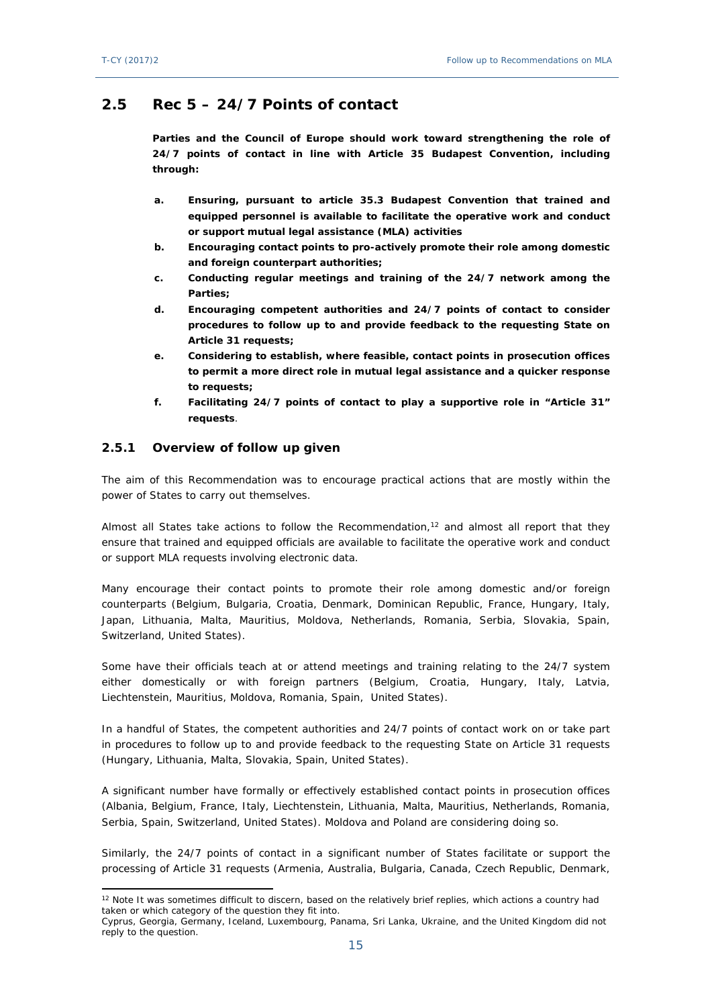## <span id="page-14-0"></span>**2.5 Rec 5 – 24/7 Points of contact**

**Parties and the Council of Europe should work toward strengthening the role of 24/7 points of contact in line with Article 35 Budapest Convention, including through:**

- **a. Ensuring, pursuant to article 35.3 Budapest Convention that trained and equipped personnel is available to facilitate the operative work and conduct or support mutual legal assistance (MLA) activities**
- **b. Encouraging contact points to pro-actively promote their role among domestic and foreign counterpart authorities;**
- **c. Conducting regular meetings and training of the 24/7 network among the Parties;**
- **d. Encouraging competent authorities and 24/7 points of contact to consider procedures to follow up to and provide feedback to the requesting State on Article 31 requests;**
- **e. Considering to establish, where feasible, contact points in prosecution offices to permit a more direct role in mutual legal assistance and a quicker response to requests;**
- **f. Facilitating 24/7 points of contact to play a supportive role in "Article 31" requests**.

#### <span id="page-14-1"></span>**2.5.1 Overview of follow up given**

The aim of this Recommendation was to encourage practical actions that are mostly within the power of States to carry out themselves.

Almost all States take actions to follow the Recommendation, $12$  and almost all report that they ensure that trained and equipped officials are available to facilitate the operative work and conduct or support MLA requests involving electronic data.

Many encourage their contact points to promote their role among domestic and/or foreign counterparts (Belgium, Bulgaria, Croatia, Denmark, Dominican Republic, France, Hungary, Italy, Japan, Lithuania, Malta, Mauritius, Moldova, Netherlands, Romania, Serbia, Slovakia, Spain, Switzerland, United States).

Some have their officials teach at or attend meetings and training relating to the 24/7 system either domestically or with foreign partners (Belgium, Croatia, Hungary, Italy, Latvia, Liechtenstein, Mauritius, Moldova, Romania, Spain, United States).

In a handful of States, the competent authorities and 24/7 points of contact work on or take part in procedures to follow up to and provide feedback to the requesting State on Article 31 requests (Hungary, Lithuania, Malta, Slovakia, Spain, United States).

A significant number have formally or effectively established contact points in prosecution offices (Albania, Belgium, France, Italy, Liechtenstein, Lithuania, Malta, Mauritius, Netherlands, Romania, Serbia, Spain, Switzerland, United States). Moldova and Poland are considering doing so.

Similarly, the 24/7 points of contact in a significant number of States facilitate or support the processing of Article 31 requests (Armenia, Australia, Bulgaria, Canada, Czech Republic, Denmark,

<sup>&</sup>lt;sup>12</sup> Note It was sometimes difficult to discern, based on the relatively brief replies, which actions a country had taken or which category of the question they fit into.

Cyprus, Georgia, Germany, Iceland, Luxembourg, Panama, Sri Lanka, Ukraine, and the United Kingdom did not reply to the question.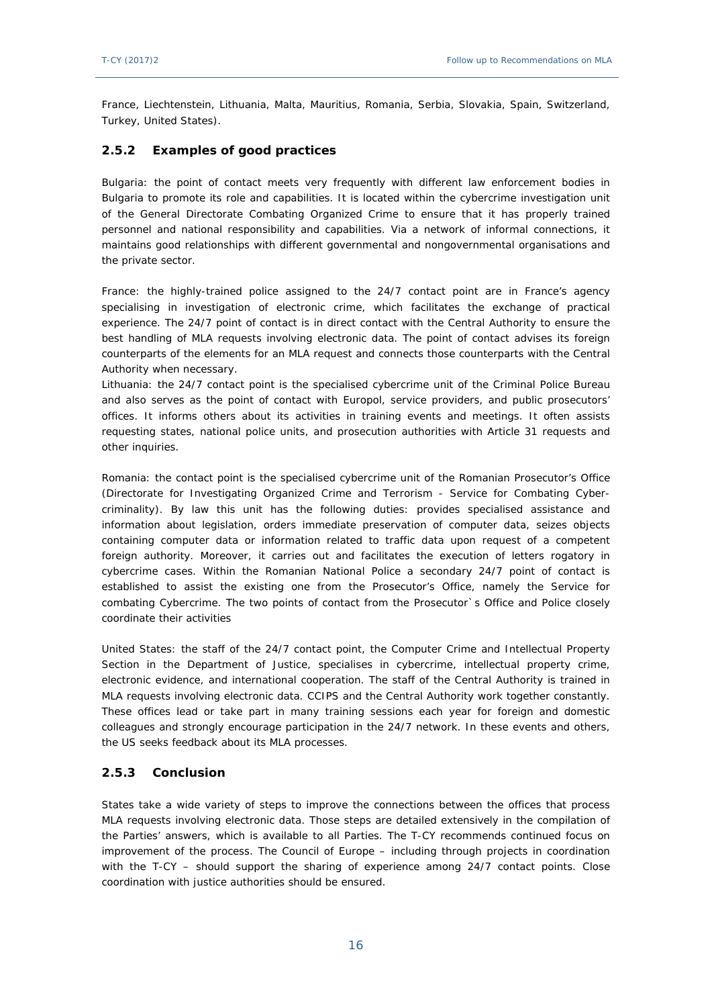France, Liechtenstein, Lithuania, Malta, Mauritius, Romania, Serbia, Slovakia, Spain, Switzerland, Turkey, United States).

#### <span id="page-15-0"></span>**2.5.2 Examples of good practices**

Bulgaria: the point of contact meets very frequently with different law enforcement bodies in Bulgaria to promote its role and capabilities. It is located within the cybercrime investigation unit of the General Directorate Combating Organized Crime to ensure that it has properly trained personnel and national responsibility and capabilities. Via a network of informal connections, it maintains good relationships with different governmental and nongovernmental organisations and the private sector.

France: the highly-trained police assigned to the 24/7 contact point are in France's agency specialising in investigation of electronic crime, which facilitates the exchange of practical experience. The 24/7 point of contact is in direct contact with the Central Authority to ensure the best handling of MLA requests involving electronic data. The point of contact advises its foreign counterparts of the elements for an MLA request and connects those counterparts with the Central Authority when necessary.

Lithuania: the 24/7 contact point is the specialised cybercrime unit of the Criminal Police Bureau and also serves as the point of contact with Europol, service providers, and public prosecutors' offices. It informs others about its activities in training events and meetings. It often assists requesting states, national police units, and prosecution authorities with Article 31 requests and other inquiries.

Romania: the contact point is the specialised cybercrime unit of the Romanian Prosecutor's Office (Directorate for Investigating Organized Crime and Terrorism - Service for Combating Cybercriminality). By law this unit has the following duties: provides specialised assistance and information about legislation, orders immediate preservation of computer data, seizes objects containing computer data or information related to traffic data upon request of a competent foreign authority. Moreover, it carries out and facilitates the execution of letters rogatory in cybercrime cases. Within the Romanian National Police a secondary 24/7 point of contact is established to assist the existing one from the Prosecutor's Office, namely the Service for combating Cybercrime. The two points of contact from the Prosecutor`s Office and Police closely coordinate their activities

United States: the staff of the 24/7 contact point, the Computer Crime and Intellectual Property Section in the Department of Justice, specialises in cybercrime, intellectual property crime, electronic evidence, and international cooperation. The staff of the Central Authority is trained in MLA requests involving electronic data. CCIPS and the Central Authority work together constantly. These offices lead or take part in many training sessions each year for foreign and domestic colleagues and strongly encourage participation in the 24/7 network. In these events and others, the US seeks feedback about its MLA processes.

#### <span id="page-15-1"></span>**2.5.3 Conclusion**

States take a wide variety of steps to improve the connections between the offices that process MLA requests involving electronic data. Those steps are detailed extensively in the compilation of the Parties' answers, which is available to all Parties. The T-CY recommends continued focus on improvement of the process. The Council of Europe – including through projects in coordination with the T-CY – should support the sharing of experience among 24/7 contact points. Close coordination with justice authorities should be ensured.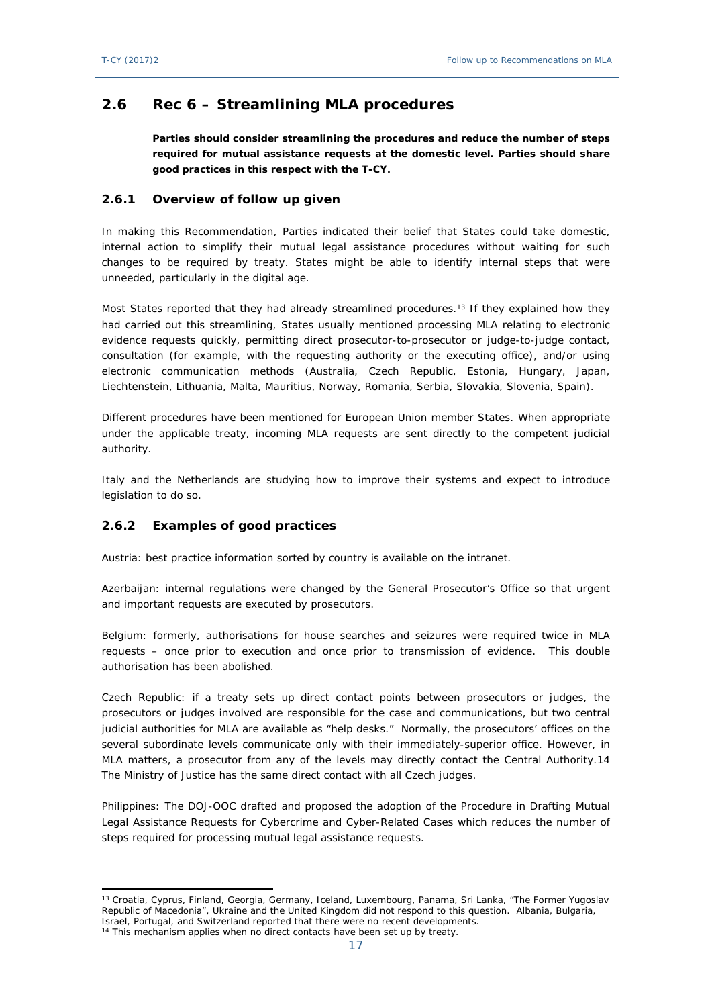# <span id="page-16-0"></span>**2.6 Rec 6 – Streamlining MLA procedures**

**Parties should consider streamlining the procedures and reduce the number of steps required for mutual assistance requests at the domestic level. Parties should share good practices in this respect with the T-CY.**

#### <span id="page-16-1"></span>**2.6.1 Overview of follow up given**

In making this Recommendation, Parties indicated their belief that States could take domestic, internal action to simplify their mutual legal assistance procedures without waiting for such changes to be required by treaty. States might be able to identify internal steps that were unneeded, particularly in the digital age.

Most States reported that they had already streamlined procedures.<sup>13</sup> If they explained how they had carried out this streamlining, States usually mentioned processing MLA relating to electronic evidence requests quickly, permitting direct prosecutor-to-prosecutor or judge-to-judge contact, consultation (for example, with the requesting authority or the executing office), and/or using electronic communication methods (Australia, Czech Republic, Estonia, Hungary, Japan, Liechtenstein, Lithuania, Malta, Mauritius, Norway, Romania, Serbia, Slovakia, Slovenia, Spain).

Different procedures have been mentioned for European Union member States. When appropriate under the applicable treaty, incoming MLA requests are sent directly to the competent judicial authority.

Italy and the Netherlands are studying how to improve their systems and expect to introduce legislation to do so.

#### <span id="page-16-2"></span>**2.6.2 Examples of good practices**

Austria: best practice information sorted by country is available on the intranet.

Azerbaijan: internal regulations were changed by the General Prosecutor's Office so that urgent and important requests are executed by prosecutors.

Belgium: formerly, authorisations for house searches and seizures were required twice in MLA requests – once prior to execution and once prior to transmission of evidence. This double authorisation has been abolished.

Czech Republic: if a treaty sets up direct contact points between prosecutors or judges, the prosecutors or judges involved are responsible for the case and communications, but two central judicial authorities for MLA are available as "help desks." Normally, the prosecutors' offices on the several subordinate levels communicate only with their immediately-superior office. However, in MLA matters, a prosecutor from any of the levels may directly contact the Central Authority.14 The Ministry of Justice has the same direct contact with all Czech judges.

Philippines: The DOJ-OOC drafted and proposed the adoption of the Procedure in Drafting Mutual Legal Assistance Requests for Cybercrime and Cyber-Related Cases which reduces the number of steps required for processing mutual legal assistance requests.

<sup>&</sup>lt;sup>13</sup> Croatia, Cyprus, Finland, Georgia, Germany, Iceland, Luxembourg, Panama, Sri Lanka, "The Former Yugoslav Republic of Macedonia", Ukraine and the United Kingdom did not respond to this question. Albania, Bulgaria, Israel, Portugal, and Switzerland reported that there were no recent developments.

<sup>&</sup>lt;sup>14</sup> This mechanism applies when no direct contacts have been set up by treaty.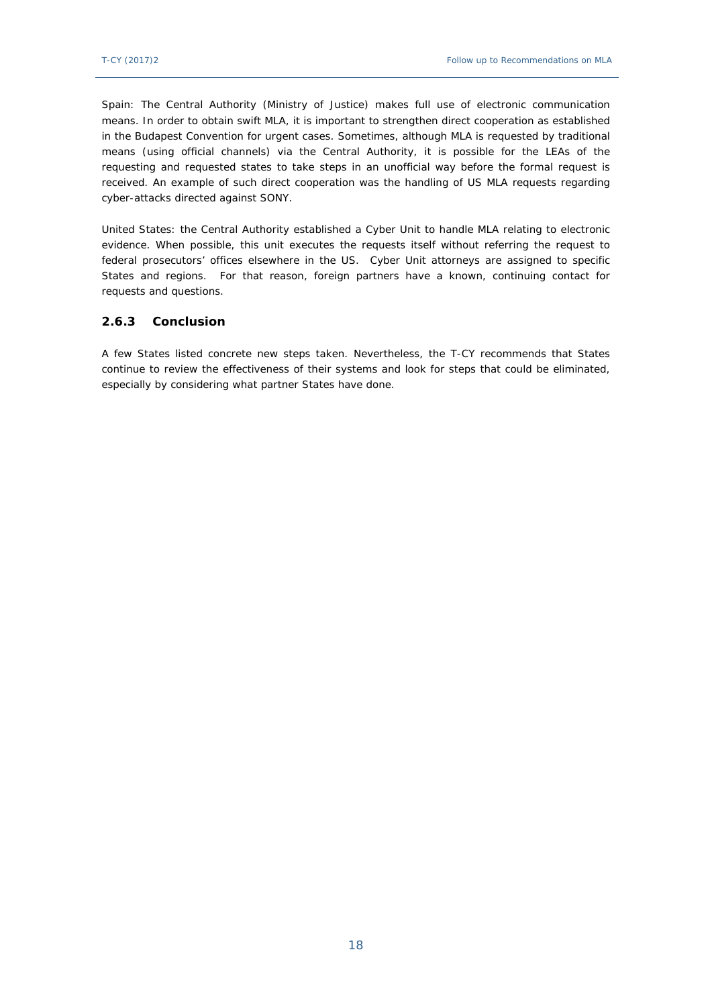Spain: The Central Authority (Ministry of Justice) makes full use of electronic communication means. In order to obtain swift MLA, it is important to strengthen direct cooperation as established in the Budapest Convention for urgent cases. Sometimes, although MLA is requested by traditional means (using official channels) via the Central Authority, it is possible for the LEAs of the requesting and requested states to take steps in an unofficial way before the formal request is received. An example of such direct cooperation was the handling of US MLA requests regarding cyber-attacks directed against SONY.

United States: the Central Authority established a Cyber Unit to handle MLA relating to electronic evidence. When possible, this unit executes the requests itself without referring the request to federal prosecutors' offices elsewhere in the US. Cyber Unit attorneys are assigned to specific States and regions. For that reason, foreign partners have a known, continuing contact for requests and questions.

### <span id="page-17-0"></span>**2.6.3 Conclusion**

<span id="page-17-1"></span>A few States listed concrete new steps taken. Nevertheless, the T-CY recommends that States continue to review the effectiveness of their systems and look for steps that could be eliminated, especially by considering what partner States have done.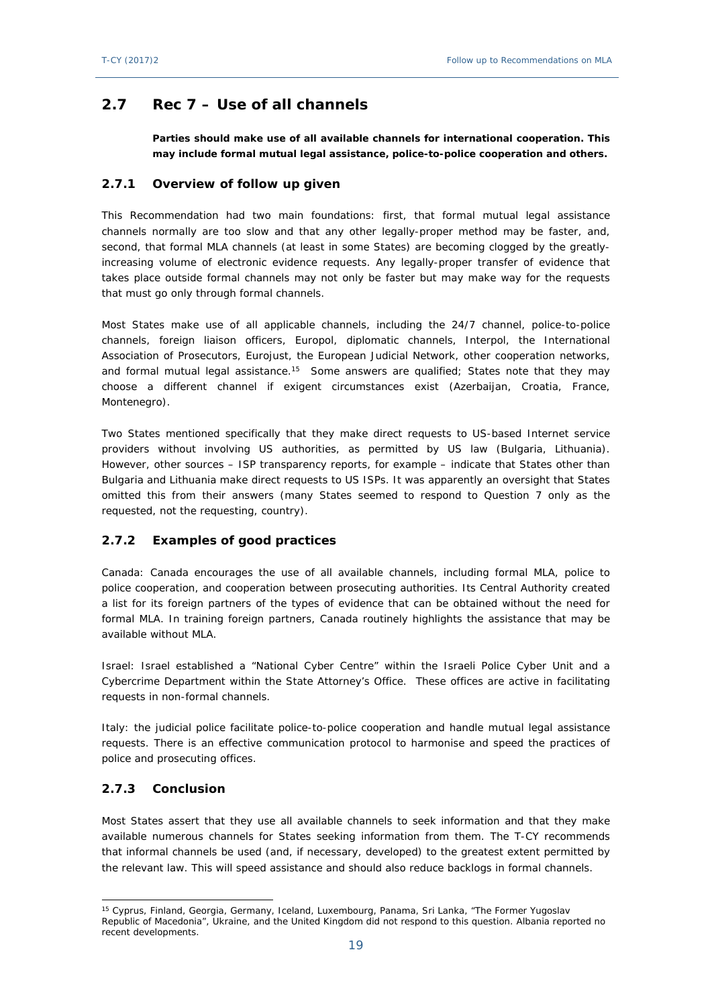# **2.7 Rec 7 – Use of all channels**

**Parties should make use of all available channels for international cooperation. This may include formal mutual legal assistance, police-to-police cooperation and others.**

### <span id="page-18-0"></span>**2.7.1 Overview of follow up given**

This Recommendation had two main foundations: first, that formal mutual legal assistance channels normally are too slow and that any other legally-proper method may be faster, and, second, that formal MLA channels (at least in some States) are becoming clogged by the greatlyincreasing volume of electronic evidence requests. Any legally-proper transfer of evidence that takes place outside formal channels may not only be faster but may make way for the requests that must go only through formal channels.

Most States make use of all applicable channels, including the 24/7 channel, police-to-police channels, foreign liaison officers, Europol, diplomatic channels, Interpol, the International Association of Prosecutors, Eurojust, the European Judicial Network, other cooperation networks, and formal mutual legal assistance.<sup>15</sup> Some answers are qualified; States note that they may choose a different channel if exigent circumstances exist (Azerbaijan, Croatia, France, Montenegro).

Two States mentioned specifically that they make direct requests to US-based Internet service providers without involving US authorities, as permitted by US law (Bulgaria, Lithuania). However, other sources – ISP transparency reports, for example – indicate that States other than Bulgaria and Lithuania make direct requests to US ISPs. It was apparently an oversight that States omitted this from their answers (many States seemed to respond to Question 7 only as the requested, not the requesting, country).

### <span id="page-18-1"></span>**2.7.2 Examples of good practices**

Canada: Canada encourages the use of all available channels, including formal MLA, police to police cooperation, and cooperation between prosecuting authorities. Its Central Authority created a list for its foreign partners of the types of evidence that can be obtained without the need for formal MLA. In training foreign partners, Canada routinely highlights the assistance that may be available without MLA.

Israel: Israel established a "National Cyber Centre" within the Israeli Police Cyber Unit and a Cybercrime Department within the State Attorney's Office. These offices are active in facilitating requests in non-formal channels.

Italy: the judicial police facilitate police-to-police cooperation and handle mutual legal assistance requests. There is an effective communication protocol to harmonise and speed the practices of police and prosecuting offices.

### <span id="page-18-2"></span>**2.7.3 Conclusion**

Most States assert that they use all available channels to seek information and that they make available numerous channels for States seeking information from them. The T-CY recommends that informal channels be used (and, if necessary, developed) to the greatest extent permitted by the relevant law. This will speed assistance and should also reduce backlogs in formal channels.

<sup>15</sup> Cyprus, Finland, Georgia, Germany, Iceland, Luxembourg, Panama, Sri Lanka, "The Former Yugoslav Republic of Macedonia", Ukraine, and the United Kingdom did not respond to this question. Albania reported no recent developments.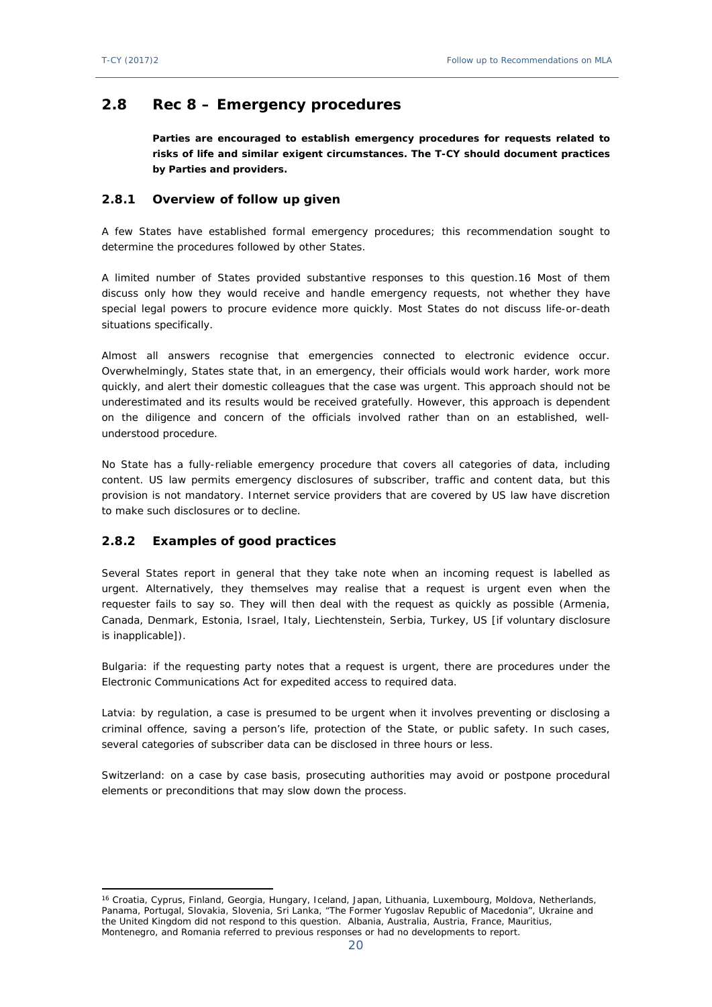## <span id="page-19-0"></span>**2.8 Rec 8 – Emergency procedures**

**Parties are encouraged to establish emergency procedures for requests related to risks of life and similar exigent circumstances. The T-CY should document practices by Parties and providers.**

#### <span id="page-19-1"></span>**2.8.1 Overview of follow up given**

A few States have established formal emergency procedures; this recommendation sought to determine the procedures followed by other States.

A limited number of States provided substantive responses to this question.16 Most of them discuss only how they would receive and handle emergency requests, not whether they have special legal powers to procure evidence more quickly. Most States do not discuss life-or-death situations specifically.

Almost all answers recognise that emergencies connected to electronic evidence occur. Overwhelmingly, States state that, in an emergency, their officials would work harder, work more quickly, and alert their domestic colleagues that the case was urgent. This approach should not be underestimated and its results would be received gratefully. However, this approach is dependent on the diligence and concern of the officials involved rather than on an established, wellunderstood procedure.

No State has a fully-reliable emergency procedure that covers all categories of data, including content. US law permits emergency disclosures of subscriber, traffic and content data, but this provision is not mandatory. Internet service providers that are covered by US law have discretion to make such disclosures or to decline.

### <span id="page-19-2"></span>**2.8.2 Examples of good practices**

Several States report in general that they take note when an incoming request is labelled as urgent. Alternatively, they themselves may realise that a request is urgent even when the requester fails to say so. They will then deal with the request as quickly as possible (Armenia, Canada, Denmark, Estonia, Israel, Italy, Liechtenstein, Serbia, Turkey, US [if voluntary disclosure is inapplicable]).

Bulgaria: if the requesting party notes that a request is urgent, there are procedures under the Electronic Communications Act for expedited access to required data.

Latvia: by regulation, a case is presumed to be urgent when it involves preventing or disclosing a criminal offence, saving a person's life, protection of the State, or public safety. In such cases, several categories of subscriber data can be disclosed in three hours or less.

<span id="page-19-3"></span>Switzerland: on a case by case basis, prosecuting authorities may avoid or postpone procedural elements or preconditions that may slow down the process.

<sup>16</sup> Croatia, Cyprus, Finland, Georgia, Hungary, Iceland, Japan, Lithuania, Luxembourg, Moldova, Netherlands, Panama, Portugal, Slovakia, Slovenia, Sri Lanka, "The Former Yugoslav Republic of Macedonia", Ukraine and the United Kingdom did not respond to this question. Albania, Australia, Austria, France, Mauritius, Montenegro, and Romania referred to previous responses or had no developments to report.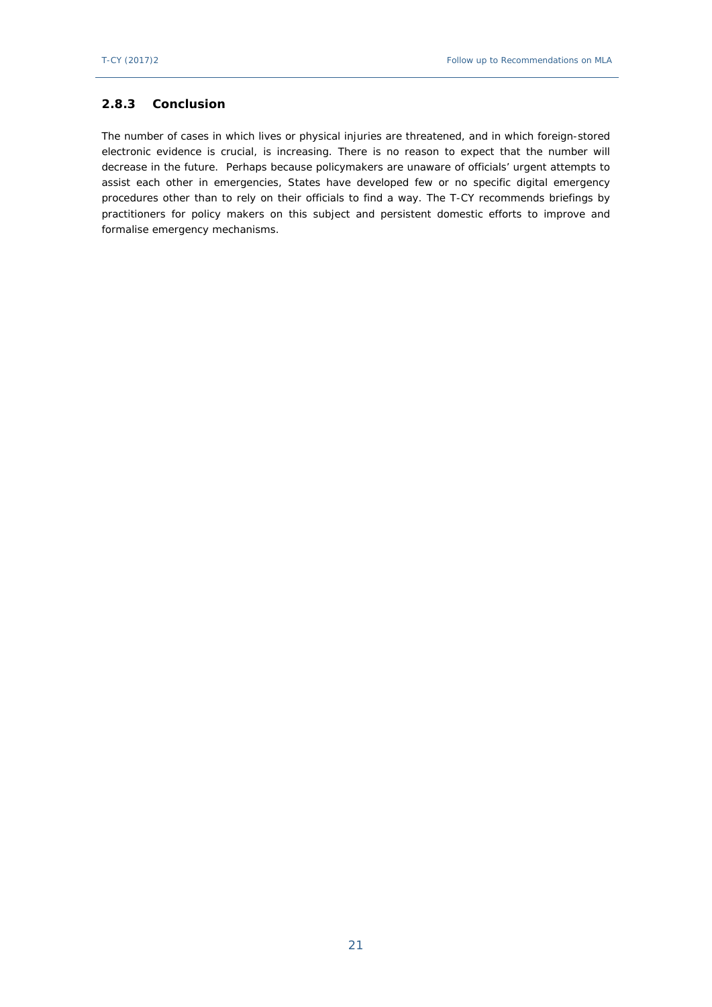#### **2.8.3 Conclusion**

<span id="page-20-0"></span>The number of cases in which lives or physical injuries are threatened, and in which foreign-stored electronic evidence is crucial, is increasing. There is no reason to expect that the number will decrease in the future. Perhaps because policymakers are unaware of officials' urgent attempts to assist each other in emergencies, States have developed few or no specific digital emergency procedures other than to rely on their officials to find a way. The T-CY recommends briefings by practitioners for policy makers on this subject and persistent domestic efforts to improve and formalise emergency mechanisms.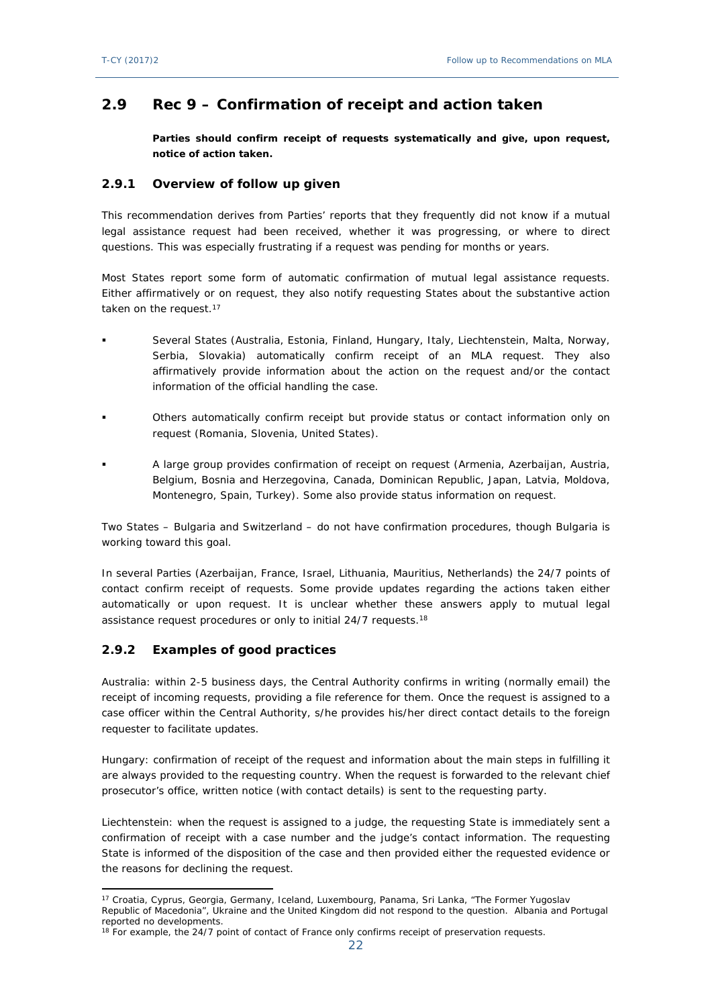# **2.9 Rec 9 – Confirmation of receipt and action taken**

**Parties should confirm receipt of requests systematically and give, upon request, notice of action taken.**

#### <span id="page-21-0"></span>**2.9.1 Overview of follow up given**

This recommendation derives from Parties' reports that they frequently did not know if a mutual legal assistance request had been received, whether it was progressing, or where to direct questions. This was especially frustrating if a request was pending for months or years.

Most States report some form of automatic confirmation of mutual legal assistance requests. Either affirmatively or on request, they also notify requesting States about the substantive action taken on the request.<sup>17</sup>

- Several States (Australia, Estonia, Finland, Hungary, Italy, Liechtenstein, Malta, Norway, Serbia, Slovakia) automatically confirm receipt of an MLA request. They also affirmatively provide information about the action on the request and/or the contact information of the official handling the case.
- Others automatically confirm receipt but provide status or contact information only on request (Romania, Slovenia, United States).
- A large group provides confirmation of receipt on request (Armenia, Azerbaijan, Austria, Belgium, Bosnia and Herzegovina, Canada, Dominican Republic, Japan, Latvia, Moldova, Montenegro, Spain, Turkey). Some also provide status information on request.

Two States – Bulgaria and Switzerland – do not have confirmation procedures, though Bulgaria is working toward this goal.

In several Parties (Azerbaijan, France, Israel, Lithuania, Mauritius, Netherlands) the 24/7 points of contact confirm receipt of requests. Some provide updates regarding the actions taken either automatically or upon request. It is unclear whether these answers apply to mutual legal assistance request procedures or only to initial 24/7 requests.<sup>18</sup>

#### <span id="page-21-1"></span>**2.9.2 Examples of good practices**

Australia: within 2-5 business days, the Central Authority confirms in writing (normally email) the receipt of incoming requests, providing a file reference for them. Once the request is assigned to a case officer within the Central Authority, s/he provides his/her direct contact details to the foreign requester to facilitate updates.

Hungary: confirmation of receipt of the request and information about the main steps in fulfilling it are always provided to the requesting country. When the request is forwarded to the relevant chief prosecutor's office, written notice (with contact details) is sent to the requesting party.

Liechtenstein: when the request is assigned to a judge, the requesting State is immediately sent a confirmation of receipt with a case number and the judge's contact information. The requesting State is informed of the disposition of the case and then provided either the requested evidence or the reasons for declining the request.

<sup>17</sup> Croatia, Cyprus, Georgia, Germany, Iceland, Luxembourg, Panama, Sri Lanka, "The Former Yugoslav Republic of Macedonia", Ukraine and the United Kingdom did not respond to the question. Albania and Portugal reported no developments.

<sup>&</sup>lt;sup>18</sup> For example, the 24/7 point of contact of France only confirms receipt of preservation requests.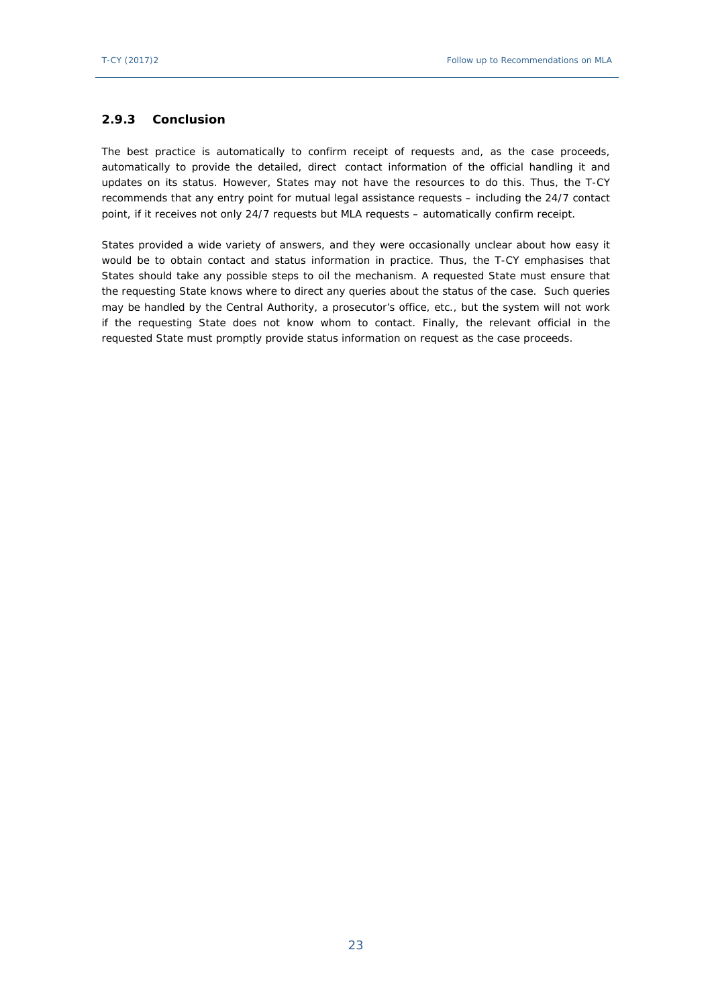### <span id="page-22-0"></span>**2.9.3 Conclusion**

The best practice is automatically to confirm receipt of requests and, as the case proceeds, automatically to provide the detailed, direct contact information of the official handling it and updates on its status. However, States may not have the resources to do this. Thus, the T-CY recommends that any entry point for mutual legal assistance requests – including the 24/7 contact point, if it receives not only 24/7 requests but MLA requests – automatically confirm receipt.

States provided a wide variety of answers, and they were occasionally unclear about how easy it would be to obtain contact and status information in practice. Thus, the T-CY emphasises that States should take any possible steps to oil the mechanism. A requested State must ensure that the requesting State knows where to direct any queries about the status of the case. Such queries may be handled by the Central Authority, a prosecutor's office, etc., but the system will not work if the requesting State does not know whom to contact. Finally, the relevant official in the requested State must promptly provide status information on request as the case proceeds.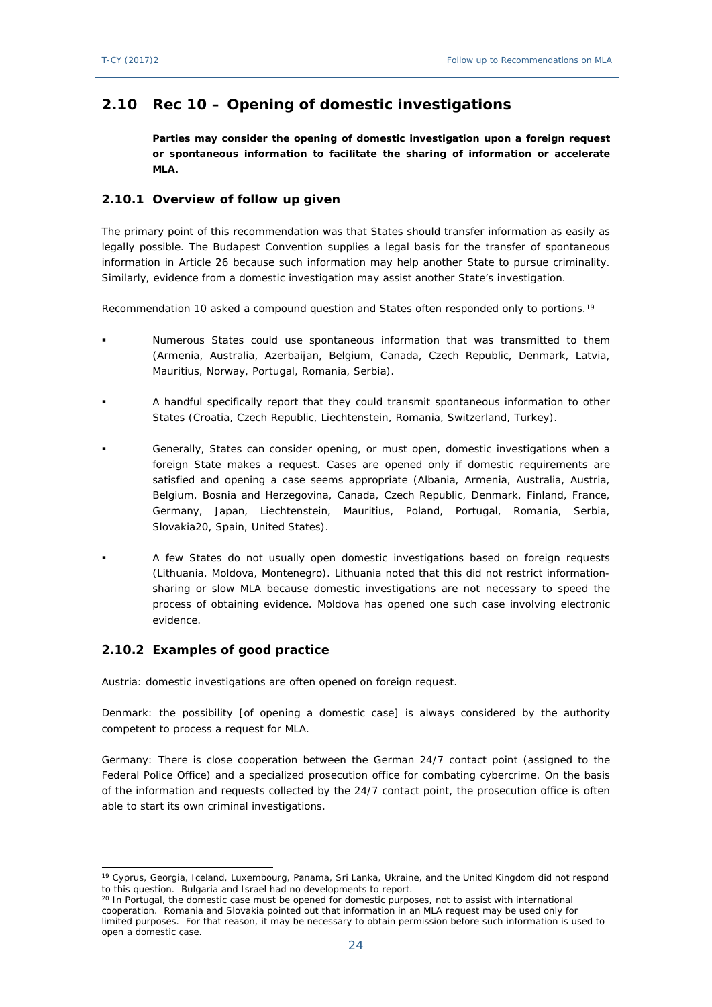# <span id="page-23-0"></span>**2.10 Rec 10 – Opening of domestic investigations**

**Parties may consider the opening of domestic investigation upon a foreign request or spontaneous information to facilitate the sharing of information or accelerate MLA.** 

#### <span id="page-23-1"></span>**2.10.1 Overview of follow up given**

The primary point of this recommendation was that States should transfer information as easily as legally possible. The Budapest Convention supplies a legal basis for the transfer of spontaneous information in Article 26 because such information may help another State to pursue criminality. Similarly, evidence from a domestic investigation may assist another State's investigation.

Recommendation 10 asked a compound question and States often responded only to portions.<sup>19</sup>

- Numerous States could use spontaneous information that was transmitted to them (Armenia, Australia, Azerbaijan, Belgium, Canada, Czech Republic, Denmark, Latvia, Mauritius, Norway, Portugal, Romania, Serbia).
- A handful specifically report that they could transmit spontaneous information to other States (Croatia, Czech Republic, Liechtenstein, Romania, Switzerland, Turkey).
- Generally, States can consider opening, or must open, domestic investigations when a foreign State makes a request. Cases are opened only if domestic requirements are satisfied and opening a case seems appropriate (Albania, Armenia, Australia, Austria, Belgium, Bosnia and Herzegovina, Canada, Czech Republic, Denmark, Finland, France, Germany, Japan, Liechtenstein, Mauritius, Poland, Portugal, Romania, Serbia, Slovakia20, Spain, United States).
- A few States do not usually open domestic investigations based on foreign requests (Lithuania, Moldova, Montenegro). Lithuania noted that this did not restrict informationsharing or slow MLA because domestic investigations are not necessary to speed the process of obtaining evidence. Moldova has opened one such case involving electronic evidence.

### <span id="page-23-2"></span>**2.10.2 Examples of good practice**

Austria: domestic investigations are often opened on foreign request.

Denmark: the possibility [of opening a domestic case] is always considered by the authority competent to process a request for MLA.

Germany: There is close cooperation between the German 24/7 contact point (assigned to the Federal Police Office) and a specialized prosecution office for combating cybercrime. On the basis of the information and requests collected by the 24/7 contact point, the prosecution office is often able to start its own criminal investigations.

<sup>19</sup> Cyprus, Georgia, Iceland, Luxembourg, Panama, Sri Lanka, Ukraine, and the United Kingdom did not respond to this question. Bulgaria and Israel had no developments to report.

<sup>&</sup>lt;sup>20</sup> In Portugal, the domestic case must be opened for domestic purposes, not to assist with international cooperation. Romania and Slovakia pointed out that information in an MLA request may be used only for limited purposes. For that reason, it may be necessary to obtain permission before such information is used to open a domestic case.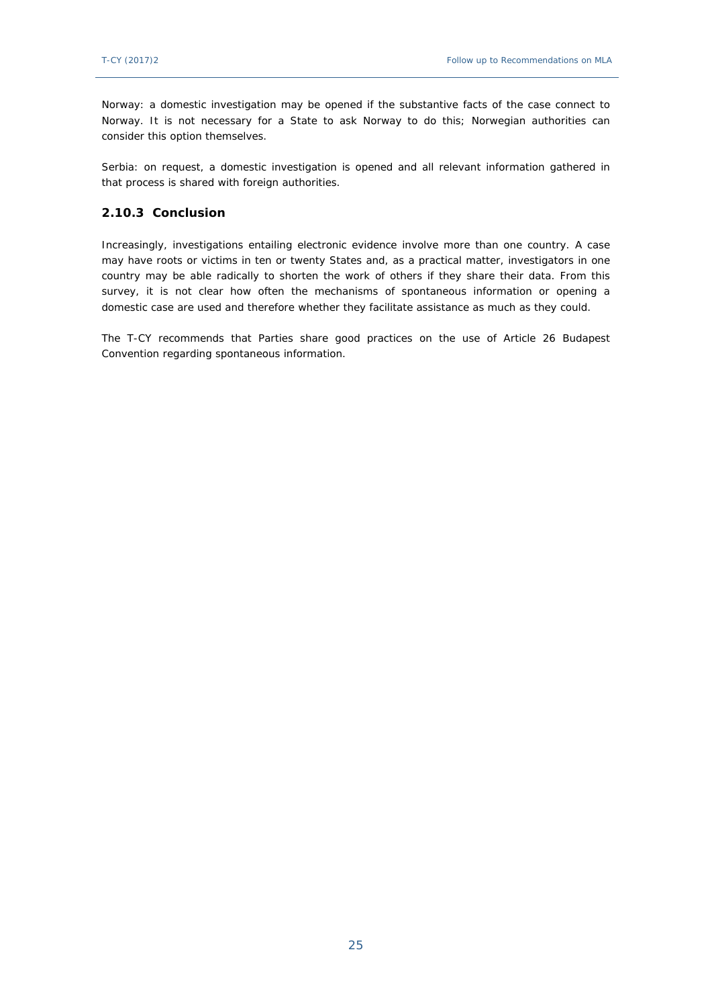Norway: a domestic investigation may be opened if the substantive facts of the case connect to Norway. It is not necessary for a State to ask Norway to do this; Norwegian authorities can consider this option themselves.

Serbia: on request, a domestic investigation is opened and all relevant information gathered in that process is shared with foreign authorities.

#### <span id="page-24-0"></span>**2.10.3 Conclusion**

Increasingly, investigations entailing electronic evidence involve more than one country. A case may have roots or victims in ten or twenty States and, as a practical matter, investigators in one country may be able radically to shorten the work of others if they share their data. From this survey, it is not clear how often the mechanisms of spontaneous information or opening a domestic case are used and therefore whether they facilitate assistance as much as they could.

<span id="page-24-1"></span>The T-CY recommends that Parties share good practices on the use of Article 26 Budapest Convention regarding spontaneous information.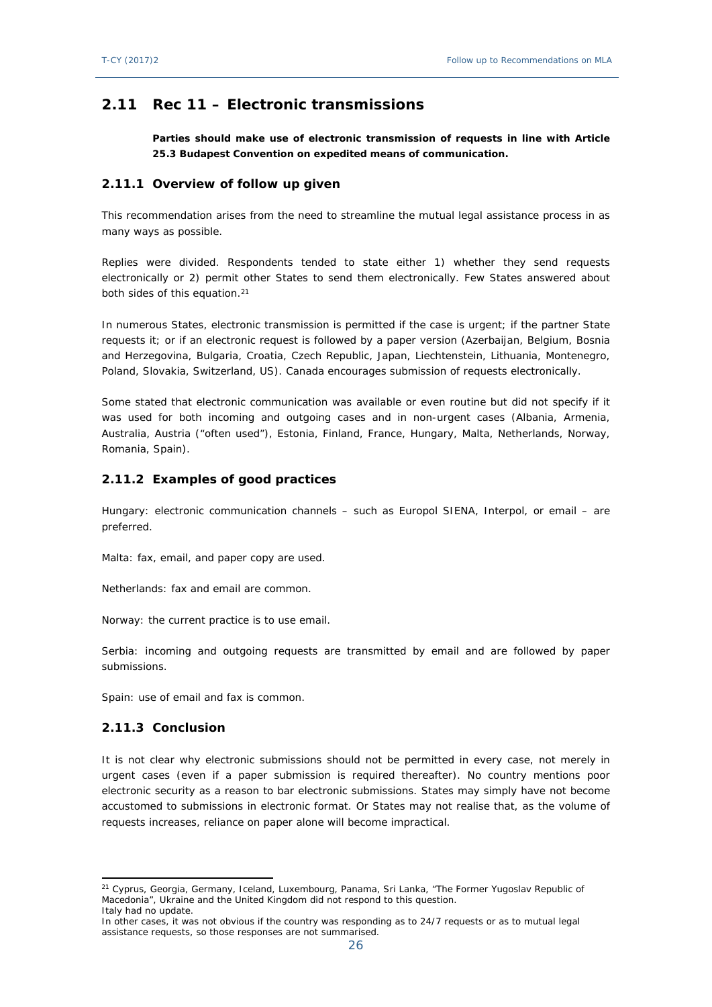# **2.11 Rec 11 – Electronic transmissions**

**Parties should make use of electronic transmission of requests in line with Article 25.3 Budapest Convention on expedited means of communication.**

#### <span id="page-25-0"></span>**2.11.1 Overview of follow up given**

This recommendation arises from the need to streamline the mutual legal assistance process in as many ways as possible.

Replies were divided. Respondents tended to state either 1) whether they send requests electronically or 2) permit other States to send them electronically. Few States answered about both sides of this equation.<sup>21</sup>

In numerous States, electronic transmission is permitted if the case is urgent; if the partner State requests it; or if an electronic request is followed by a paper version (Azerbaijan, Belgium, Bosnia and Herzegovina, Bulgaria, Croatia, Czech Republic, Japan, Liechtenstein, Lithuania, Montenegro, Poland, Slovakia, Switzerland, US). Canada encourages submission of requests electronically.

Some stated that electronic communication was available or even routine but did not specify if it was used for both incoming and outgoing cases and in non-urgent cases (Albania, Armenia, Australia, Austria ("often used"), Estonia, Finland, France, Hungary, Malta, Netherlands, Norway, Romania, Spain).

#### <span id="page-25-1"></span>**2.11.2 Examples of good practices**

Hungary: electronic communication channels – such as Europol SIENA, Interpol, or email – are preferred.

Malta: fax, email, and paper copy are used.

Netherlands: fax and email are common.

Norway: the current practice is to use email.

Serbia: incoming and outgoing requests are transmitted by email and are followed by paper submissions.

Spain: use of email and fax is common.

#### <span id="page-25-2"></span>**2.11.3 Conclusion**

It is not clear why electronic submissions should not be permitted in every case, not merely in urgent cases (even if a paper submission is required thereafter). No country mentions poor electronic security as a reason to bar electronic submissions. States may simply have not become accustomed to submissions in electronic format. Or States may not realise that, as the volume of requests increases, reliance on paper alone will become impractical.

<sup>&</sup>lt;sup>21</sup> Cyprus, Georgia, Germany, Iceland, Luxembourg, Panama, Sri Lanka, "The Former Yugoslav Republic of Macedonia", Ukraine and the United Kingdom did not respond to this question. Italy had no update.

In other cases, it was not obvious if the country was responding as to 24/7 requests or as to mutual legal assistance requests, so those responses are not summarised.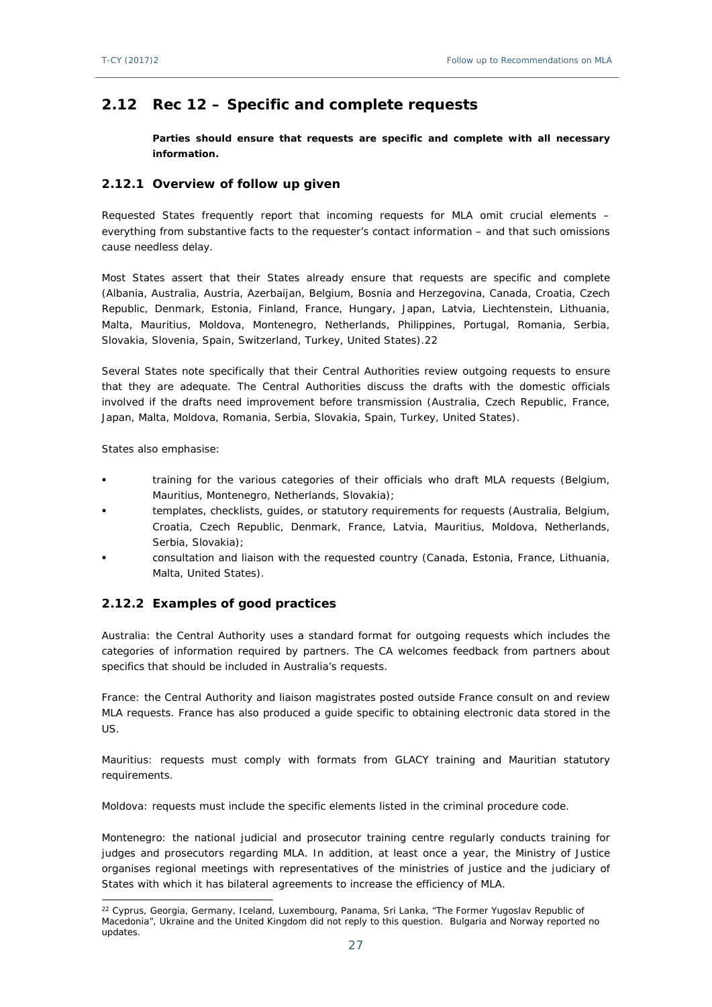# <span id="page-26-0"></span>**2.12 Rec 12 – Specific and complete requests**

**Parties should ensure that requests are specific and complete with all necessary information.**

#### <span id="page-26-1"></span>**2.12.1 Overview of follow up given**

Requested States frequently report that incoming requests for MLA omit crucial elements – everything from substantive facts to the requester's contact information – and that such omissions cause needless delay.

Most States assert that their States already ensure that requests are specific and complete (Albania, Australia, Austria, Azerbaijan, Belgium, Bosnia and Herzegovina, Canada, Croatia, Czech Republic, Denmark, Estonia, Finland, France, Hungary, Japan, Latvia, Liechtenstein, Lithuania, Malta, Mauritius, Moldova, Montenegro, Netherlands, Philippines, Portugal, Romania, Serbia, Slovakia, Slovenia, Spain, Switzerland, Turkey, United States).22

Several States note specifically that their Central Authorities review outgoing requests to ensure that they are adequate. The Central Authorities discuss the drafts with the domestic officials involved if the drafts need improvement before transmission (Australia, Czech Republic, France, Japan, Malta, Moldova, Romania, Serbia, Slovakia, Spain, Turkey, United States).

States also emphasise:

- training for the various categories of their officials who draft MLA requests (Belgium, Mauritius, Montenegro, Netherlands, Slovakia);
- templates, checklists, guides, or statutory requirements for requests (Australia, Belgium, Croatia, Czech Republic, Denmark, France, Latvia, Mauritius, Moldova, Netherlands, Serbia, Slovakia);
- consultation and liaison with the requested country (Canada, Estonia, France, Lithuania, Malta, United States).

### <span id="page-26-2"></span>**2.12.2 Examples of good practices**

Australia: the Central Authority uses a standard format for outgoing requests which includes the categories of information required by partners. The CA welcomes feedback from partners about specifics that should be included in Australia's requests.

France: the Central Authority and liaison magistrates posted outside France consult on and review MLA requests. France has also produced a guide specific to obtaining electronic data stored in the US.

Mauritius: requests must comply with formats from GLACY training and Mauritian statutory requirements.

Moldova: requests must include the specific elements listed in the criminal procedure code.

Montenegro: the national judicial and prosecutor training centre regularly conducts training for judges and prosecutors regarding MLA. In addition, at least once a year, the Ministry of Justice organises regional meetings with representatives of the ministries of justice and the judiciary of States with which it has bilateral agreements to increase the efficiency of MLA.

<sup>22</sup> Cyprus, Georgia, Germany, Iceland, Luxembourg, Panama, Sri Lanka, "The Former Yugoslav Republic of Macedonia", Ukraine and the United Kingdom did not reply to this question. Bulgaria and Norway reported no updates.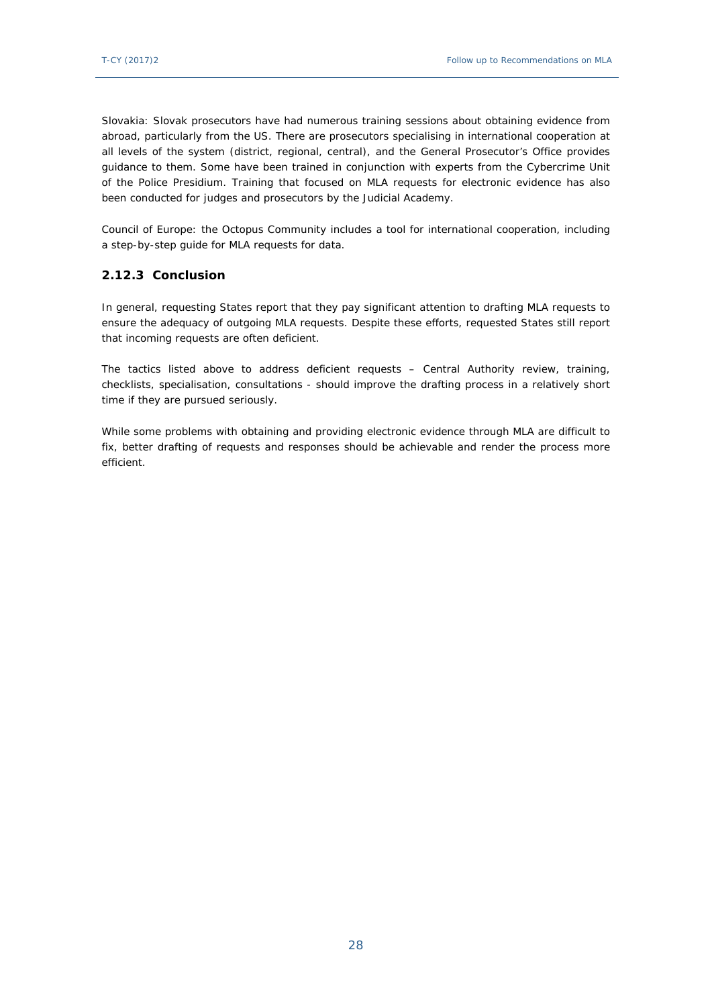Slovakia: Slovak prosecutors have had numerous training sessions about obtaining evidence from abroad, particularly from the US. There are prosecutors specialising in international cooperation at all levels of the system (district, regional, central), and the General Prosecutor's Office provides guidance to them. Some have been trained in conjunction with experts from the Cybercrime Unit of the Police Presidium. Training that focused on MLA requests for electronic evidence has also been conducted for judges and prosecutors by the Judicial Academy.

Council of Europe: the Octopus Community includes a tool for international cooperation, including a step-by-step guide for MLA requests for data.

#### <span id="page-27-0"></span>**2.12.3 Conclusion**

In general, requesting States report that they pay significant attention to drafting MLA requests to ensure the adequacy of outgoing MLA requests. Despite these efforts, requested States still report that incoming requests are often deficient.

The tactics listed above to address deficient requests – Central Authority review, training, checklists, specialisation, consultations - should improve the drafting process in a relatively short time if they are pursued seriously.

While some problems with obtaining and providing electronic evidence through MLA are difficult to fix, better drafting of requests and responses should be achievable and render the process more efficient.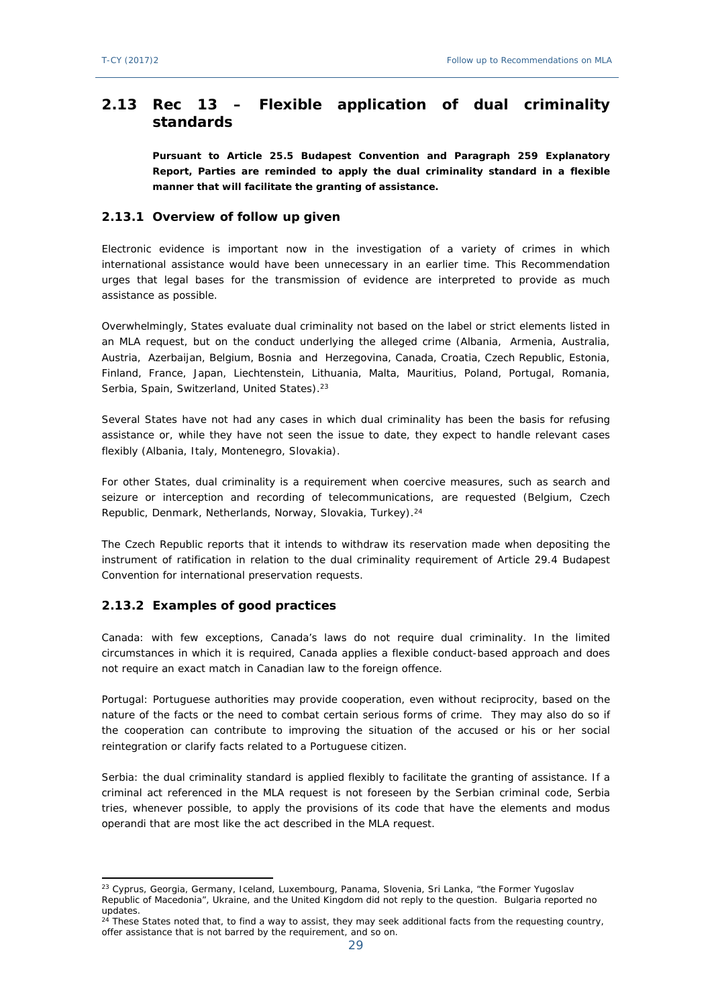# <span id="page-28-0"></span>**2.13 Rec 13 – Flexible application of dual criminality standards**

**Pursuant to Article 25.5 Budapest Convention and Paragraph 259 Explanatory Report, Parties are reminded to apply the dual criminality standard in a flexible manner that will facilitate the granting of assistance.** 

#### <span id="page-28-1"></span>**2.13.1 Overview of follow up given**

Electronic evidence is important now in the investigation of a variety of crimes in which international assistance would have been unnecessary in an earlier time. This Recommendation urges that legal bases for the transmission of evidence are interpreted to provide as much assistance as possible.

Overwhelmingly, States evaluate dual criminality not based on the label or strict elements listed in an MLA request, but on the conduct underlying the alleged crime (Albania, Armenia, Australia, Austria, Azerbaijan, Belgium, Bosnia and Herzegovina, Canada, Croatia, Czech Republic, Estonia, Finland, France, Japan, Liechtenstein, Lithuania, Malta, Mauritius, Poland, Portugal, Romania, Serbia, Spain, Switzerland, United States).<sup>23</sup>

Several States have not had any cases in which dual criminality has been the basis for refusing assistance or, while they have not seen the issue to date, they expect to handle relevant cases flexibly (Albania, Italy, Montenegro, Slovakia).

For other States, dual criminality is a requirement when coercive measures, such as search and seizure or interception and recording of telecommunications, are requested (Belgium, Czech Republic, Denmark, Netherlands, Norway, Slovakia, Turkey).<sup>24</sup>

The Czech Republic reports that it intends to withdraw its reservation made when depositing the instrument of ratification in relation to the dual criminality requirement of Article 29.4 Budapest Convention for international preservation requests.

### <span id="page-28-2"></span>**2.13.2 Examples of good practices**

Canada: with few exceptions, Canada's laws do not require dual criminality. In the limited circumstances in which it is required, Canada applies a flexible conduct-based approach and does not require an exact match in Canadian law to the foreign offence.

Portugal: Portuguese authorities may provide cooperation, even without reciprocity, based on the nature of the facts or the need to combat certain serious forms of crime. They may also do so if the cooperation can contribute to improving the situation of the accused or his or her social reintegration or clarify facts related to a Portuguese citizen.

Serbia: the dual criminality standard is applied flexibly to facilitate the granting of assistance. If a criminal act referenced in the MLA request is not foreseen by the Serbian criminal code, Serbia tries, whenever possible, to apply the provisions of its code that have the elements and modus operandi that are most like the act described in the MLA request.

<sup>&</sup>lt;sup>23</sup> Cyprus, Georgia, Germany, Iceland, Luxembourg, Panama, Slovenia, Sri Lanka, "the Former Yugoslav Republic of Macedonia", Ukraine, and the United Kingdom did not reply to the question. Bulgaria reported no updates.

<sup>24</sup> These States noted that, to find a way to assist, they may seek additional facts from the requesting country, offer assistance that is not barred by the requirement, and so on.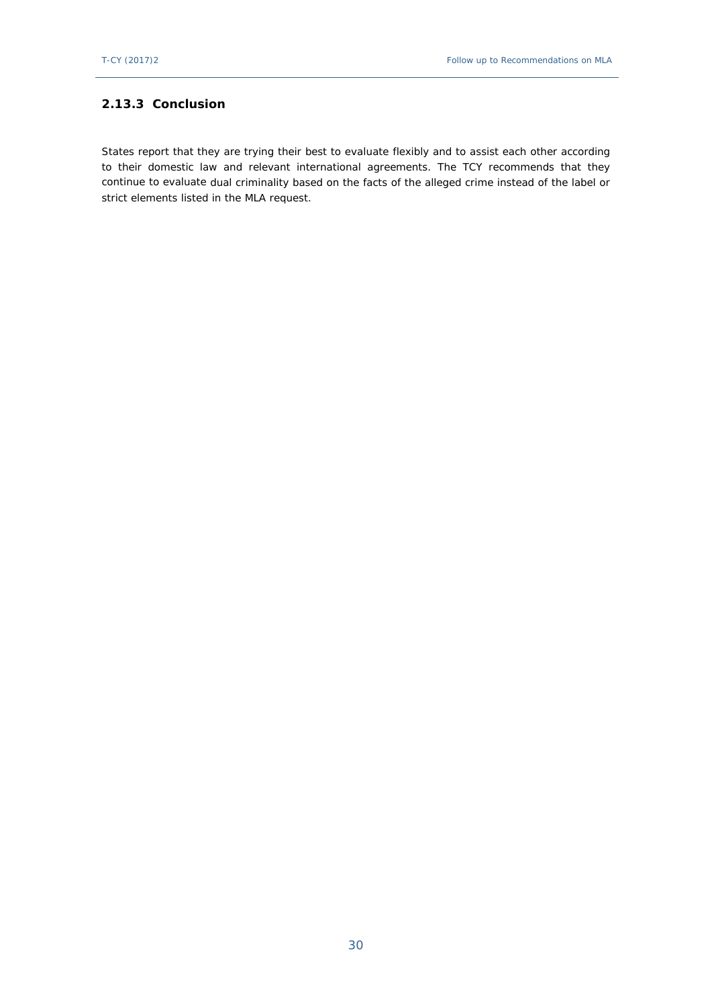### <span id="page-29-0"></span>**2.13.3 Conclusion**

<span id="page-29-1"></span>States report that they are trying their best to evaluate flexibly and to assist each other according to their domestic law and relevant international agreements. The TCY recommends that they continue to evaluate dual criminality based on the facts of the alleged crime instead of the label or strict elements listed in the MLA request.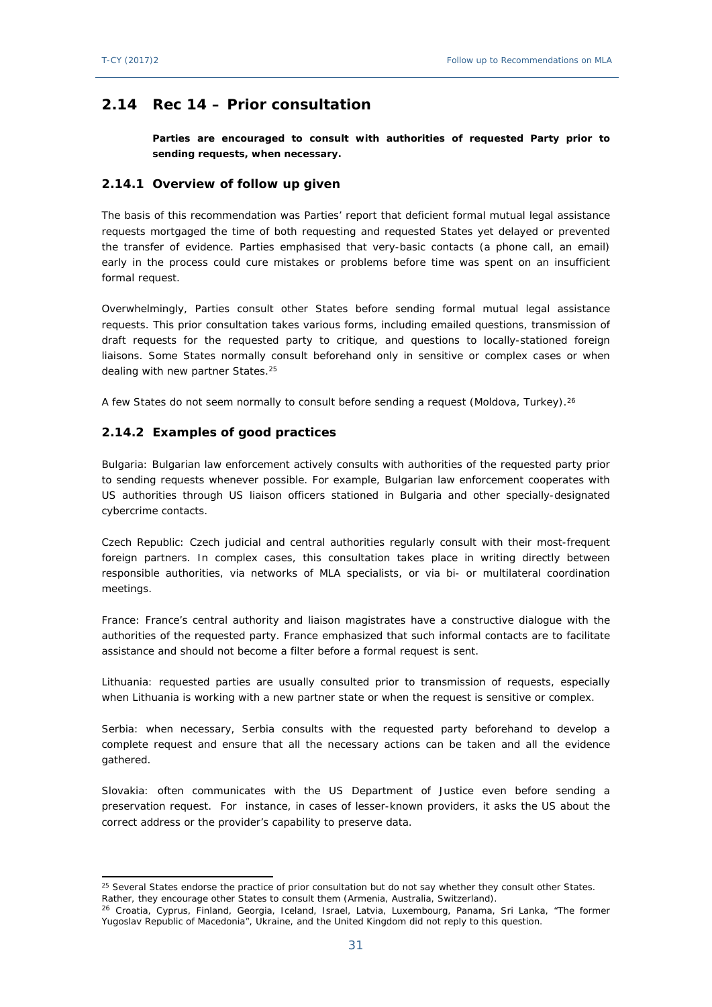# **2.14 Rec 14 – Prior consultation**

**Parties are encouraged to consult with authorities of requested Party prior to sending requests, when necessary.**

#### <span id="page-30-0"></span>**2.14.1 Overview of follow up given**

The basis of this recommendation was Parties' report that deficient formal mutual legal assistance requests mortgaged the time of both requesting and requested States yet delayed or prevented the transfer of evidence. Parties emphasised that very-basic contacts (a phone call, an email) early in the process could cure mistakes or problems before time was spent on an insufficient formal request.

Overwhelmingly, Parties consult other States before sending formal mutual legal assistance requests. This prior consultation takes various forms, including emailed questions, transmission of draft requests for the requested party to critique, and questions to locally-stationed foreign liaisons. Some States normally consult beforehand only in sensitive or complex cases or when dealing with new partner States.<sup>25</sup>

A few States do not seem normally to consult before sending a request (Moldova, Turkey).<sup>26</sup>

#### <span id="page-30-1"></span>**2.14.2 Examples of good practices**

Bulgaria: Bulgarian law enforcement actively consults with authorities of the requested party prior to sending requests whenever possible. For example, Bulgarian law enforcement cooperates with US authorities through US liaison officers stationed in Bulgaria and other specially-designated cybercrime contacts.

Czech Republic: Czech judicial and central authorities regularly consult with their most-frequent foreign partners. In complex cases, this consultation takes place in writing directly between responsible authorities, via networks of MLA specialists, or via bi- or multilateral coordination meetings.

France: France's central authority and liaison magistrates have a constructive dialogue with the authorities of the requested party. France emphasized that such informal contacts are to facilitate assistance and should not become a filter before a formal request is sent.

Lithuania: requested parties are usually consulted prior to transmission of requests, especially when Lithuania is working with a new partner state or when the request is sensitive or complex.

Serbia: when necessary, Serbia consults with the requested party beforehand to develop a complete request and ensure that all the necessary actions can be taken and all the evidence gathered.

Slovakia: often communicates with the US Department of Justice even before sending a preservation request. For instance, in cases of lesser-known providers, it asks the US about the correct address or the provider's capability to preserve data.

<span id="page-30-2"></span><sup>25</sup> Several States endorse the practice of prior consultation but do not say whether *they* consult other States. Rather, they encourage other States to consult them (Armenia, Australia, Switzerland).

<sup>&</sup>lt;sup>26</sup> Croatia, Cyprus, Finland, Georgia, Iceland, Israel, Latvia, Luxembourg, Panama, Sri Lanka, "The former Yugoslav Republic of Macedonia", Ukraine, and the United Kingdom did not reply to this question.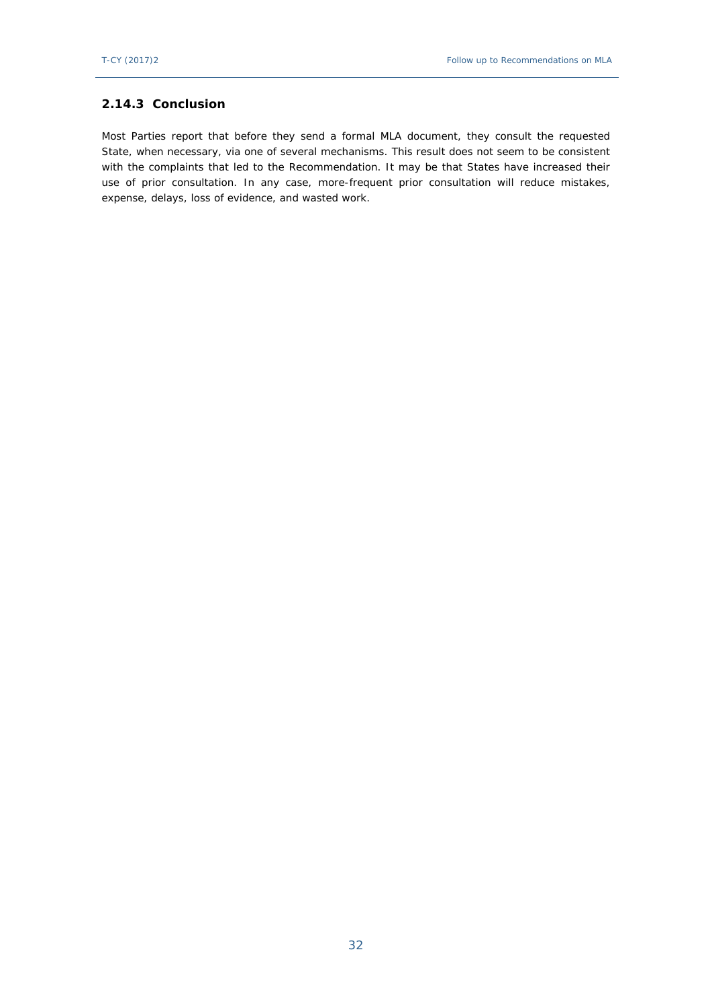### **2.14.3 Conclusion**

<span id="page-31-0"></span>Most Parties report that before they send a formal MLA document, they consult the requested State, when necessary, via one of several mechanisms. This result does not seem to be consistent with the complaints that led to the Recommendation. It may be that States have increased their use of prior consultation. In any case, more-frequent prior consultation will reduce mistakes, expense, delays, loss of evidence, and wasted work.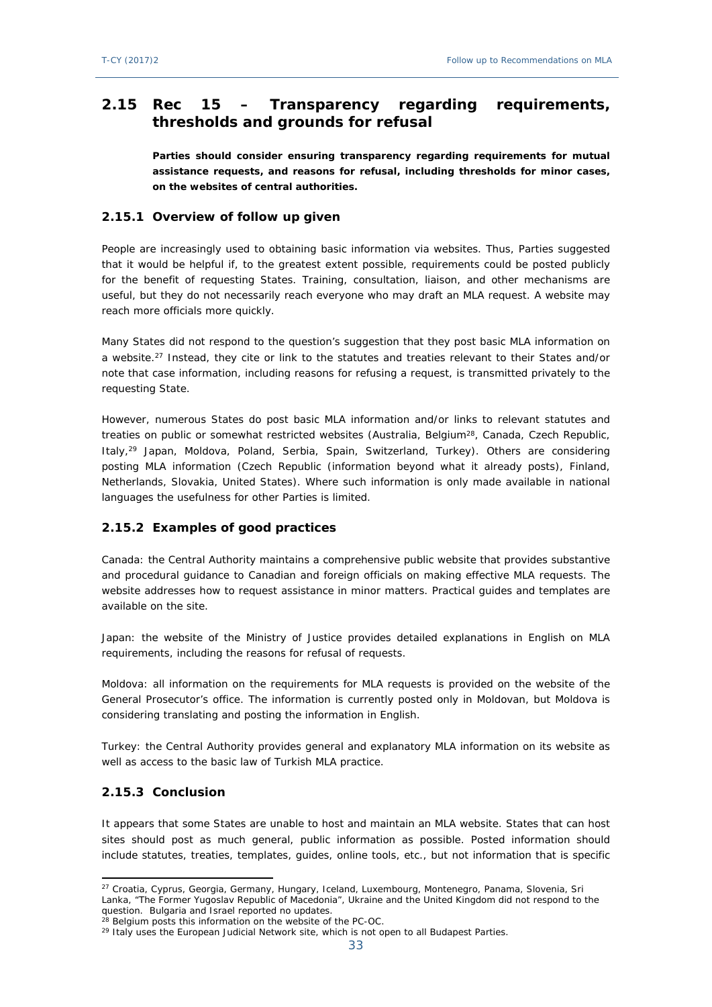# **2.15 Rec 15 – Transparency regarding requirements, thresholds and grounds for refusal**

**Parties should consider ensuring transparency regarding requirements for mutual assistance requests, and reasons for refusal, including thresholds for minor cases, on the websites of central authorities.**

### <span id="page-32-0"></span>**2.15.1 Overview of follow up given**

People are increasingly used to obtaining basic information via websites. Thus, Parties suggested that it would be helpful if, to the greatest extent possible, requirements could be posted publicly for the benefit of requesting States. Training, consultation, liaison, and other mechanisms are useful, but they do not necessarily reach everyone who may draft an MLA request. A website may reach more officials more quickly.

Many States did not respond to the question's suggestion that they post basic MLA information on a website.<sup>27</sup> Instead, they cite or link to the statutes and treaties relevant to their States and/or note that case information, including reasons for refusing a request, is transmitted privately to the requesting State.

However, numerous States do post basic MLA information and/or links to relevant statutes and treaties on public or somewhat restricted websites (Australia, Belgium<sup>28</sup>, Canada, Czech Republic, Italy,<sup>29</sup> Japan, Moldova, Poland, Serbia, Spain, Switzerland, Turkey). Others are considering posting MLA information (Czech Republic (information beyond what it already posts), Finland, Netherlands, Slovakia, United States). Where such information is only made available in national languages the usefulness for other Parties is limited.

### <span id="page-32-1"></span>**2.15.2 Examples of good practices**

Canada: the Central Authority maintains a comprehensive public website that provides substantive and procedural guidance to Canadian and foreign officials on making effective MLA requests. The website addresses how to request assistance in minor matters. Practical guides and templates are available on the site.

Japan: the website of the Ministry of Justice provides detailed explanations in English on MLA requirements, including the reasons for refusal of requests.

Moldova: all information on the requirements for MLA requests is provided on the website of the General Prosecutor's office. The information is currently posted only in Moldovan, but Moldova is considering translating and posting the information in English.

Turkey: the Central Authority provides general and explanatory MLA information on its website as well as access to the basic law of Turkish MLA practice.

### <span id="page-32-2"></span>**2.15.3 Conclusion**

It appears that some States are unable to host and maintain an MLA website. States that can host sites should post as much general, public information as possible. Posted information should include statutes, treaties, templates, guides, online tools, etc., but not information that is specific

<sup>&</sup>lt;sup>27</sup> Croatia, Cyprus, Georgia, Germany, Hungary, Iceland, Luxembourg, Montenegro, Panama, Slovenia, Sri Lanka, "The Former Yugoslav Republic of Macedonia", Ukraine and the United Kingdom did not respond to the question. Bulgaria and Israel reported no updates.

<sup>&</sup>lt;sup>28</sup> Belgium posts this information on the website of the PC-OC.

<sup>&</sup>lt;sup>29</sup> Italy uses the European Judicial Network site, which is not open to all Budapest Parties.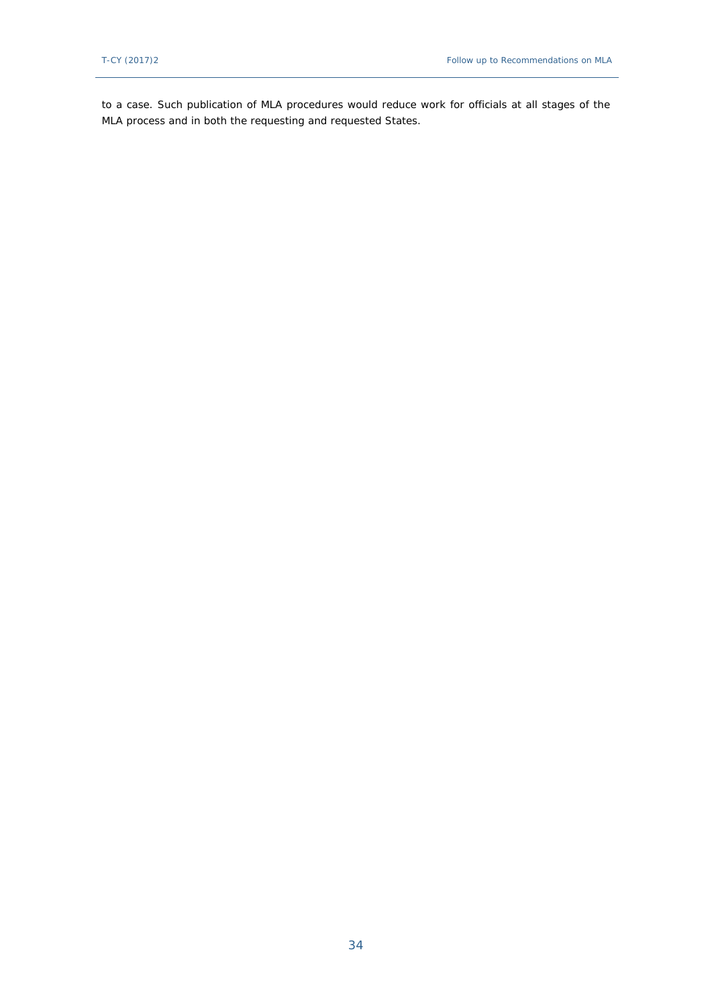to a case. Such publication of MLA procedures would reduce work for officials at all stages of the MLA process and in both the requesting and requested States.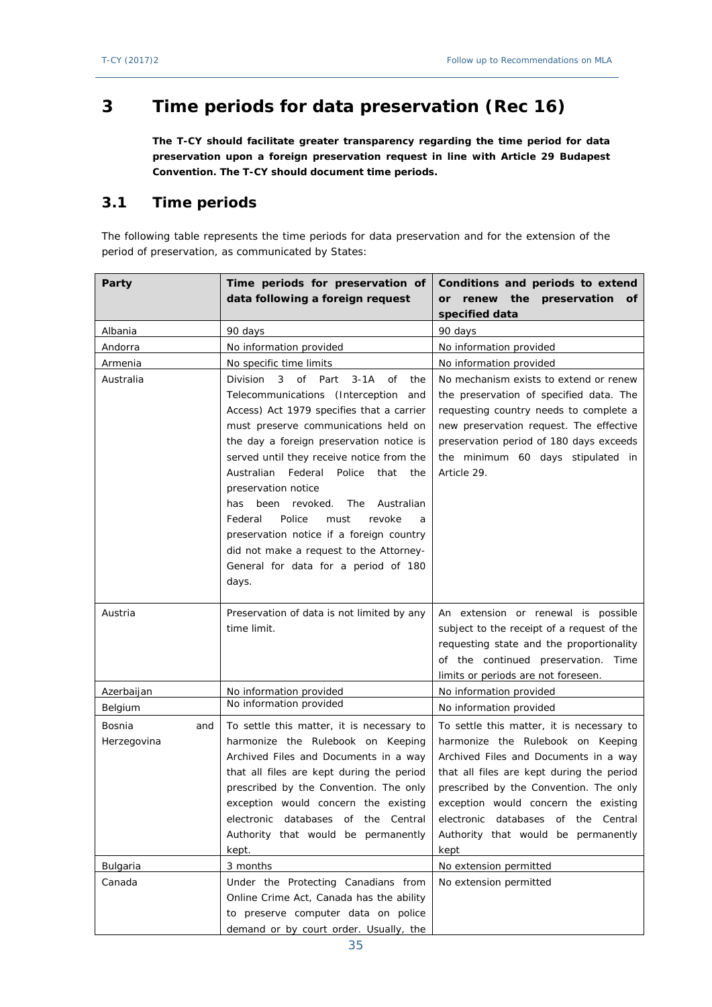# <span id="page-34-0"></span>**3 Time periods for data preservation (Rec 16)**

**The T-CY should facilitate greater transparency regarding the time period for data preservation upon a foreign preservation request in line with Article 29 Budapest Convention. The T-CY should document time periods.**

# <span id="page-34-1"></span>**3.1 Time periods**

The following table represents the time periods for data preservation and for the extension of the period of preservation, as communicated by States:

| Party         | Time periods for preservation of                                                    | Conditions and periods to extend                                                       |  |
|---------------|-------------------------------------------------------------------------------------|----------------------------------------------------------------------------------------|--|
|               | data following a foreign request                                                    | renew the<br>preservation<br><b>or</b><br>0f                                           |  |
|               |                                                                                     | specified data                                                                         |  |
| Albania       | 90 days                                                                             | 90 days                                                                                |  |
| Andorra       | No information provided                                                             | No information provided                                                                |  |
| Armenia       | No specific time limits                                                             | No information provided                                                                |  |
| Australia     | <b>Division</b><br>of Part<br>$3-1A$<br><b>of</b><br>3<br>the                       | No mechanism exists to extend or renew                                                 |  |
|               | Telecommunications (Interception<br>and                                             | the preservation of specified data. The                                                |  |
|               | Access) Act 1979 specifies that a carrier                                           | requesting country needs to complete a                                                 |  |
|               | must preserve communications held on                                                | new preservation request. The effective                                                |  |
|               | the day a foreign preservation notice is<br>preservation period of 180 days exceeds |                                                                                        |  |
|               | served until they receive notice from the                                           | the minimum 60 days stipulated in                                                      |  |
|               | Federal<br>Police<br>Australian<br>that<br>the                                      | Article 29.                                                                            |  |
|               | preservation notice                                                                 |                                                                                        |  |
|               | The<br>been<br>revoked.<br>Australian<br>has                                        |                                                                                        |  |
|               | Federal<br>Police<br>must<br>revoke<br>a                                            |                                                                                        |  |
|               | preservation notice if a foreign country                                            |                                                                                        |  |
|               | did not make a request to the Attorney-                                             |                                                                                        |  |
|               | General for data for a period of 180                                                |                                                                                        |  |
|               | days.                                                                               |                                                                                        |  |
|               |                                                                                     |                                                                                        |  |
|               |                                                                                     |                                                                                        |  |
| Austria       | Preservation of data is not limited by any<br>time limit.                           | An extension or renewal is possible                                                    |  |
|               |                                                                                     | subject to the receipt of a request of the<br>requesting state and the proportionality |  |
|               |                                                                                     | of the continued preservation. Time                                                    |  |
|               |                                                                                     | limits or periods are not foreseen.                                                    |  |
| Azerbaijan    | No information provided                                                             | No information provided                                                                |  |
| Belgium       | No information provided                                                             | No information provided                                                                |  |
| Bosnia<br>and | To settle this matter, it is necessary to                                           | To settle this matter, it is necessary to                                              |  |
| Herzegovina   | harmonize the Rulebook on Keeping                                                   | harmonize the Rulebook on Keeping                                                      |  |
|               | Archived Files and Documents in a way                                               | Archived Files and Documents in a way                                                  |  |
|               | that all files are kept during the period                                           | that all files are kept during the period                                              |  |
|               | prescribed by the Convention. The only                                              | prescribed by the Convention. The only                                                 |  |
|               | exception would concern the existing                                                | exception would concern the existing                                                   |  |
|               | electronic databases<br>of the Central                                              | electronic databases<br>of the Central                                                 |  |
|               | Authority that would be permanently                                                 | Authority that would be permanently                                                    |  |
|               | kept.                                                                               | kept                                                                                   |  |
| Bulgaria      | 3 months                                                                            | No extension permitted                                                                 |  |
| Canada        | Under the Protecting Canadians from                                                 | No extension permitted                                                                 |  |
|               | Online Crime Act, Canada has the ability                                            |                                                                                        |  |
|               | to preserve computer data on police<br>demand or by court order. Usually, the       |                                                                                        |  |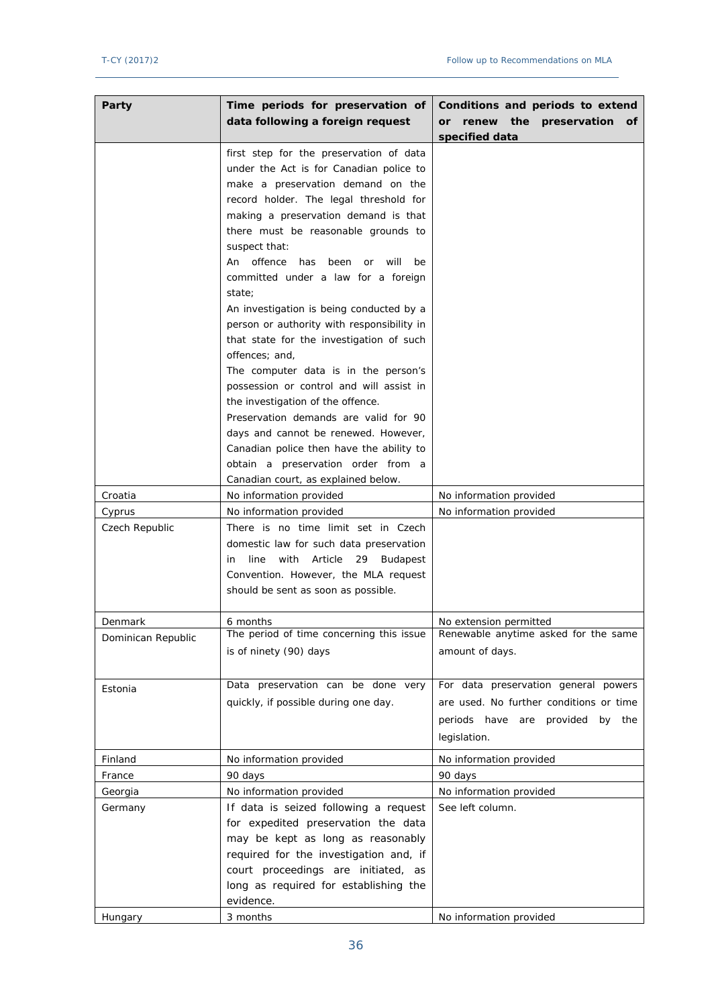| Party              | Time periods for preservation of<br>data following a foreign request                              | Conditions and periods to extend<br>renew the<br>preservation<br>or |  |
|--------------------|---------------------------------------------------------------------------------------------------|---------------------------------------------------------------------|--|
|                    |                                                                                                   | 0f<br>specified data                                                |  |
|                    | first step for the preservation of data                                                           |                                                                     |  |
|                    | under the Act is for Canadian police to                                                           |                                                                     |  |
|                    | make a preservation demand on the                                                                 |                                                                     |  |
|                    | record holder. The legal threshold for                                                            |                                                                     |  |
|                    | making a preservation demand is that                                                              |                                                                     |  |
|                    | there must be reasonable grounds to                                                               |                                                                     |  |
|                    | suspect that:                                                                                     |                                                                     |  |
|                    | An offence<br>has<br>been<br>will<br>be<br><b>or</b>                                              |                                                                     |  |
|                    | committed under a law for a foreign                                                               |                                                                     |  |
|                    | state;                                                                                            |                                                                     |  |
|                    | An investigation is being conducted by a                                                          |                                                                     |  |
|                    | person or authority with responsibility in                                                        |                                                                     |  |
|                    | that state for the investigation of such<br>offences; and,                                        |                                                                     |  |
|                    | The computer data is in the person's                                                              |                                                                     |  |
|                    | possession or control and will assist in                                                          |                                                                     |  |
|                    | the investigation of the offence.                                                                 |                                                                     |  |
|                    | Preservation demands are valid for 90                                                             |                                                                     |  |
|                    | days and cannot be renewed. However,                                                              |                                                                     |  |
|                    | Canadian police then have the ability to                                                          |                                                                     |  |
|                    | obtain a preservation order from a                                                                |                                                                     |  |
|                    | Canadian court, as explained below.                                                               |                                                                     |  |
| Croatia            | No information provided                                                                           | No information provided                                             |  |
| Cyprus             | No information provided                                                                           | No information provided                                             |  |
| Czech Republic     | There is no time limit set in Czech                                                               |                                                                     |  |
|                    | domestic law for such data preservation<br>with<br>Article<br>line<br>29<br><b>Budapest</b><br>in |                                                                     |  |
|                    | Convention. However, the MLA request                                                              |                                                                     |  |
|                    | should be sent as soon as possible.                                                               |                                                                     |  |
|                    |                                                                                                   |                                                                     |  |
| Denmark            | 6 months                                                                                          | No extension permitted                                              |  |
| Dominican Republic | The period of time concerning this issue                                                          | Renewable anytime asked for the same                                |  |
|                    | is of ninety (90) days                                                                            | amount of days.                                                     |  |
|                    |                                                                                                   |                                                                     |  |
| Estonia            | Data preservation can be done very                                                                | For data preservation general powers                                |  |
|                    | quickly, if possible during one day.                                                              | are used. No further conditions or time                             |  |
|                    |                                                                                                   | periods have are provided by the                                    |  |
|                    |                                                                                                   | legislation.                                                        |  |
| Finland            | No information provided                                                                           | No information provided                                             |  |
| France             | 90 days                                                                                           | 90 days                                                             |  |
| Georgia            | No information provided                                                                           | No information provided                                             |  |
| Germany            | If data is seized following a request                                                             | See left column.                                                    |  |
|                    | for expedited preservation the data<br>may be kept as long as reasonably                          |                                                                     |  |
|                    | required for the investigation and, if                                                            |                                                                     |  |
|                    | court proceedings are initiated, as                                                               |                                                                     |  |
|                    | long as required for establishing the                                                             |                                                                     |  |
|                    | evidence.                                                                                         |                                                                     |  |
| Hungary            | 3 months                                                                                          | No information provided                                             |  |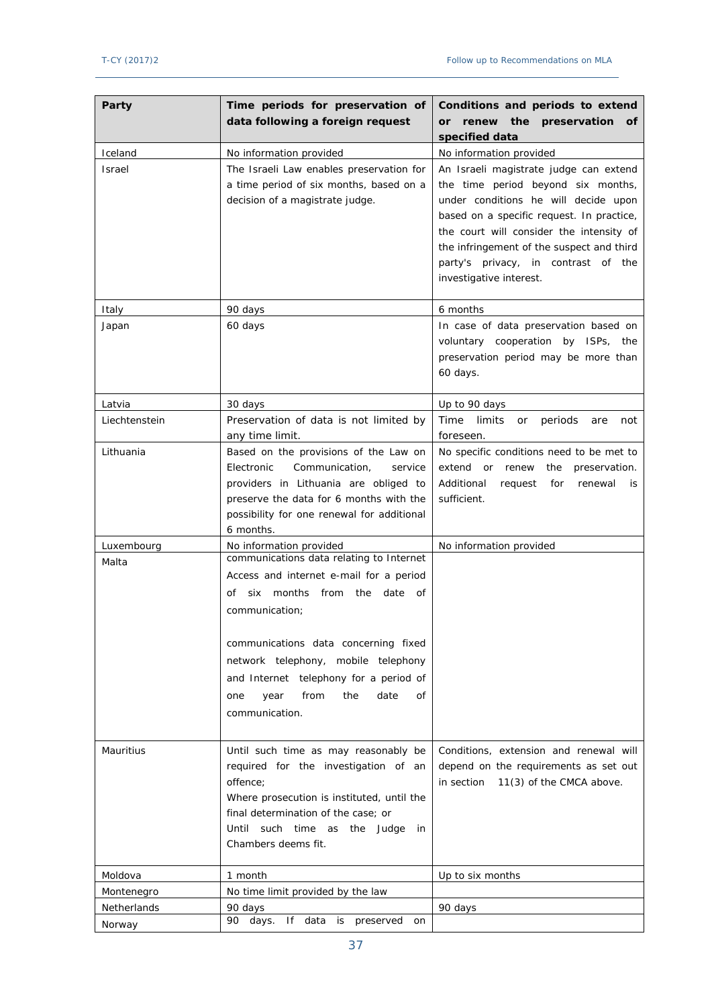| Party<br>Time periods for preservation of<br>data following a foreign request |                                                                                                                                                                                                                                                                                                                                               | Conditions and periods to extend<br>the<br>preservation<br>or renew<br>0f<br>specified data                                                                                                                                                                                                                                  |  |  |
|-------------------------------------------------------------------------------|-----------------------------------------------------------------------------------------------------------------------------------------------------------------------------------------------------------------------------------------------------------------------------------------------------------------------------------------------|------------------------------------------------------------------------------------------------------------------------------------------------------------------------------------------------------------------------------------------------------------------------------------------------------------------------------|--|--|
| Iceland                                                                       | No information provided                                                                                                                                                                                                                                                                                                                       | No information provided                                                                                                                                                                                                                                                                                                      |  |  |
| <b>Israel</b>                                                                 | The Israeli Law enables preservation for<br>a time period of six months, based on a<br>decision of a magistrate judge.                                                                                                                                                                                                                        | An Israeli magistrate judge can extend<br>the time period beyond six months,<br>under conditions he will decide upon<br>based on a specific request. In practice,<br>the court will consider the intensity of<br>the infringement of the suspect and third<br>party's privacy, in contrast of the<br>investigative interest. |  |  |
| Italy                                                                         | 90 days                                                                                                                                                                                                                                                                                                                                       | 6 months                                                                                                                                                                                                                                                                                                                     |  |  |
| Japan                                                                         | 60 days                                                                                                                                                                                                                                                                                                                                       | In case of data preservation based on<br>voluntary cooperation by ISPs, the<br>preservation period may be more than<br>60 days.                                                                                                                                                                                              |  |  |
| Latvia                                                                        | 30 days                                                                                                                                                                                                                                                                                                                                       | Up to 90 days                                                                                                                                                                                                                                                                                                                |  |  |
| Liechtenstein                                                                 | Preservation of data is not limited by<br>any time limit.                                                                                                                                                                                                                                                                                     | Time<br>limits<br>periods<br>or<br>are<br>not<br>foreseen.                                                                                                                                                                                                                                                                   |  |  |
| Lithuania                                                                     | Based on the provisions of the Law on<br>Electronic<br>Communication,<br>service<br>providers in Lithuania are obliged to<br>preserve the data for 6 months with the<br>possibility for one renewal for additional<br>6 months.                                                                                                               | No specific conditions need to be met to<br>extend<br>or renew<br>the<br>preservation.<br>Additional<br>request<br>for<br>renewal<br>is<br>sufficient.                                                                                                                                                                       |  |  |
| Luxembourg                                                                    | No information provided                                                                                                                                                                                                                                                                                                                       | No information provided                                                                                                                                                                                                                                                                                                      |  |  |
| Malta                                                                         | communications data relating to Internet<br>Access and internet e-mail for a period<br>months<br>from the<br>date<br>Οf<br>six<br>of<br>communication;<br>communications data concerning fixed<br>network telephony, mobile telephony<br>and Internet telephony for a period of<br>from<br>the<br>date<br>year<br>Οf<br>one<br>communication. |                                                                                                                                                                                                                                                                                                                              |  |  |
| Mauritius                                                                     | Until such time as may reasonably be<br>required for the investigation of an<br>offence;<br>Where prosecution is instituted, until the<br>final determination of the case; or<br>Until such time as the Judge<br>in<br>Chambers deems fit.                                                                                                    | Conditions, extension and renewal will<br>depend on the requirements as set out<br>in section<br>11(3) of the CMCA above.                                                                                                                                                                                                    |  |  |
| Moldova                                                                       | 1 month                                                                                                                                                                                                                                                                                                                                       | Up to six months                                                                                                                                                                                                                                                                                                             |  |  |
| Montenegro                                                                    | No time limit provided by the law                                                                                                                                                                                                                                                                                                             |                                                                                                                                                                                                                                                                                                                              |  |  |
| Netherlands                                                                   | 90 days                                                                                                                                                                                                                                                                                                                                       | 90 days                                                                                                                                                                                                                                                                                                                      |  |  |
| Norway                                                                        | 90 days. If data is preserved<br>on                                                                                                                                                                                                                                                                                                           |                                                                                                                                                                                                                                                                                                                              |  |  |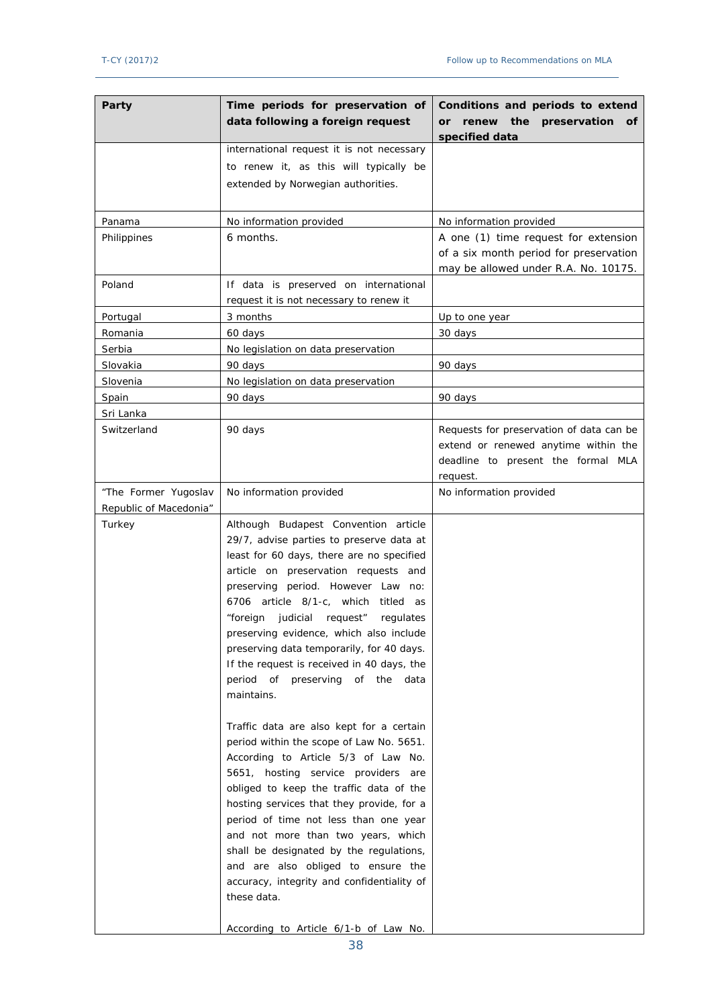| Party                  | Time periods for preservation of<br>data following a foreign request                                                                                                                                                                                                                                                                                                                                                                                                                                                             | Conditions and periods to extend<br>renew the preservation<br><b>or</b><br>Оf<br>specified data                                    |  |  |
|------------------------|----------------------------------------------------------------------------------------------------------------------------------------------------------------------------------------------------------------------------------------------------------------------------------------------------------------------------------------------------------------------------------------------------------------------------------------------------------------------------------------------------------------------------------|------------------------------------------------------------------------------------------------------------------------------------|--|--|
|                        | international request it is not necessary<br>to renew it, as this will typically be<br>extended by Norwegian authorities.                                                                                                                                                                                                                                                                                                                                                                                                        |                                                                                                                                    |  |  |
| Panama                 | No information provided                                                                                                                                                                                                                                                                                                                                                                                                                                                                                                          | No information provided                                                                                                            |  |  |
| Philippines            | 6 months.                                                                                                                                                                                                                                                                                                                                                                                                                                                                                                                        | A one (1) time request for extension<br>of a six month period for preservation<br>may be allowed under R.A. No. 10175.             |  |  |
| Poland                 | If data is preserved on international<br>request it is not necessary to renew it                                                                                                                                                                                                                                                                                                                                                                                                                                                 |                                                                                                                                    |  |  |
| Portugal               | 3 months                                                                                                                                                                                                                                                                                                                                                                                                                                                                                                                         | Up to one year                                                                                                                     |  |  |
| Romania                | 60 days                                                                                                                                                                                                                                                                                                                                                                                                                                                                                                                          | 30 days                                                                                                                            |  |  |
| Serbia                 | No legislation on data preservation                                                                                                                                                                                                                                                                                                                                                                                                                                                                                              |                                                                                                                                    |  |  |
| Slovakia               | 90 days                                                                                                                                                                                                                                                                                                                                                                                                                                                                                                                          | 90 days                                                                                                                            |  |  |
| Slovenia               | No legislation on data preservation                                                                                                                                                                                                                                                                                                                                                                                                                                                                                              |                                                                                                                                    |  |  |
| Spain                  | 90 days                                                                                                                                                                                                                                                                                                                                                                                                                                                                                                                          | 90 days                                                                                                                            |  |  |
| Sri Lanka              |                                                                                                                                                                                                                                                                                                                                                                                                                                                                                                                                  |                                                                                                                                    |  |  |
| Switzerland            | 90 days                                                                                                                                                                                                                                                                                                                                                                                                                                                                                                                          | Requests for preservation of data can be<br>extend or renewed anytime within the<br>deadline to present the formal MLA<br>request. |  |  |
| "The Former Yugoslav   | No information provided                                                                                                                                                                                                                                                                                                                                                                                                                                                                                                          | No information provided                                                                                                            |  |  |
| Republic of Macedonia" |                                                                                                                                                                                                                                                                                                                                                                                                                                                                                                                                  |                                                                                                                                    |  |  |
| Turkey                 | Although Budapest Convention article<br>29/7, advise parties to preserve data at<br>least for 60 days, there are no specified<br>article on preservation requests and<br>preserving period. However Law no:<br>article 8/1-c, which<br>titled as<br>6706<br>"foreign judicial<br>request"<br>regulates<br>preserving evidence, which also include<br>preserving data temporarily, for 40 days.<br>If the request is received in 40 days, the<br>period of preserving of the data<br>maintains.                                   |                                                                                                                                    |  |  |
|                        | Traffic data are also kept for a certain<br>period within the scope of Law No. 5651.<br>According to Article 5/3 of Law No.<br>5651, hosting service providers are<br>obliged to keep the traffic data of the<br>hosting services that they provide, for a<br>period of time not less than one year<br>and not more than two years, which<br>shall be designated by the regulations,<br>and are also obliged to ensure the<br>accuracy, integrity and confidentiality of<br>these data.<br>According to Article 6/1-b of Law No. |                                                                                                                                    |  |  |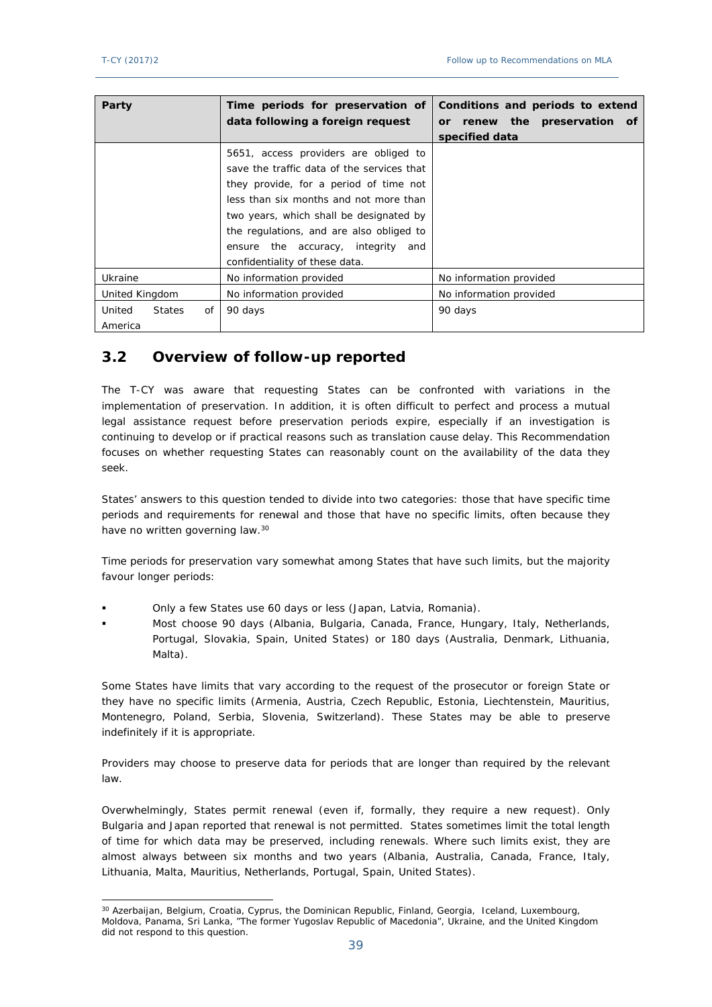| Party                  | Time periods for preservation of           | Conditions and periods to extend |  |  |
|------------------------|--------------------------------------------|----------------------------------|--|--|
|                        | data following a foreign request           | or renew the preservation of     |  |  |
|                        |                                            | specified data                   |  |  |
|                        | 5651, access providers are obliged to      |                                  |  |  |
|                        | save the traffic data of the services that |                                  |  |  |
|                        | they provide, for a period of time not     |                                  |  |  |
|                        | less than six months and not more than     |                                  |  |  |
|                        | two years, which shall be designated by    |                                  |  |  |
|                        | the regulations, and are also obliged to   |                                  |  |  |
|                        | ensure the accuracy, integrity<br>and      |                                  |  |  |
|                        | confidentiality of these data.             |                                  |  |  |
| Ukraine                | No information provided                    | No information provided          |  |  |
| United Kingdom         | No information provided                    | No information provided          |  |  |
| United<br>States<br>Οf | 90 days                                    | 90 days                          |  |  |
| America                |                                            |                                  |  |  |

# <span id="page-38-0"></span>**3.2 Overview of follow-up reported**

The T-CY was aware that requesting States can be confronted with variations in the implementation of preservation. In addition, it is often difficult to perfect and process a mutual legal assistance request before preservation periods expire, especially if an investigation is continuing to develop or if practical reasons such as translation cause delay. This Recommendation focuses on whether requesting States can reasonably count on the availability of the data they seek.

States' answers to this question tended to divide into two categories: those that have specific time periods and requirements for renewal and those that have no specific limits, often because they have no written governing law.<sup>30</sup>

Time periods for preservation vary somewhat among States that have such limits, but the majority favour longer periods:

- Only a few States use 60 days or less (Japan, Latvia, Romania).
- Most choose 90 days (Albania, Bulgaria, Canada, France, Hungary, Italy, Netherlands, Portugal, Slovakia, Spain, United States) or 180 days (Australia, Denmark, Lithuania, Malta).

Some States have limits that vary according to the request of the prosecutor or foreign State or they have no specific limits (Armenia, Austria, Czech Republic, Estonia, Liechtenstein, Mauritius, Montenegro, Poland, Serbia, Slovenia, Switzerland). These States may be able to preserve indefinitely if it is appropriate.

Providers may choose to preserve data for periods that are longer than required by the relevant law.

Overwhelmingly, States permit renewal (even if, formally, they require a new request). Only Bulgaria and Japan reported that renewal is not permitted. States sometimes limit the total length of time for which data may be preserved, including renewals. Where such limits exist, they are almost always between six months and two years (Albania, Australia, Canada, France, Italy, Lithuania, Malta, Mauritius, Netherlands, Portugal, Spain, United States).

<sup>&</sup>lt;sup>30</sup> Azerbaijan, Belgium, Croatia, Cyprus, the Dominican Republic, Finland, Georgia, Iceland, Luxembourg, Moldova, Panama, Sri Lanka, "The former Yugoslav Republic of Macedonia", Ukraine, and the United Kingdom did not respond to this question.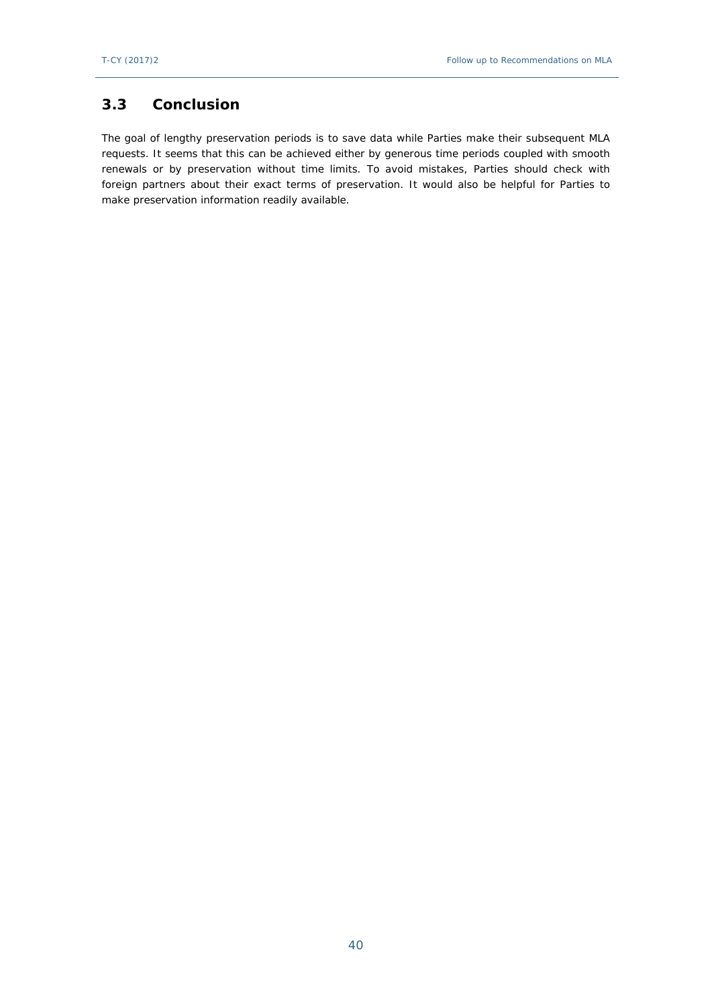## <span id="page-39-0"></span>**3.3 Conclusion**

<span id="page-39-1"></span>The goal of lengthy preservation periods is to save data while Parties make their subsequent MLA requests. It seems that this can be achieved either by generous time periods coupled with smooth renewals or by preservation without time limits. To avoid mistakes, Parties should check with foreign partners about their exact terms of preservation. It would also be helpful for Parties to make preservation information readily available.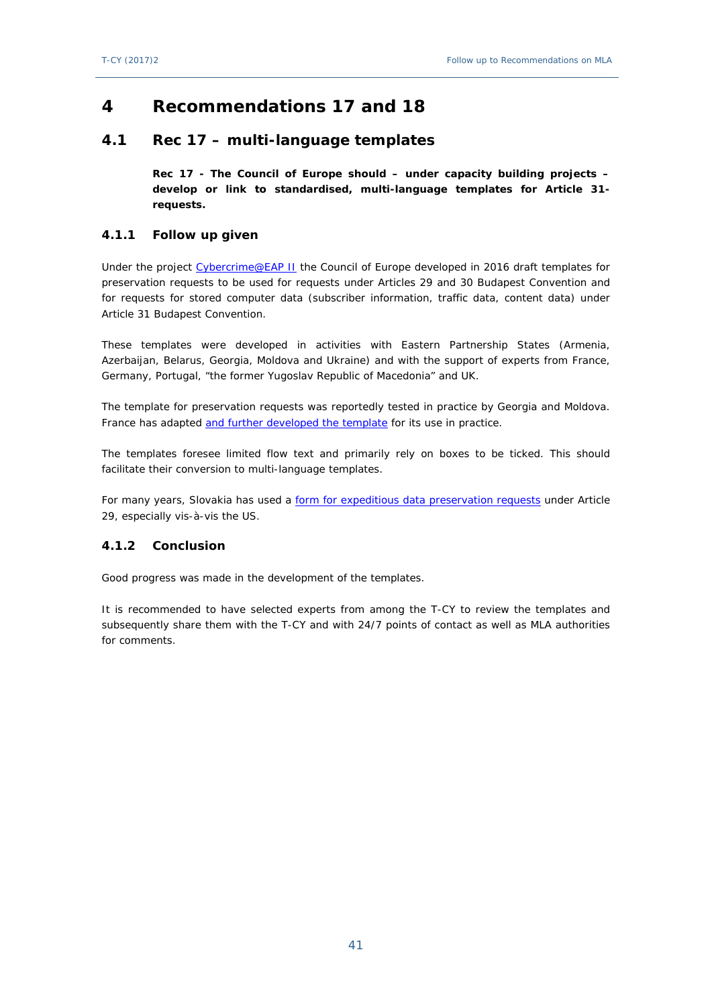# **4 Recommendations 17 and 18**

## <span id="page-40-0"></span>**4.1 Rec 17 – multi-language templates**

**Rec 17 - The Council of Europe should – under capacity building projects – develop or link to standardised, multi-language templates for Article 31 requests.**

#### <span id="page-40-1"></span>**4.1.1 Follow up given**

Under the project [Cybercrime@EAP II](https://mail.coe.int/owa/redir.aspx?C=VnIS-Ad_IeA6uQZyinY2Tmw1l9QjiyDejd7ulI2XzIW5EyFFeJTUCA..&URL=https%3a%2f%2fwww.coe.int%2fen%2fweb%2fcybercrime%2fcybercrime-eap-ii) the Council of Europe developed in 2016 draft templates for preservation requests to be used for requests under Articles 29 and 30 Budapest Convention and for requests for stored computer data (subscriber information, traffic data, content data) under Article 31 Budapest Convention.

These templates were developed in activities with Eastern Partnership States (Armenia, Azerbaijan, Belarus, Georgia, Moldova and Ukraine) and with the support of experts from France, Germany, Portugal, "the former Yugoslav Republic of Macedonia" and UK.

The template for preservation requests was reportedly tested in practice by Georgia and Moldova. France has adapted [and further developed the template](https://mail.coe.int/owa/redir.aspx?C=h67FYOTmlRqP-SN14X-BstL_lbIQCcsicscfsbCF1TS5EyFFeJTUCA..&URL=https%3a%2f%2fwww.coe.int%2fen%2fweb%2foctopus%2finternational-cooperation%3fp_p_id%3d101_INSTANCE_AlkdpLIUnXWz%26p_p_lifecycle%3d0%26p_p_state%3dnormal%26p_p_mode%3dview%26p_p_col_id%3dcolumn-4%26p_p_col_pos%3d1%26p_p_col_count%3d4) for its use in practice.

The templates foresee limited flow text and primarily rely on boxes to be ticked. This should facilitate their conversion to multi-language templates.

For many years, Slovakia has used a [form for expeditious data preservation requests](https://rm.coe.int/art-29-form/168071cbbb) under Article 29, especially vis-à-vis the US.

### <span id="page-40-2"></span>**4.1.2 Conclusion**

Good progress was made in the development of the templates.

It is recommended to have selected experts from among the T-CY to review the templates and subsequently share them with the T-CY and with 24/7 points of contact as well as MLA authorities for comments.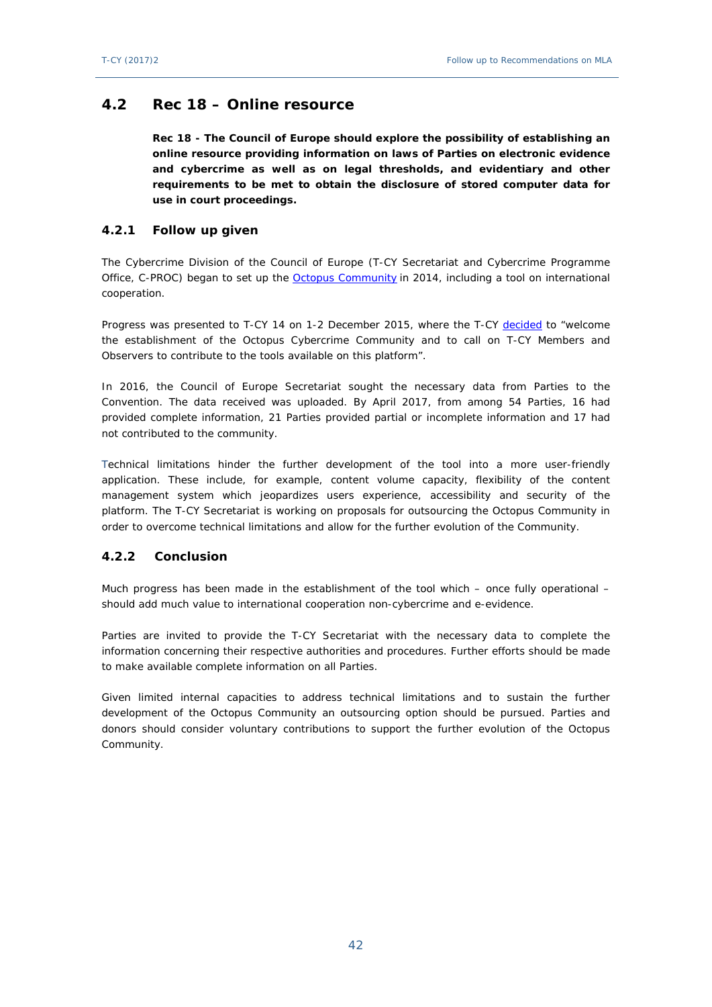## <span id="page-41-0"></span>**4.2 Rec 18 – Online resource**

**Rec 18 - The Council of Europe should explore the possibility of establishing an online resource providing information on laws of Parties on electronic evidence and cybercrime as well as on legal thresholds, and evidentiary and other requirements to be met to obtain the disclosure of stored computer data for use in court proceedings.**

#### <span id="page-41-1"></span>**4.2.1 Follow up given**

The Cybercrime Division of the Council of Europe (T-CY Secretariat and Cybercrime Programme Office, C-PROC) began to set up the [Octopus Community](https://www.coe.int/en/web/octopus/home) in 2014, including a tool on international cooperation.

Progress was presented to T-CY 14 on 1-2 December 2015, where the T-CY [decided](https://rm.coe.int/1680490af1) to "welcome the establishment of the Octopus Cybercrime Community and to call on T-CY Members and Observers to contribute to the tools available on this platform".

In 2016, the Council of Europe Secretariat sought the necessary data from Parties to the Convention. The data received was uploaded. By April 2017, from among 54 Parties, 16 had provided complete information, 21 Parties provided partial or incomplete information and 17 had not contributed to the community.

Technical limitations hinder the further development of the tool into a more user-friendly application. These include, for example, content volume capacity, flexibility of the content management system which jeopardizes users experience, accessibility and security of the platform. The T-CY Secretariat is working on proposals for outsourcing the Octopus Community in order to overcome technical limitations and allow for the further evolution of the Community.

#### <span id="page-41-2"></span>**4.2.2 Conclusion**

Much progress has been made in the establishment of the tool which – once fully operational – should add much value to international cooperation non-cybercrime and e-evidence.

Parties are invited to provide the T-CY Secretariat with the necessary data to complete the information concerning their respective authorities and procedures. Further efforts should be made to make available complete information on all Parties.

Given limited internal capacities to address technical limitations and to sustain the further development of the Octopus Community an outsourcing option should be pursued. Parties and donors should consider voluntary contributions to support the further evolution of the Octopus Community.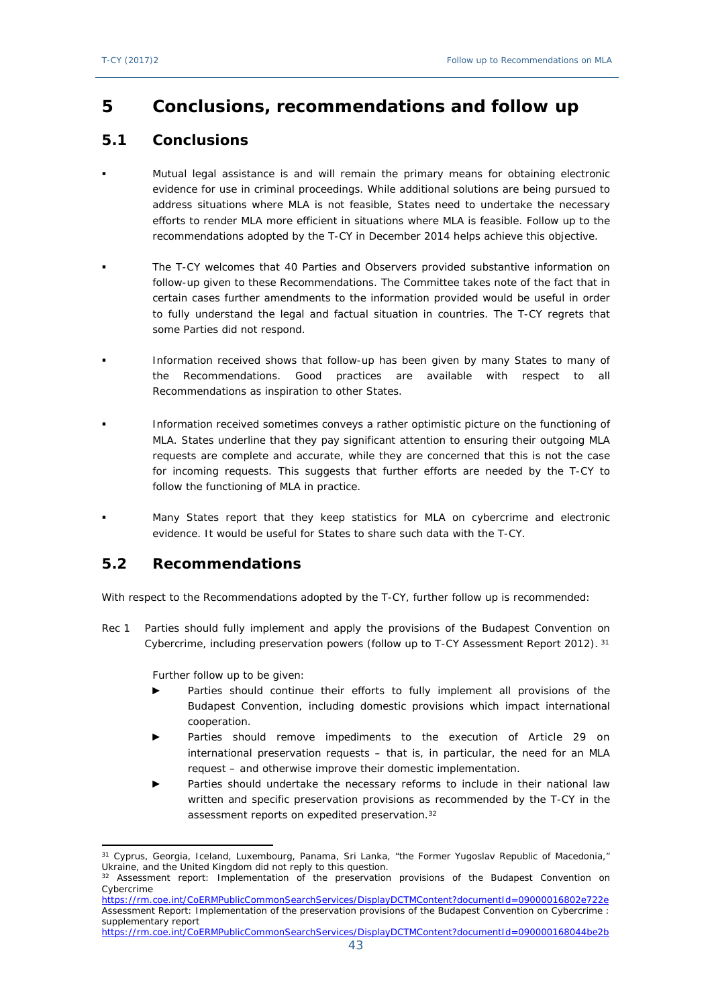# <span id="page-42-0"></span>**5 Conclusions, recommendations and follow up**

# <span id="page-42-1"></span>**5.1 Conclusions**

- Mutual legal assistance is and will remain the primary means for obtaining electronic evidence for use in criminal proceedings. While additional solutions are being pursued to address situations where MLA is not feasible, States need to undertake the necessary efforts to render MLA more efficient in situations where MLA is feasible. Follow up to the recommendations adopted by the T-CY in December 2014 helps achieve this objective.
- The T-CY welcomes that 40 Parties and Observers provided substantive information on follow-up given to these Recommendations. The Committee takes note of the fact that in certain cases further amendments to the information provided would be useful in order to fully understand the legal and factual situation in countries. The T-CY regrets that some Parties did not respond.
- Information received shows that follow-up has been given by many States to many of the Recommendations. Good practices are available with respect to all Recommendations as inspiration to other States.
- Information received sometimes conveys a rather optimistic picture on the functioning of MLA. States underline that they pay significant attention to ensuring their outgoing MLA requests are complete and accurate, while they are concerned that this is not the case for incoming requests. This suggests that further efforts are needed by the T-CY to follow the functioning of MLA in practice.
- Many States report that they keep statistics for MLA on cybercrime and electronic evidence. It would be useful for States to share such data with the T-CY.

# <span id="page-42-2"></span>**5.2 Recommendations**

With respect to the Recommendations adopted by the T-CY, further follow up is recommended:

Rec 1 Parties should fully implement and apply the provisions of the Budapest Convention on Cybercrime, including preservation powers (follow up to T-CY Assessment Report 2012).<sup>31</sup>

Further follow up to be given:

- Parties should continue their efforts to fully implement all provisions of the Budapest Convention, including domestic provisions which impact international cooperation.
- Parties should remove impediments to the execution of Article 29 on international preservation requests – that is, in particular, the need for an MLA request – and otherwise improve their domestic implementation.
- Parties should undertake the necessary reforms to include in their national law written and specific preservation provisions as recommended by the T-CY in the assessment reports on expedited preservation.<sup>32</sup>

<sup>&</sup>lt;sup>31</sup> Cyprus, Georgia, Iceland, Luxembourg, Panama, Sri Lanka, "the Former Yugoslav Republic of Macedonia," Ukraine, and the United Kingdom did not reply to this question.

<sup>&</sup>lt;sup>32</sup> Assessment report: Implementation of the preservation provisions of the Budapest Convention on Cybercrime <https://rm.coe.int/CoERMPublicCommonSearchServices/DisplayDCTMContent?documentId=09000016802e722e>

[Assessment Report: Implementation of the preservation provisions of the Budapest Convention on Cybercrime :](http://rm.coe.int/CoERMPublicCommonSearchServices/DisplayDCTMContent?documentId=090000168044be2b)  [supplementary report](http://rm.coe.int/CoERMPublicCommonSearchServices/DisplayDCTMContent?documentId=090000168044be2b)

<https://rm.coe.int/CoERMPublicCommonSearchServices/DisplayDCTMContent?documentId=090000168044be2b>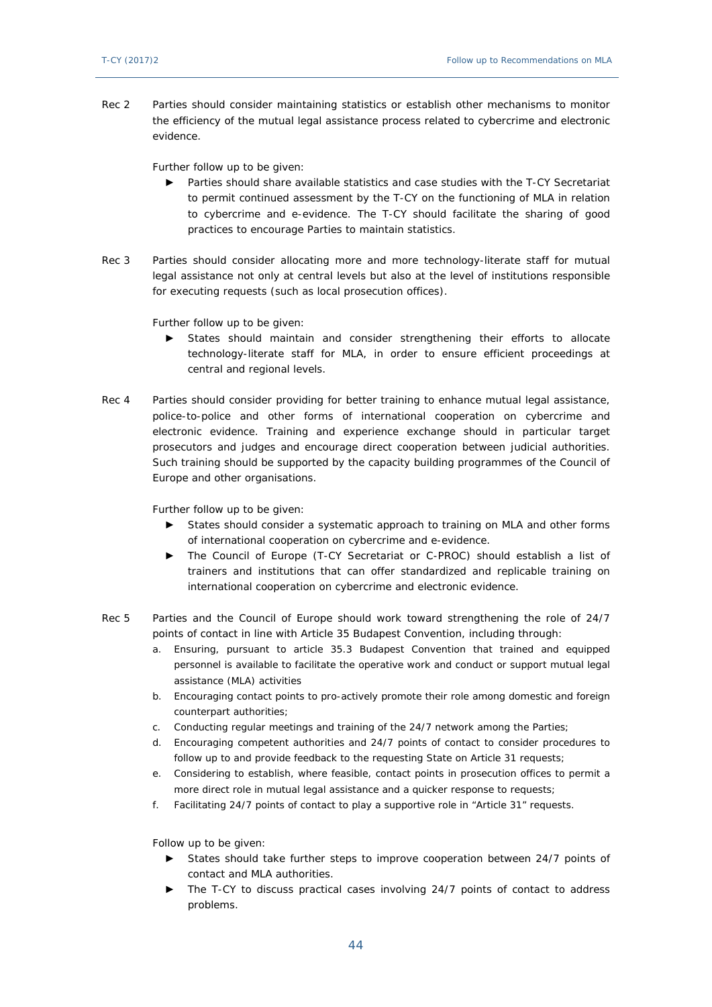Rec 2 Parties should consider maintaining statistics or establish other mechanisms to monitor the efficiency of the mutual legal assistance process related to cybercrime and electronic evidence.

Further follow up to be given:

- ► Parties should share available statistics and case studies with the T-CY Secretariat to permit continued assessment by the T-CY on the functioning of MLA in relation to cybercrime and e-evidence. The T-CY should facilitate the sharing of good practices to encourage Parties to maintain statistics.
- Rec 3 Parties should consider allocating more and more technology-literate staff for mutual legal assistance not only at central levels but also at the level of institutions responsible for executing requests (such as local prosecution offices).

Further follow up to be given:

- States should maintain and consider strengthening their efforts to allocate technology-literate staff for MLA, in order to ensure efficient proceedings at central and regional levels.
- Rec 4 Parties should consider providing for better training to enhance mutual legal assistance, police-to-police and other forms of international cooperation on cybercrime and electronic evidence. Training and experience exchange should in particular target prosecutors and judges and encourage direct cooperation between judicial authorities. Such training should be supported by the capacity building programmes of the Council of Europe and other organisations.

Further follow up to be given:

- ► States should consider a systematic approach to training on MLA and other forms of international cooperation on cybercrime and e-evidence.
- ► The Council of Europe (T-CY Secretariat or C-PROC) should establish a list of trainers and institutions that can offer standardized and replicable training on international cooperation on cybercrime and electronic evidence.
- Rec 5 Parties and the Council of Europe should work toward strengthening the role of 24/7 points of contact in line with Article 35 Budapest Convention, including through:
	- a. Ensuring, pursuant to article 35.3 Budapest Convention that trained and equipped personnel is available to facilitate the operative work and conduct or support mutual legal assistance (MLA) activities
	- b. Encouraging contact points to pro-actively promote their role among domestic and foreign counterpart authorities;
	- c. Conducting regular meetings and training of the 24/7 network among the Parties;
	- d. Encouraging competent authorities and 24/7 points of contact to consider procedures to follow up to and provide feedback to the requesting State on Article 31 requests;
	- e. Considering to establish, where feasible, contact points in prosecution offices to permit a more direct role in mutual legal assistance and a quicker response to requests;
	- f. Facilitating 24/7 points of contact to play a supportive role in "Article 31" requests.

Follow up to be given:

- ► States should take further steps to improve cooperation between 24/7 points of contact and MLA authorities.
- The T-CY to discuss practical cases involving 24/7 points of contact to address problems.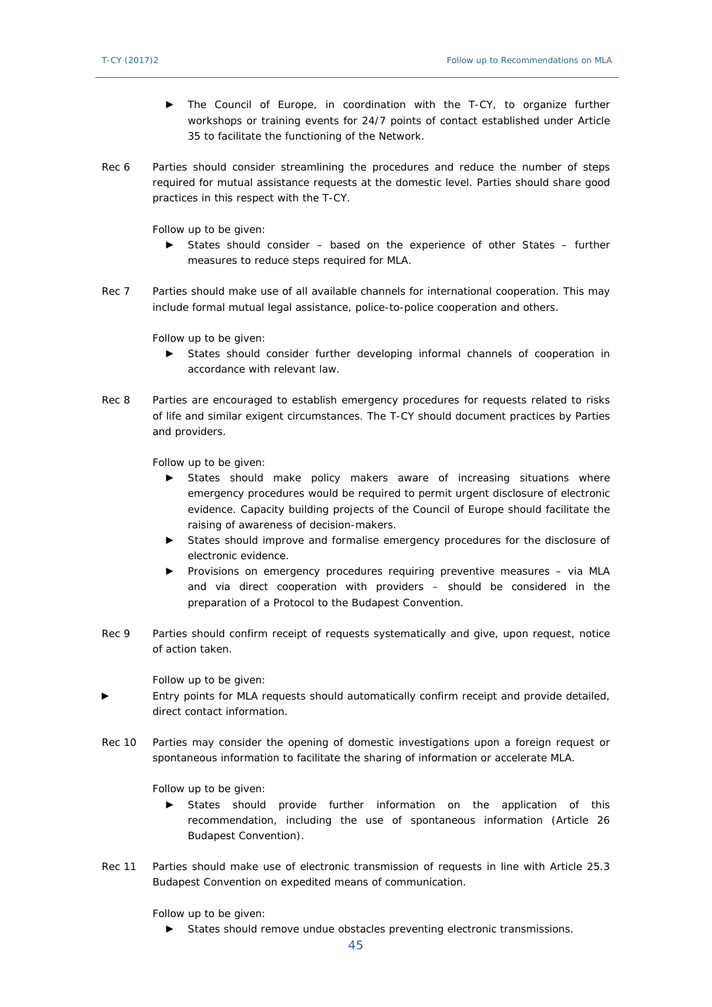- ► The Council of Europe, in coordination with the T-CY, to organize further workshops or training events for 24/7 points of contact established under Article 35 to facilitate the functioning of the Network.
- Rec 6 Parties should consider streamlining the procedures and reduce the number of steps required for mutual assistance requests at the domestic level. Parties should share good practices in this respect with the T-CY.

Follow up to be given:

- ► States should consider based on the experience of other States further measures to reduce steps required for MLA.
- Rec 7 Parties should make use of all available channels for international cooperation. This may include formal mutual legal assistance, police-to-police cooperation and others.

Follow up to be given:

- ► States should consider further developing informal channels of cooperation in accordance with relevant law.
- Rec 8 Parties are encouraged to establish emergency procedures for requests related to risks of life and similar exigent circumstances. The T-CY should document practices by Parties and providers.

Follow up to be given:

- ► States should make policy makers aware of increasing situations where emergency procedures would be required to permit urgent disclosure of electronic evidence. Capacity building projects of the Council of Europe should facilitate the raising of awareness of decision-makers.
- ► States should improve and formalise emergency procedures for the disclosure of electronic evidence.
- ► Provisions on emergency procedures requiring preventive measures via MLA and via direct cooperation with providers – should be considered in the preparation of a Protocol to the Budapest Convention.
- Rec 9 Parties should confirm receipt of requests systematically and give, upon request, notice of action taken.

Follow up to be given:

- Entry points for MLA requests should automatically confirm receipt and provide detailed, direct contact information.
- Rec 10 Parties may consider the opening of domestic investigations upon a foreign request or spontaneous information to facilitate the sharing of information or accelerate MLA.

Follow up to be given:

- ► States should provide further information on the application of this recommendation, including the use of spontaneous information (Article 26 Budapest Convention).
- Rec 11 Parties should make use of electronic transmission of requests in line with Article 25.3 Budapest Convention on expedited means of communication.

Follow up to be given:

► States should remove undue obstacles preventing electronic transmissions.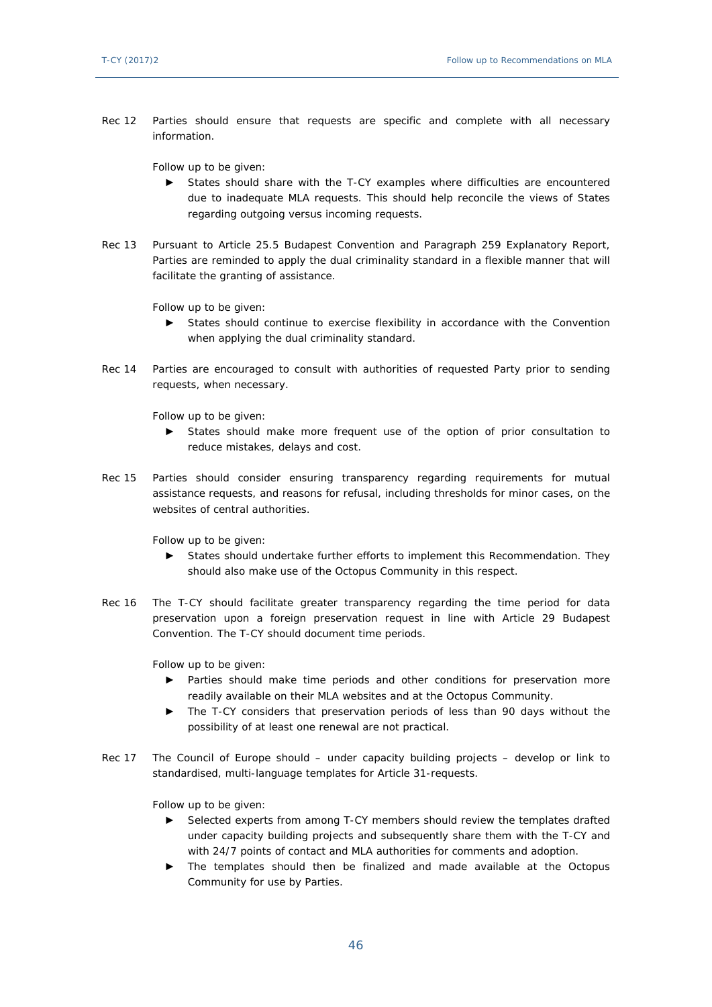Rec 12 Parties should ensure that requests are specific and complete with all necessary information.

Follow up to be given:

- ► States should share with the T-CY examples where difficulties are encountered due to inadequate MLA requests. This should help reconcile the views of States regarding outgoing versus incoming requests.
- Rec 13 Pursuant to Article 25.5 Budapest Convention and Paragraph 259 Explanatory Report, Parties are reminded to apply the dual criminality standard in a flexible manner that will facilitate the granting of assistance.

Follow up to be given:

- ► States should continue to exercise flexibility in accordance with the Convention when applying the dual criminality standard.
- Rec 14 Parties are encouraged to consult with authorities of requested Party prior to sending requests, when necessary.

Follow up to be given:

- ► States should make more frequent use of the option of prior consultation to reduce mistakes, delays and cost.
- Rec 15 Parties should consider ensuring transparency regarding requirements for mutual assistance requests, and reasons for refusal, including thresholds for minor cases, on the websites of central authorities.

Follow up to be given:

- ► States should undertake further efforts to implement this Recommendation. They should also make use of the Octopus Community in this respect.
- Rec 16 The T-CY should facilitate greater transparency regarding the time period for data preservation upon a foreign preservation request in line with Article 29 Budapest Convention. The T-CY should document time periods.

Follow up to be given:

- ► Parties should make time periods and other conditions for preservation more readily available on their MLA websites and at the Octopus Community.
- ► The T-CY considers that preservation periods of less than 90 days without the possibility of at least one renewal are not practical.
- Rec 17 The Council of Europe should under capacity building projects develop or link to standardised, multi-language templates for Article 31-requests.

Follow up to be given:

- ► Selected experts from among T-CY members should review the templates drafted under capacity building projects and subsequently share them with the T-CY and with 24/7 points of contact and MLA authorities for comments and adoption.
- ► The templates should then be finalized and made available at the Octopus Community for use by Parties.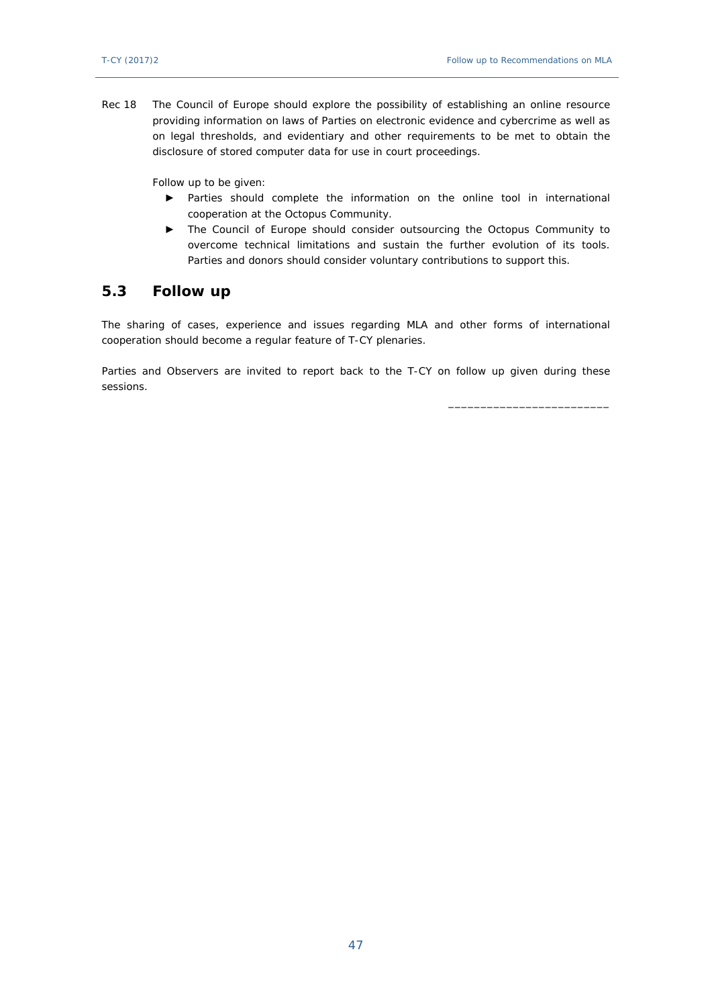\_\_\_\_\_\_\_\_\_\_\_\_\_\_\_\_\_\_\_\_\_\_\_\_\_

Rec 18 The Council of Europe should explore the possibility of establishing an online resource providing information on laws of Parties on electronic evidence and cybercrime as well as on legal thresholds, and evidentiary and other requirements to be met to obtain the disclosure of stored computer data for use in court proceedings.

Follow up to be given:

- ► Parties should complete the information on the online tool in international cooperation at the Octopus Community.
- ► The Council of Europe should consider outsourcing the Octopus Community to overcome technical limitations and sustain the further evolution of its tools. Parties and donors should consider voluntary contributions to support this.

## <span id="page-46-0"></span>**5.3 Follow up**

The sharing of cases, experience and issues regarding MLA and other forms of international cooperation should become a regular feature of T-CY plenaries.

Parties and Observers are invited to report back to the T-CY on follow up given during these sessions.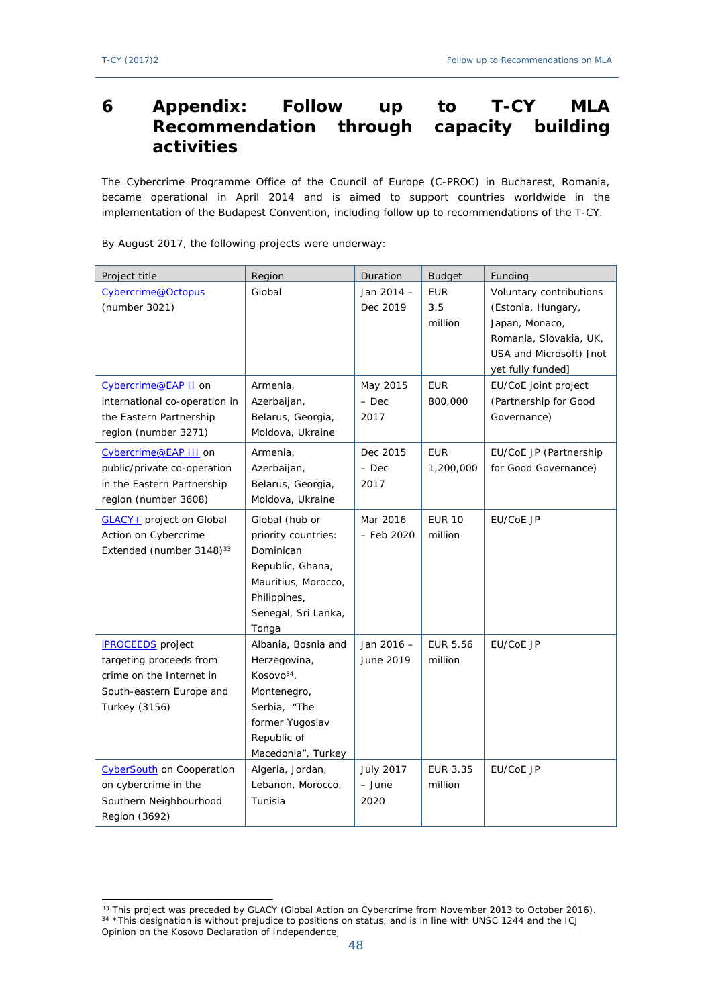# <span id="page-47-0"></span>**6 Appendix: Follow up to T-CY MLA Recommendation through activities**

The Cybercrime Programme Office of the Council of Europe (C-PROC) in Bucharest, Romania, became operational in April 2014 and is aimed to support countries worldwide in the implementation of the Budapest Convention, including follow up to recommendations of the T-CY.

| Project title                                                                                                                       | Region                                                                                                                                               | Duration                           | <b>Budget</b>                | Funding                                                                                                                                   |
|-------------------------------------------------------------------------------------------------------------------------------------|------------------------------------------------------------------------------------------------------------------------------------------------------|------------------------------------|------------------------------|-------------------------------------------------------------------------------------------------------------------------------------------|
| Cybercrime@Octopus<br>(number 3021)                                                                                                 | Global                                                                                                                                               | Jan 2014 -<br>Dec 2019             | <b>EUR</b><br>3.5<br>million | Voluntary contributions<br>(Estonia, Hungary,<br>Japan, Monaco,<br>Romania, Slovakia, UK,<br>USA and Microsoft) [not<br>yet fully funded] |
| Cybercrime@EAP II on<br>international co-operation in<br>the Eastern Partnership<br>region (number 3271)                            | Armenia,<br>Azerbaijan,<br>Belarus, Georgia,<br>Moldova, Ukraine                                                                                     | May 2015<br>– Dec<br>2017          | <b>EUR</b><br>800,000        | EU/CoE joint project<br>(Partnership for Good<br>Governance)                                                                              |
| Cybercrime@EAP III on<br>public/private co-operation<br>in the Eastern Partnership<br>region (number 3608)                          | Armenia,<br>Azerbaijan,<br>Belarus, Georgia,<br>Moldova, Ukraine                                                                                     | Dec 2015<br>$-$ Dec<br>2017        | <b>EUR</b><br>1,200,000      | EU/CoE JP (Partnership<br>for Good Governance)                                                                                            |
| GLACY+ project on Global<br>Action on Cybercrime<br>Extended (number 3148) <sup>33</sup>                                            | Global (hub or<br>priority countries:<br>Dominican<br>Republic, Ghana,<br>Mauritius, Morocco,<br>Philippines,<br>Senegal, Sri Lanka,<br>Tonga        | Mar 2016<br>- Feb 2020             | <b>EUR 10</b><br>million     | EU/CoE JP                                                                                                                                 |
| <b>iPROCEEDS</b> project<br>targeting proceeds from<br>crime on the Internet in<br>South-eastern Europe and<br><b>Turkey (3156)</b> | Albania, Bosnia and<br>Herzegovina,<br>Kosovo <sup>34</sup> ,<br>Montenegro,<br>Serbia, "The<br>former Yugoslav<br>Republic of<br>Macedonia", Turkey | Jan 2016 -<br>June 2019            | <b>EUR 5.56</b><br>million   | EU/CoE JP                                                                                                                                 |
| CyberSouth on Cooperation<br>on cybercrime in the<br>Southern Neighbourhood<br>Region (3692)                                        | Algeria, Jordan,<br>Lebanon, Morocco,<br>Tunisia                                                                                                     | <b>July 2017</b><br>– June<br>2020 | <b>EUR 3.35</b><br>million   | EU/CoE JP                                                                                                                                 |

By August 2017, the following projects were underway:

<sup>&</sup>lt;sup>33</sup> This project was preceded by GLACY (Global Action on Cybercrime from November 2013 to October 2016). 34 \*This designation is without prejudice to positions on status, and is in line with UNSC 1244 and the ICJ Opinion on the Kosovo Declaration of Independence.